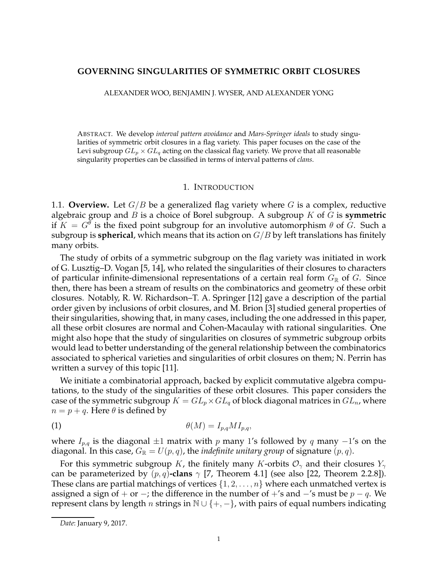# **GOVERNING SINGULARITIES OF SYMMETRIC ORBIT CLOSURES**

ALEXANDER WOO, BENJAMIN J. WYSER, AND ALEXANDER YONG

ABSTRACT. We develop *interval pattern avoidance* and *Mars-Springer ideals* to study singularities of symmetric orbit closures in a flag variety. This paper focuses on the case of the Levi subgroup  $GL_p \times GL_q$  acting on the classical flag variety. We prove that all reasonable singularity properties can be classified in terms of interval patterns of *clans*.

#### 1. INTRODUCTION

1.1. **Overview.** Let  $G/B$  be a generalized flag variety where G is a complex, reductive algebraic group and B is a choice of Borel subgroup. A subgroup K of G is **symmetric** if  $K = G^{\theta}$  is the fixed point subgroup for an involutive automorphism  $\theta$  of G. Such a subgroup is **spherical**, which means that its action on  $G/B$  by left translations has finitely many orbits.

The study of orbits of a symmetric subgroup on the flag variety was initiated in work of G. Lusztig–D. Vogan [5, 14], who related the singularities of their closures to characters of particular infinite-dimensional representations of a certain real form  $G_{\mathbb{R}}$  of G. Since then, there has been a stream of results on the combinatorics and geometry of these orbit closures. Notably, R. W. Richardson–T. A. Springer [12] gave a description of the partial order given by inclusions of orbit closures, and M. Brion [3] studied general properties of their singularities, showing that, in many cases, including the one addressed in this paper, all these orbit closures are normal and Cohen-Macaulay with rational singularities. One might also hope that the study of singularities on closures of symmetric subgroup orbits would lead to better understanding of the general relationship between the combinatorics associated to spherical varieties and singularities of orbit closures on them; N. Perrin has written a survey of this topic [11].

We initiate a combinatorial approach, backed by explicit commutative algebra computations, to the study of the singularities of these orbit closures. This paper considers the case of the symmetric subgroup  $K = GL_p \times GL_q$  of block diagonal matrices in  $GL_n$ , where  $n = p + q$ . Here  $\theta$  is defined by

$$
\theta(M) = I_{p,q} M I_{p,q},
$$

where  $I_{p,q}$  is the diagonal  $\pm 1$  matrix with p many 1's followed by q many  $-1$ 's on the diagonal. In this case,  $G_{\mathbb{R}} = U(p,q)$ , the *indefinite unitary group* of signature  $(p,q)$ .

For this symmetric subgroup K, the finitely many K-orbits  $\mathcal{O}_{\gamma}$  and their closures  $Y_{\gamma}$ can be parameterized by  $(p, q)$ -clans  $\gamma$  [7, Theorem 4.1] (see also [22, Theorem 2.2.8]). These clans are partial matchings of vertices  $\{1, 2, \ldots, n\}$  where each unmatched vertex is assigned a sign of + or −; the difference in the number of +'s and  $-$ 's must be  $p - q$ . We represent clans by length *n* strings in  $\mathbb{N} \cup \{+, -\}$ , with pairs of equal numbers indicating

*Date*: January 9, 2017.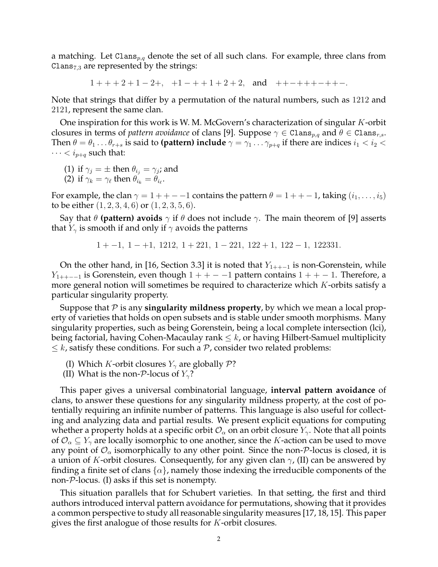a matching. Let Clans<sub>p,q</sub> denote the set of all such clans. For example, three clans from Clans $_{7,3}$  are represented by the strings:

 $1 + + + 2 + 1 - 2 +$ ,  $+1 - + + 1 + 2 + 2$ , and  $+ + - + + + - + + -$ .

Note that strings that differ by a permutation of the natural numbers, such as 1212 and 2121, represent the same clan.

One inspiration for this work is W. M. McGovern's characterization of singular  $K$ -orbit closures in terms of *pattern avoidance* of clans [9]. Suppose  $\gamma \in \text{Clans}_{p,q}$  and  $\theta \in \text{Clans}_{r,s}$ . Then  $\theta = \theta_1 \dots \theta_{r+s}$  is said to **(pattern) include**  $\gamma = \gamma_1 \dots \gamma_{p+q}$  if there are indices  $i_1 < i_2 < j_3$  $\cdots < i_{p+q}$  such that:

(1) if  $\gamma_j = \pm$  then  $\theta_{i_j} = \gamma_j$ ; and

(2) if  $\gamma_k = \gamma_\ell$  then  $\theta_{i_k} = \theta_{i_\ell}$ .

For example, the clan  $\gamma = 1 + + - -1$  contains the pattern  $\theta = 1 + + -1$ , taking  $(i_1, \ldots, i_5)$ to be either  $(1, 2, 3, 4, 6)$  or  $(1, 2, 3, 5, 6)$ .

Say that  $\theta$  **(pattern) avoids**  $\gamma$  if  $\theta$  does not include  $\gamma$ . The main theorem of [9] asserts that  $Y_{\gamma}$  is smooth if and only if  $\gamma$  avoids the patterns

$$
1 + -1
$$
,  $1 - +1$ , 1212,  $1 + 221$ ,  $1 - 221$ , 122 + 1, 122 - 1, 122331.

On the other hand, in [16, Section 3.3] it is noted that  $Y_{1++-1}$  is non-Gorenstein, while  $Y_{1++-1}$  is Gorenstein, even though  $1++-1$  pattern contains  $1++-1$ . Therefore, a more general notion will sometimes be required to characterize which  $K$ -orbits satisfy a particular singularity property.

Suppose that  $P$  is any **singularity mildness property**, by which we mean a local property of varieties that holds on open subsets and is stable under smooth morphisms. Many singularity properties, such as being Gorenstein, being a local complete intersection (lci), being factorial, having Cohen-Macaulay rank  $\leq k$ , or having Hilbert-Samuel multiplicity  $\leq k$ , satisfy these conditions. For such a  $P$ , consider two related problems:

- (I) Which K-orbit closures  $Y_\gamma$  are globally  $\mathcal{P}$ ?
- (II) What is the non- $P$ -locus of  $Y_{\gamma}$ ?

This paper gives a universal combinatorial language, **interval pattern avoidance** of clans, to answer these questions for any singularity mildness property, at the cost of potentially requiring an infinite number of patterns. This language is also useful for collecting and analyzing data and partial results. We present explicit equations for computing whether a property holds at a specific orbit  $\mathcal{O}_{\alpha}$  on an orbit closure  $Y_{\gamma}$ . Note that all points of  $\mathcal{O}_\alpha \subseteq Y_\gamma$  are locally isomorphic to one another, since the K-action can be used to move any point of  $\mathcal{O}_\alpha$  isomorphically to any other point. Since the non-P-locus is closed, it is a union of K-orbit closures. Consequently, for any given clan  $\gamma$ , (II) can be answered by finding a finite set of clans  $\{\alpha\}$ , namely those indexing the irreducible components of the non-P-locus. (I) asks if this set is nonempty.

This situation parallels that for Schubert varieties. In that setting, the first and third authors introduced interval pattern avoidance for permutations, showing that it provides a common perspective to study all reasonable singularity measures [17, 18, 15]. This paper gives the first analogue of those results for K-orbit closures.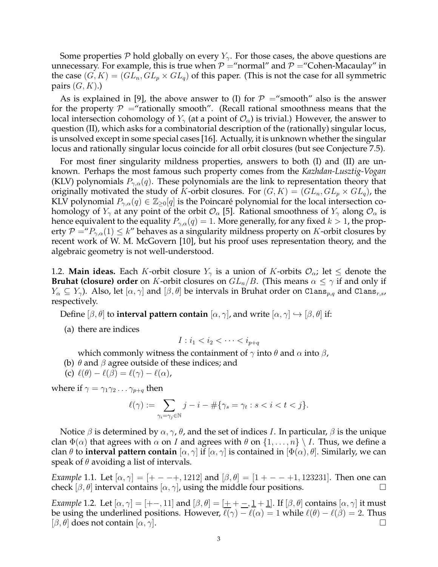Some properties P hold globally on every  $Y_{\gamma}$ . For those cases, the above questions are unnecessary. For example, this is true when  $P =$ "normal" and  $P =$ "Cohen-Macaulay" in the case  $(G, K) = (GL_n, GL_p \times GL_q)$  of this paper. (This is not the case for all symmetric pairs  $(G, K)$ .)

As is explained in [9], the above answer to (I) for  $P =$ "smooth" also is the answer for the property  $P =$ "rationally smooth". (Recall rational smoothness means that the local intersection cohomology of  $Y_\gamma$  (at a point of  $\mathcal{O}_\alpha$ ) is trivial.) However, the answer to question (II), which asks for a combinatorial description of the (rationally) singular locus, is unsolved except in some special cases [16]. Actually, it is unknown whether the singular locus and rationally singular locus coincide for all orbit closures (but see Conjecture 7.5).

For most finer singularity mildness properties, answers to both (I) and (II) are unknown. Perhaps the most famous such property comes from the *Kazhdan-Lusztig-Vogan* (KLV) polynomials  $P_{\gamma,\alpha}(q)$ . These polynomials are the link to representation theory that originally motivated the study of K-orbit closures. For  $(G, K) = (GL_n, GL_p \times GL_q)$ , the KLV polynomial  $P_{\gamma,\alpha}(q) \in \mathbb{Z}_{\geq 0}[q]$  is the Poincaré polynomial for the local intersection cohomology of  $Y_\gamma$  at any point of the orbit  $\mathcal{O}_\alpha$  [5]. Rational smoothness of  $Y_\gamma$  along  $\mathcal{O}_\alpha$  is hence equivalent to the equality  $P_{\gamma,\alpha}(q) = 1$ . More generally, for any fixed  $k > 1$ , the property  $P = P_{\gamma,\alpha}(1) \leq k''$  behaves as a singularity mildness property on K-orbit closures by recent work of W. M. McGovern [10], but his proof uses representation theory, and the algebraic geometry is not well-understood.

1.2. **Main ideas.** Each K-orbit closure  $Y_\gamma$  is a union of K-orbits  $\mathcal{O}_\alpha$ ; let  $\leq$  denote the **Bruhat (closure) order** on K-orbit closures on  $GL_n/B$ . (This means  $\alpha \leq \gamma$  if and only if  $Y_{\alpha} \subseteq Y_{\gamma}$ ). Also, let  $[\alpha, \gamma]$  and  $[\beta, \theta]$  be intervals in Bruhat order on Clans<sub>p,q</sub> and Clans<sub>r,s</sub>, respectively.

Define  $[\beta, \theta]$  to **interval pattern contain**  $[\alpha, \gamma]$ , and write  $[\alpha, \gamma] \hookrightarrow [\beta, \theta]$  if:

(a) there are indices

$$
I: i_1 < i_2 < \cdots < i_{p+q}
$$

which commonly witness the containment of  $\gamma$  into  $\theta$  and  $\alpha$  into  $\beta$ ,

(b)  $\theta$  and  $\beta$  agree outside of these indices; and

(c)  $\ell(\theta) - \ell(\beta) = \ell(\gamma) - \ell(\alpha)$ ,

where if  $\gamma = \gamma_1 \gamma_2 \dots \gamma_{p+q}$  then

$$
\ell(\gamma) := \sum_{\gamma_i = \gamma_j \in \mathbb{N}} j - i - \#\{\gamma_s = \gamma_t : s < i < t < j\}.
$$

Notice  $\beta$  is determined by  $\alpha, \gamma$ ,  $\theta$ , and the set of indices I. In particular,  $\beta$  is the unique clan  $\Phi(\alpha)$  that agrees with  $\alpha$  on I and agrees with  $\theta$  on  $\{1,\ldots,n\} \setminus I$ . Thus, we define a clan  $\theta$  to **interval pattern contain**  $[\alpha, \gamma]$  if  $[\alpha, \gamma]$  is contained in  $[\Phi(\alpha), \theta]$ . Similarly, we can speak of  $\theta$  avoiding a list of intervals.

*Example* 1.1. Let  $[\alpha, \gamma] = [+ - - +, 1212]$  and  $[\beta, \theta] = [1 + - - +1, 123231]$ . Then one can check  $[\beta, \theta]$  interval contains  $[\alpha, \gamma]$ , using the middle four positions.

*Example* 1.2. Let  $[\alpha, \gamma] = [+-, 11]$  and  $[\beta, \theta] = [++-, \frac{1}{2}+ \frac{1}{2}]$ . If  $[\beta, \theta]$  contains  $[\alpha, \gamma]$  it must be using the underlined positions. However,  $\ell(\gamma) - \ell(\alpha) = 1$  while  $\ell(\theta) - \ell(\beta) = 2$ . Thus  $[\beta, \theta]$  does not contain  $[\alpha, \gamma]$ .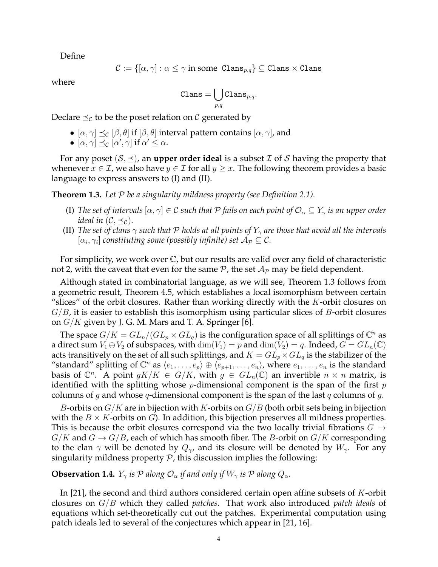Define

$$
\mathcal{C}:=\{[\alpha,\gamma]:\alpha\leq\gamma\text{ in some } \texttt{Clans}_{p,q}\}\subseteq\texttt{Clans}\times\texttt{Clans}
$$

where

$$
\mathtt{Clans} = \bigcup_{p,q} \mathtt{Clans}_{p,q}.
$$

Declare  $\preceq_{\mathcal{C}}$  to be the poset relation on  $\mathcal{C}$  generated by

- $[\alpha, \gamma] \preceq_c [\beta, \theta]$  if  $[\beta, \theta]$  interval pattern contains  $[\alpha, \gamma]$ , and
- $[\alpha, \gamma] \preceq_{\mathcal{C}} [\alpha', \gamma]$  if  $\alpha' \leq \alpha$ .

For any poset  $(S, \preceq)$ , an **upper order ideal** is a subset *I* of *S* having the property that whenever  $x \in \mathcal{I}$ , we also have  $y \in \mathcal{I}$  for all  $y \geq x$ . The following theorem provides a basic language to express answers to (I) and (II).

**Theorem 1.3.** *Let* P *be a singularity mildness property (see Definition 2.1).*

- (I) The set of intervals  $[\alpha, \gamma] \in C$  such that P fails on each point of  $\mathcal{O}_\alpha \subseteq Y_\gamma$  is an upper order *ideal in*  $(C, \preceq_{\mathcal{C}})$ *.*
- (II) *The set of clans*  $\gamma$  *such that* P *holds at all points of*  $Y_{\gamma}$  *are those that avoid all the intervals*  $[\alpha_i, \gamma_i]$  constituting some (possibly infinite) set  $\mathcal{A}_\mathcal{P} \subseteq \mathcal{C}.$

For simplicity, we work over  $\mathbb C$ , but our results are valid over any field of characteristic not 2, with the caveat that even for the same  $P$ , the set  $\mathcal{A}_P$  may be field dependent.

Although stated in combinatorial language, as we will see, Theorem 1.3 follows from a geometric result, Theorem 4.5, which establishes a local isomorphism between certain "slices" of the orbit closures. Rather than working directly with the  $K$ -orbit closures on  $G/B$ , it is easier to establish this isomorphism using particular slices of B-orbit closures on  $G/K$  given by J. G. M. Mars and T. A. Springer [6].

The space  $G/K=GL_n/(GL_p\times GL_q)$  is the configuration space of all splittings of  $\mathbb{C}^n$  as a direct sum  $V_1 \oplus V_2$  of subspaces, with  $\dim(V_1) = p$  and  $\dim(V_2) = q$ . Indeed,  $G = GL_n(\mathbb{C})$ acts transitively on the set of all such splittings, and  $K = GL_p \times GL_q$  is the stabilizer of the "standard" splitting of  $\mathbb{C}^n$  as  $\langle e_1, \ldots, e_p \rangle \oplus \langle e_{p+1}, \ldots, e_n \rangle$ , where  $e_1, \ldots, e_n$  is the standard basis of  $\mathbb{C}^n$ . A point  $gK/K \in G/K$ , with  $g \in GL_n(\mathbb{C})$  an invertible  $n \times n$  matrix, is identified with the splitting whose  $p$ -dimensional component is the span of the first  $p$ columns of g and whose q-dimensional component is the span of the last  $q$  columns of  $q$ .

B-orbits on  $G/K$  are in bijection with K-orbits on  $G/B$  (both orbit sets being in bijection with the  $B \times K$ -orbits on  $G$ ). In addition, this bijection preserves all mildness properties. This is because the orbit closures correspond via the two locally trivial fibrations  $G \rightarrow$  $G/K$  and  $G \to G/B$ , each of which has smooth fiber. The B-orbit on  $G/K$  corresponding to the clan  $\gamma$  will be denoted by  $Q_{\gamma}$ , and its closure will be denoted by  $W_{\gamma}$ . For any singularity mildness property  $P$ , this discussion implies the following:

**Observation 1.4.**  $Y_\gamma$  *is*  $\mathcal P$  *along*  $\mathcal O_\alpha$  *if and only if*  $W_\gamma$  *is*  $\mathcal P$  *along*  $Q_\alpha$ *.* 

In [21], the second and third authors considered certain open affine subsets of K-orbit closures on G/B which they called *patches*. That work also introduced *patch ideals* of equations which set-theoretically cut out the patches. Experimental computation using patch ideals led to several of the conjectures which appear in [21, 16].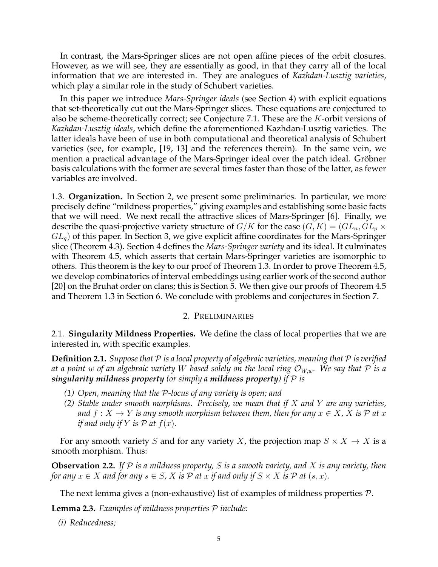In contrast, the Mars-Springer slices are not open affine pieces of the orbit closures. However, as we will see, they are essentially as good, in that they carry all of the local information that we are interested in. They are analogues of *Kazhdan-Lusztig varieties*, which play a similar role in the study of Schubert varieties.

In this paper we introduce *Mars-Springer ideals* (see Section 4) with explicit equations that set-theoretically cut out the Mars-Springer slices. These equations are conjectured to also be scheme-theoretically correct; see Conjecture 7.1. These are the  $K$ -orbit versions of *Kazhdan-Lusztig ideals*, which define the aforementioned Kazhdan-Lusztig varieties. The latter ideals have been of use in both computational and theoretical analysis of Schubert varieties (see, for example, [19, 13] and the references therein). In the same vein, we mention a practical advantage of the Mars-Springer ideal over the patch ideal. Gröbner basis calculations with the former are several times faster than those of the latter, as fewer variables are involved.

1.3. **Organization.** In Section 2, we present some preliminaries. In particular, we more precisely define "mildness properties," giving examples and establishing some basic facts that we will need. We next recall the attractive slices of Mars-Springer [6]. Finally, we describe the quasi-projective variety structure of  $G/K$  for the case  $(G, K) = (GL_n, GL_p \times$  $GL_q$ ) of this paper. In Section 3, we give explicit affine coordinates for the Mars-Springer slice (Theorem 4.3). Section 4 defines the *Mars-Springer variety* and its ideal. It culminates with Theorem 4.5, which asserts that certain Mars-Springer varieties are isomorphic to others. This theorem is the key to our proof of Theorem 1.3. In order to prove Theorem 4.5, we develop combinatorics of interval embeddings using earlier work of the second author [20] on the Bruhat order on clans; this is Section 5. We then give our proofs of Theorem 4.5 and Theorem 1.3 in Section 6. We conclude with problems and conjectures in Section 7.

### 2. PRELIMINARIES

2.1. **Singularity Mildness Properties.** We define the class of local properties that we are interested in, with specific examples.

**Definition 2.1.** *Suppose that* P *is a local property of algebraic varieties, meaning that* P *is verified at a point* w of an algebraic variety W based solely on the local ring  $\mathcal{O}_{W,w}$ . We say that P is a *singularity mildness property (or simply a mildness property) if* P *is*

- *(1) Open, meaning that the* P*-locus of any variety is open; and*
- *(2) Stable under smooth morphisms. Precisely, we mean that if* X *and* Y *are any varieties, and*  $f: X \to Y$  *is any smooth morphism between them, then for any*  $x \in X$ , X *is* P at x *if and only if*  $Y$  *is*  $\mathcal{P}$  *at*  $f(x)$ *.*

For any smooth variety S and for any variety X, the projection map  $S \times X \to X$  is a smooth morphism. Thus:

**Observation 2.2.** *If* P *is a mildness property,* S *is a smooth variety, and* X *is any variety, then for any*  $x \in X$  *and for any*  $s \in S$ , X *is* P *at*  $x$  *if and only if*  $S \times X$  *is* P *at*  $(s, x)$ *.* 

The next lemma gives a (non-exhaustive) list of examples of mildness properties  $P$ .

**Lemma 2.3.** *Examples of mildness properties* P *include:*

*(i) Reducedness;*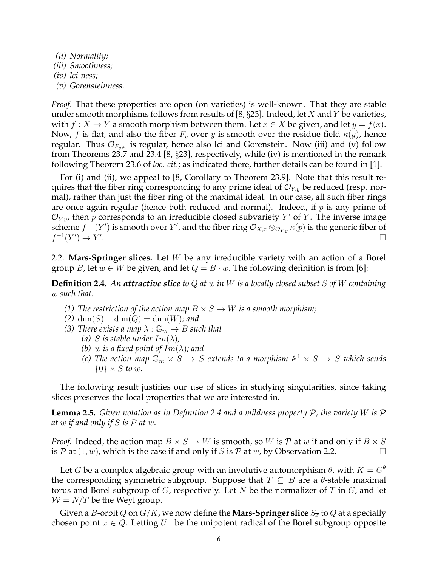- *(ii) Normality;*
- *(iii) Smoothness;*
- *(iv) lci-ness;*
- *(v) Gorensteinness.*

*Proof.* That these properties are open (on varieties) is well-known. That they are stable under smooth morphisms follows from results of [8,  $\S 23$ ]. Indeed, let X and Y be varieties, with  $f: X \to Y$  a smooth morphism between them. Let  $x \in X$  be given, and let  $y = f(x)$ . Now, f is flat, and also the fiber  $F_y$  over y is smooth over the residue field  $\kappa(y)$ , hence regular. Thus  $\mathcal{O}_{F_v,x}$  is regular, hence also lci and Gorenstein. Now (iii) and (v) follow from Theorems 23.7 and 23.4 [8, §23], respectively, while (iv) is mentioned in the remark following Theorem 23.6 of *loc. cit.*; as indicated there, further details can be found in [1].

For (i) and (ii), we appeal to [8, Corollary to Theorem 23.9]. Note that this result requires that the fiber ring corresponding to any prime ideal of  $\mathcal{O}_{Y,y}$  be reduced (resp. normal), rather than just the fiber ring of the maximal ideal. In our case, all such fiber rings are once again regular (hence both reduced and normal). Indeed, if  $p$  is any prime of  $\mathcal{O}_{Y,y}$ , then p corresponds to an irreducible closed subvariety Y' of Y. The inverse image scheme  $f^{-1}(Y')$  is smooth over  $Y'$ , and the fiber ring  $\mathcal{O}_{X,x} \otimes_{\mathcal{O}_{Y,y}} \kappa(p)$  is the generic fiber of  $f^{-1}(Y') \to Y'$ .

2.2. **Mars-Springer slices.** Let W be any irreducible variety with an action of a Borel group B, let  $w \in W$  be given, and let  $Q = B \cdot w$ . The following definition is from [6]:

**Definition 2.4.** *An attractive slice to* Q *at* w *in* W *is a locally closed subset* S *of* W *containing* w *such that:*

- *(1) The restriction of the action map*  $B \times S \rightarrow W$  *is a smooth morphism;*
- $(2)$  dim $(S)$  + dim $(Q)$  = dim $(W)$ *; and*
- *(3) There exists a map*  $\lambda : \mathbb{G}_m \to B$  *such that* 
	- *(a) S is stable under*  $Im(\lambda)$ *;*
	- *(b)* w is a fixed point of  $Im(\lambda)$ ; and
	- *(c)* The action map  $\mathbb{G}_m \times S \to S$  extends to a morphism  $\mathbb{A}^1 \times S \to S$  which sends  $\{0\} \times S$  *to w.*

The following result justifies our use of slices in studying singularities, since taking slices preserves the local properties that we are interested in.

**Lemma 2.5.** *Given notation as in Definition 2.4 and a mildness property* P*, the variety* W *is* P *at* w *if and only if* S *is* P *at* w*.*

*Proof.* Indeed, the action map  $B \times S \to W$  is smooth, so W is P at w if and only if  $B \times S$ is P at  $(1, w)$ , which is the case if and only if S is P at w, by Observation 2.2.

Let G be a complex algebraic group with an involutive automorphism  $\theta$ , with  $K = G^{\theta}$ the corresponding symmetric subgroup. Suppose that  $T \subseteq B$  are a  $\theta$ -stable maximal torus and Borel subgroup of G, respectively. Let N be the normalizer of T in G, and let  $W = N/T$  be the Weyl group.

Given a *B*-orbit Q on  $G/K$ , we now define the **Mars-Springer slice**  $S_{\overline{x}}$  to Q at a specially chosen point  $\overline{x} \in Q$ . Letting  $U^-$  be the unipotent radical of the Borel subgroup opposite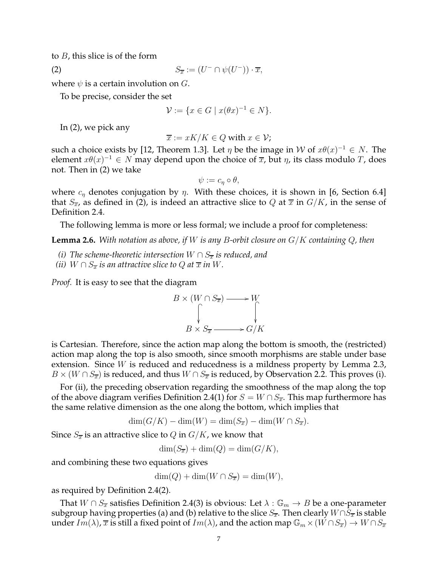to  $B$ , this slice is of the form

$$
(2) \tS_{\overline{x}} := (U^- \cap \psi(U^-)) \cdot \overline{x},
$$

where  $\psi$  is a certain involution on  $G$ .

To be precise, consider the set

$$
\mathcal{V} := \{ x \in G \mid x(\theta x)^{-1} \in N \}.
$$

In (2), we pick any

$$
\overline{x} := xK/K \in Q \text{ with } x \in \mathcal{V};
$$

such a choice exists by [12, Theorem 1.3]. Let  $\eta$  be the image in W of  $x\theta(x)^{-1} \in N$ . The element  $x\theta(x)^{-1} \in N$  may depend upon the choice of  $\overline{x}$ , but  $\eta$ , its class modulo T, does not. Then in (2) we take

$$
\psi := c_{\eta} \circ \theta,
$$

where  $c_{\eta}$  denotes conjugation by  $\eta$ . With these choices, it is shown in [6, Section 6.4] that  $S_{\overline{x}}$ , as defined in (2), is indeed an attractive slice to Q at  $\overline{x}$  in  $G/K$ , in the sense of Definition 2.4.

The following lemma is more or less formal; we include a proof for completeness:

**Lemma 2.6.** *With notation as above, if* W *is any* B*-orbit closure on* G/K *containing* Q*, then*

- *(i)* The scheme-theoretic intersection  $W \cap S_{\overline{x}}$  is reduced, and
- *(ii)*  $W \cap S_{\overline{x}}$  *is an attractive slice to Q at*  $\overline{x}$  *in* W.

*Proof.* It is easy to see that the diagram



is Cartesian. Therefore, since the action map along the bottom is smooth, the (restricted) action map along the top is also smooth, since smooth morphisms are stable under base extension. Since *W* is reduced and reducedness is a mildness property by Lemma 2.3,  $B \times (W \cap S_{\overline{x}})$  is reduced, and thus  $W \cap S_{\overline{x}}$  is reduced, by Observation 2.2. This proves (i).

For (ii), the preceding observation regarding the smoothness of the map along the top of the above diagram verifies Definition 2.4(1) for  $S = W \cap S_{\overline{x}}$ . This map furthermore has the same relative dimension as the one along the bottom, which implies that

$$
\dim(G/K) - \dim(W) = \dim(S_{\overline{x}}) - \dim(W \cap S_{\overline{x}}).
$$

Since  $S_{\overline{x}}$  is an attractive slice to Q in  $G/K$ , we know that

 $\dim(S_{\overline{x}}) + \dim(Q) = \dim(G/K),$ 

and combining these two equations gives

 $\dim(Q) + \dim(W \cap S_{\overline{x}}) = \dim(W),$ 

as required by Definition 2.4(2).

That  $W \cap S_{\overline{x}}$  satisfies Definition 2.4(3) is obvious: Let  $\lambda : \mathbb{G}_m \to B$  be a one-parameter subgroup having properties (a) and (b) relative to the slice  $S_{\overline{x}}$ . Then clearly  $W \cap S_{\overline{x}}$  is stable under  $Im(\lambda)$ ,  $\overline{x}$  is still a fixed point of  $Im(\lambda)$ , and the action map  $\mathbb{G}_m \times (W \cap S_{\overline{x}}) \to W \cap S_{\overline{x}}$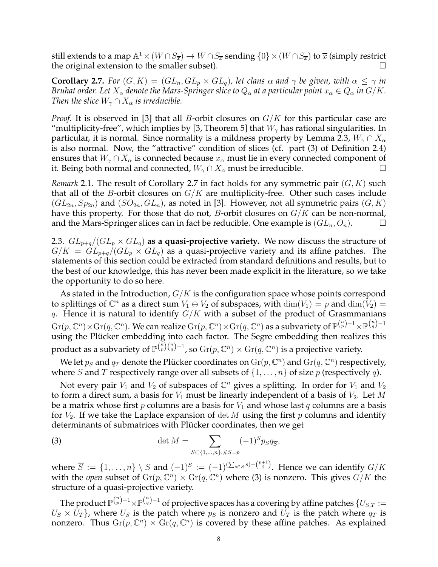still extends to a map  $\mathbb A^1\times (W\cap S_{\overline x})\to W\cap S_{\overline x}$  sending  $\{0\}\times (W\cap S_{\overline x})$  to  $\overline x$  (simply restrict the original extension to the smaller subset).

**Corollary 2.7.** *For*  $(G, K) = (GL_n, GL_p \times GL_q)$ , let clans  $\alpha$  and  $\gamma$  be given, with  $\alpha \leq \gamma$  in *Bruhat order. Let*  $X_\alpha$  *denote the Mars-Springer slice to*  $Q_\alpha$  *at a particular point*  $x_\alpha \in Q_\alpha$  *in*  $G/K$ *. Then the slice*  $W_{\gamma} \cap X_{\alpha}$  *is irreducible.* 

*Proof.* It is observed in [3] that all *B*-orbit closures on  $G/K$  for this particular case are "multiplicity-free", which implies by [3, Theorem 5] that  $W_{\gamma}$  has rational singularities. In particular, it is normal. Since normality is a mildness property by Lemma 2.3,  $W_{\gamma} \cap X_{\alpha}$ is also normal. Now, the "attractive" condition of slices (cf. part (3) of Definition 2.4) ensures that  $W_\gamma \cap X_\alpha$  is connected because  $x_\alpha$  must lie in every connected component of it. Being both normal and connected,  $W_\gamma \cap X_\alpha$  must be irreducible.

*Remark* 2.1. The result of Corollary 2.7 in fact holds for any symmetric pair  $(G, K)$  such that all of the *B*-orbit closures on  $G/K$  are multiplicity-free. Other such cases include  $(GL_{2n}, Sp_{2n})$  and  $(SO_{2n}, GL_n)$ , as noted in [3]. However, not all symmetric pairs  $(G, K)$ have this property. For those that do not, *B*-orbit closures on  $G/K$  can be non-normal, and the Mars-Springer slices can in fact be reducible. One example is  $(GL_n, O_n)$ .

2.3.  $GL_{p+q}/(GL_p \times GL_q)$  as a quasi-projective variety. We now discuss the structure of  $G/K = GL_{p+q}/(GL_p \times GL_q)$  as a quasi-projective variety and its affine patches. The statements of this section could be extracted from standard definitions and results, but to the best of our knowledge, this has never been made explicit in the literature, so we take the opportunity to do so here.

As stated in the Introduction,  $G/K$  is the configuration space whose points correspond to splittings of  $\mathbb{C}^n$  as a direct sum  $V_1 \oplus V_2$  of subspaces, with  $\dim(V_1) = p$  and  $\dim(V_2) =$ q. Hence it is natural to identify  $G/K$  with a subset of the product of Grasmmanians  ${\rm Gr}(p,\mathbb C^n)\times{\rm Gr}(q,\mathbb C^n).$  We can realize  ${\rm Gr}(p,\mathbb C^n)\times{\rm Gr}(q,\mathbb C^n)$  as a subvariety of  $\mathbb P^{n\choose p-1}\times \mathbb P^{n\choose q-1}$ using the Plücker embedding into each factor. The Segre embedding then realizes this product as a subvariety of  $\mathbb{P}^{\binom{n}{p}\binom{n}{q}-1}$ , so  $\mathrm{Gr}(p,\mathbb{C}^n)\times \mathrm{Gr}(q,\mathbb{C}^n)$  is a projective variety.

We let  $p_S$  and  $q_T$  denote the Plücker coordinates on  ${\rm Gr}(p, {\mathbb C}^n)$  and  ${\rm Gr}(q, {\mathbb C}^n)$  respectively, where S and T respectively range over all subsets of  $\{1,\ldots,n\}$  of size p (respectively q).

Not every pair  $V_1$  and  $V_2$  of subspaces of  $\mathbb{C}^n$  gives a splitting. In order for  $V_1$  and  $V_2$ to form a direct sum, a basis for  $V_1$  must be linearly independent of a basis of  $V_2$ . Let M be a matrix whose first p columns are a basis for  $V_1$  and whose last q columns are a basis for  $V_2$ . If we take the Laplace expansion of det M using the first p columns and identify determinants of submatrices with Plücker coordinates, then we get

(3) 
$$
\det M = \sum_{S \subset \{1, ..., n\}, \#S = p} (-1)^S p_S q_{\overline{S}},
$$

where  $\overline{S} := \{1,\ldots,n\} \setminus S$  and  $(-1)^S := (-1)^{(\sum_{s \in S} s) - \binom{p+1}{2}}$ . Hence we can identify  $G/K$ with the *open* subset of  $\mathrm{Gr}(p,\mathbb{C}^n)\times \mathrm{Gr}(q,\mathbb{C}^n)$  where (3) is nonzero. This gives  $G/K$  the structure of a quasi-projective variety.

The product  $\mathbb{P}^{n\choose p-1}\times \mathbb{P}^{n\choose q-1}$  of projective spaces has a covering by affine patches  $\{U_{S,T}:=$  $U_S \times U_T$ , where  $U_S$  is the patch where  $p_S$  is nonzero and  $U_T$  is the patch where  $q_T$  is nonzero. Thus  $\mathrm{Gr}(p,\mathbb{C}^n) \times \mathrm{Gr}(q,\mathbb{C}^n)$  is covered by these affine patches. As explained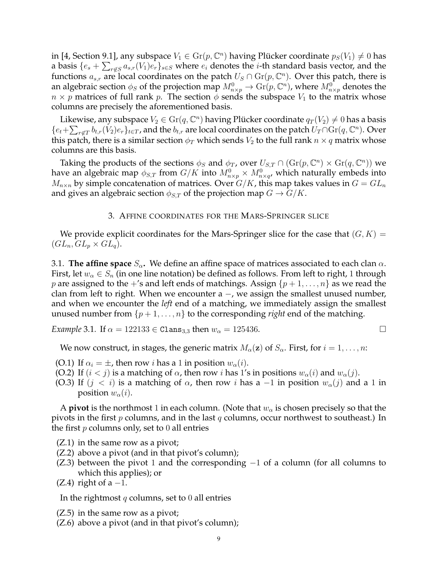in [4, Section 9.1], any subspace  $V_1 \in \mathrm{Gr}(p,\mathbb{C}^n)$  having Plücker coordinate  $p_S(V_1) \neq 0$  has a basis  $\{e_s+\sum_{r\not\in S}a_{s,r}(V_1)e_r\}_{s\in S}$  where  $e_i$  denotes the  $i$ -th standard basis vector, and the functions  $a_{s,r}$  are local coordinates on the patch  $U_S \cap \mathrm{Gr}(p,\mathbb{C}^n)$ . Over this patch, there is an algebraic section  $\phi_S$  of the projection map  $M^0_{n\times p}\to \mathrm{Gr}(p,{\mathbb C}^n)$ , where  $M^0_{n\times p}$  denotes the  $n \times p$  matrices of full rank p. The section  $\phi$  sends the subspace  $V_1$  to the matrix whose columns are precisely the aforementioned basis.

Likewise, any subspace  $V_2 \in \mathrm{Gr}(q, \mathbb{C}^n)$  having Plücker coordinate  $q_T(V_2) \neq 0$  has a basis  $\{e_t+\sum_{r\not\in T}b_{t,r}(V_2)e_r\}_{t\in T}$ , and the  $b_{t,r}$  are local coordinates on the patch  $U_T\cap\mathrm{Gr}(q,\mathbb C^n)$ . Over this patch, there is a similar section  $\phi_T$  which sends  $V_2$  to the full rank  $n \times q$  matrix whose columns are this basis.

Taking the products of the sections  $\phi_S$  and  $\phi_T$ , over  $U_{S,T} \cap (\text{Gr}(p,\mathbb{C}^n) \times \text{Gr}(q,\mathbb{C}^n))$  we have an algebraic map  $\phi_{S,T}$  from  $G/K$  into  $M^0_{n\times p}\times M^0_{n\times q}$ , which naturally embeds into  $M_{n\times n}$  by simple concatenation of matrices. Over  $G/K$ , this map takes values in  $G=GL_n$ and gives an algebraic section  $\phi_{S,T}$  of the projection map  $G \to G/K$ .

### 3. AFFINE COORDINATES FOR THE MARS-SPRINGER SLICE

We provide explicit coordinates for the Mars-Springer slice for the case that  $(G, K)$  =  $(GL_n,GL_p \times GL_q).$ 

3.1. **The affine space**  $S_\alpha$ . We define an affine space of matrices associated to each clan  $\alpha$ . First, let  $w_{\alpha} \in S_n$  (in one line notation) be defined as follows. From left to right, 1 through p are assigned to the  $+$ 's and left ends of matchings. Assign  $\{p+1,\ldots,n\}$  as we read the clan from left to right. When we encounter  $a -$ , we assign the smallest unused number, and when we encounter the *left* end of a matching, we immediately assign the smallest unused number from  $\{p+1,\ldots,n\}$  to the corresponding *right* end of the matching.

*Example* 3.1*.* If  $\alpha = 122133 \in \text{Clans}_{3,3}$  then  $w_{\alpha} = 125436$ .

$$
\qquad \qquad \Box
$$

We now construct, in stages, the generic matrix  $M_{\alpha}(\mathbf{z})$  of  $S_{\alpha}$ . First, for  $i = 1, \ldots, n$ :

- (O.1) If  $\alpha_i = \pm$ , then row *i* has a 1 in position  $w_\alpha(i)$ .
- (O.2) If  $(i < j)$  is a matching of  $\alpha$ , then row i has 1's in positions  $w_{\alpha}(i)$  and  $w_{\alpha}(j)$ .
- (O.3) If  $(j < i)$  is a matching of  $\alpha$ , then row i has a -1 in position  $w_{\alpha}(j)$  and a 1 in position  $w_\alpha(i)$ .

A **pivot** is the northmost 1 in each column. (Note that  $w_\alpha$  is chosen precisely so that the pivots in the first p columns, and in the last q columns, occur northwest to southeast.) In the first  $p$  columns only, set to 0 all entries

- (Z.1) in the same row as a pivot;
- (Z.2) above a pivot (and in that pivot's column);
- (Z.3) between the pivot 1 and the corresponding  $-1$  of a column (for all columns to which this applies); or
- (Z.4) right of a  $-1$ .

In the rightmost  $q$  columns, set to  $0$  all entries

- (Z.5) in the same row as a pivot;
- (Z.6) above a pivot (and in that pivot's column);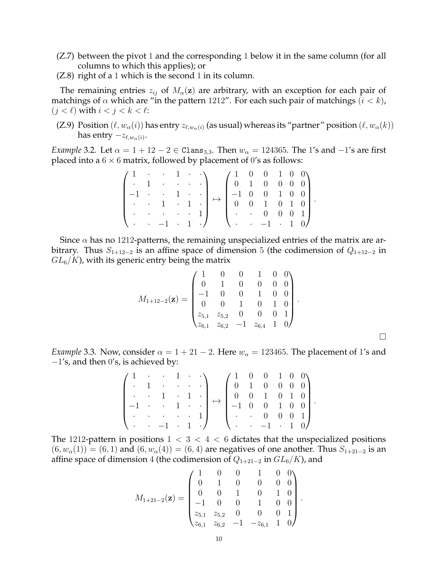- (Z.7) between the pivot 1 and the corresponding 1 below it in the same column (for all columns to which this applies); or
- (Z.8) right of a 1 which is the second 1 in its column.

The remaining entries  $z_{ij}$  of  $M_\alpha(z)$  are arbitrary, with an exception for each pair of matchings of  $\alpha$  which are "in the pattern 1212". For each such pair of matchings  $(i < k)$ ,  $(j < \ell)$  with  $i < j < k < \ell$ :

(Z.9) Position  $(\ell, w_\alpha(i))$  has entry  $z_{\ell, w_\alpha(i)}$  (as usual) whereas its "partner" position  $(\ell, w_\alpha(k))$ has entry  $-z_{\ell,w_\alpha(i)}.$ 

*Example* 3.2*.* Let  $\alpha = 1 + 12 - 2 \in \text{Clans}_{3,3}$ . Then  $w_{\alpha} = 124365$ . The 1's and  $-1$ 's are first placed into a  $6 \times 6$  matrix, followed by placement of 0's as follows:

|                  |                                   |  | $(1 \cdot 1 \cdot \cdot)$ $(1 \cdot 0 \cdot 1 \cdot 0)$                                                                                                                                               |                                                       |  |  |  |
|------------------|-----------------------------------|--|-------------------------------------------------------------------------------------------------------------------------------------------------------------------------------------------------------|-------------------------------------------------------|--|--|--|
| $\blacksquare$ . | $1 \cdot \cdot \cdot \cdot \cdot$ |  |                                                                                                                                                                                                       | $\begin{pmatrix} 0 & 1 & 0 & 0 & 0 & 0 \end{pmatrix}$ |  |  |  |
|                  |                                   |  | $-1$ $\cdots$ $1$ $\cdots$ $\cdots$                                                                                                                                                                   |                                                       |  |  |  |
|                  |                                   |  | $\begin{bmatrix} -1 & \cdot & \cdot & 1 & \cdot & \cdot \\ \cdot & \cdot & 1 & \cdot & 1 & \cdot \end{bmatrix} \mapsto \begin{bmatrix} -1 & 0 & 0 & 1 & 0 & 0 \\ 0 & 0 & 1 & 0 & 1 & 0 \end{bmatrix}$ |                                                       |  |  |  |
|                  |                                   |  | $\cdot$ $\cdot$ $\cdot$ $\cdot$ $\cdot$ $\cdot$ 1 $\cdot$ $\cdot$ $\cdot$ 0 0 0 1                                                                                                                     |                                                       |  |  |  |
|                  |                                   |  | $\backslash \cdot \cdot -1 \cdot 1 \cdot / \backslash \cdot \cdot -1 \cdot 1 \cdot 0/$                                                                                                                |                                                       |  |  |  |

Since  $\alpha$  has no 1212-patterns, the remaining unspecialized entries of the matrix are arbitrary. Thus  $S_{1+12-2}$  is an affine space of dimension 5 (the codimension of  $Q_{1+12-2}$  in  $GL_6/K$ ), with its generic entry being the matrix

$$
M_{1+12-2}(\mathbf{z}) = \begin{pmatrix} 1 & 0 & 0 & 1 & 0 & 0 \\ 0 & 1 & 0 & 0 & 0 & 0 \\ -1 & 0 & 0 & 1 & 0 & 0 \\ 0 & 0 & 1 & 0 & 1 & 0 \\ z_{5,1} & z_{5,2} & 0 & 0 & 0 & 1 \\ z_{6,1} & z_{6,2} & -1 & z_{6,4} & 1 & 0 \end{pmatrix}.
$$

 $\Box$ 

*Example* 3.3. Now, consider  $\alpha = 1 + 21 - 2$ . Here  $w_{\alpha} = 123465$ . The placement of 1's and  $-1$ 's, and then 0's, is achieved by:

| $\begin{pmatrix} 1 & \cdot & \cdot & 1 & \cdot & \cdot \\ 1 & \cdot & \cdot & \cdot & \cdot \end{pmatrix}$ $\begin{pmatrix} 1 & 0 & 0 & 1 & 0 & 0 \\ 1 & 0 & 0 & 1 & 0 & 0 \\ 0 & 0 & 0 & 0 & 0 & 0 \\ 0 & 0 & 0 & 0 & 0 & 0 \\ 0 & 0 & 0 & 0 & 0 & 0 \\ 0 & 0 & 0 & 0 & 0 & 0 \\ 0 & 0 & 0 & 0 & 0 & 0 \\ 0 & 0 & 0 & 0 & 0 & 0 \\ 0 & 0 & 0 & 0 & 0 & 0 \\ 0 & 0$ |  |  |  |                                                                                                                                                                                         |                                             |  |  |  |  |
|---------------------------------------------------------------------------------------------------------------------------------------------------------------------------------------------------------------------------------------------------------------------------------------------------------------------------------------------------------------------|--|--|--|-----------------------------------------------------------------------------------------------------------------------------------------------------------------------------------------|---------------------------------------------|--|--|--|--|
| $\begin{bmatrix} 1 & 1 & 1 & 1 & 1 & 1 \\ 1 & 1 & 1 & 1 & 1 & 1 \\ 1 & 1 & 1 & 1 & 1 & 1 \\ 1 & 1 & 1 & 1 & 1 & 1 \\ 1 & 1 & 1 & 1 & 1 & 1 \\ 1 & 1 & 1 & 1 & 1 & 1 \\ 1 & 1 & 1 & 1 & 1 & 1 \\ 1 & 1 & 1 & 1 & 1 & 1 \\ 1 & 1 & 1 & 1 & 1 & 1 \\ 1 & 1 & 1 & 1 & 1 & 1 \\ 1 & 1 & 1 & 1 & 1 & 1 \\ 1 & 1 & 1 & 1 & 1 & $                                           |  |  |  | $\begin{vmatrix} \cdot & \cdot & 1 & \cdot & 1 \\ -1 & \cdot & \cdot & 1 & \cdot \end{vmatrix} \mapsto \begin{vmatrix} 0 & 0 & 1 & 0 & 1 & 0 \\ -1 & 0 & 0 & 1 & 0 & 0 \end{vmatrix}$ . |                                             |  |  |  |  |
|                                                                                                                                                                                                                                                                                                                                                                     |  |  |  |                                                                                                                                                                                         |                                             |  |  |  |  |
|                                                                                                                                                                                                                                                                                                                                                                     |  |  |  |                                                                                                                                                                                         |                                             |  |  |  |  |
| $\begin{bmatrix} \cdot & \cdot & \cdot & \cdot & \cdot & 1 \end{bmatrix}$ $\begin{bmatrix} \cdot & \cdot & 0 & 0 & 0 & 1 \end{bmatrix}$                                                                                                                                                                                                                             |  |  |  |                                                                                                                                                                                         |                                             |  |  |  |  |
| $\backslash \cdot \cdot -1 \cdot 1 \cdot \mathcal{N}$                                                                                                                                                                                                                                                                                                               |  |  |  |                                                                                                                                                                                         | $\backslash \cdot \cdot -1 \cdot 1 \cdot 0$ |  |  |  |  |

The 1212-pattern in positions  $1 < 3 < 4 < 6$  dictates that the unspecialized positions  $(6, w<sub>\alpha</sub>(1)) = (6, 1)$  and  $(6, w<sub>\alpha</sub>(4)) = (6, 4)$  are negatives of one another. Thus  $S<sub>1+21-2</sub>$  is an affine space of dimension 4 (the codimension of  $Q_{1+21-2}$  in  $GL_6/K$ ), and

$$
M_{1+21-2}(\mathbf{z}) = \begin{pmatrix} 1 & 0 & 0 & 1 & 0 & 0 \\ 0 & 1 & 0 & 0 & 0 & 0 \\ 0 & 0 & 1 & 0 & 1 & 0 \\ -1 & 0 & 0 & 1 & 0 & 0 \\ z_{5,1} & z_{5,2} & 0 & 0 & 0 & 1 \\ z_{6,1} & z_{6,2} & -1 & -z_{6,1} & 1 & 0 \end{pmatrix}
$$

.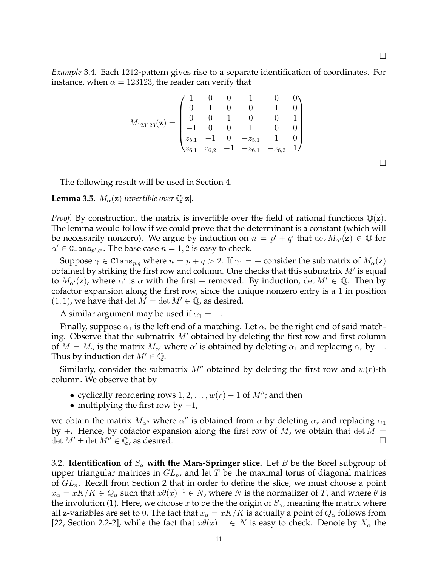$\Box$ 

*Example* 3.4*.* Each 1212-pattern gives rise to a separate identification of coordinates. For instance, when  $\alpha = 123123$ , the reader can verify that

$$
M_{123123}(\mathbf{z}) = \begin{pmatrix} 1 & 0 & 0 & 1 & 0 & 0 \\ 0 & 1 & 0 & 0 & 1 & 0 \\ 0 & 0 & 1 & 0 & 0 & 1 \\ -1 & 0 & 0 & 1 & 0 & 0 \\ z_{5,1} & -1 & 0 & -z_{5,1} & 1 & 0 \\ z_{6,1} & z_{6,2} & -1 & -z_{6,1} & -z_{6,2} & 1 \end{pmatrix}.
$$

The following result will be used in Section 4.

**Lemma 3.5.**  $M_{\alpha}(\mathbf{z})$  *invertible over*  $\mathbb{Q}[\mathbf{z}]$ *.* 

*Proof.* By construction, the matrix is invertible over the field of rational functions  $\mathbb{Q}(z)$ . The lemma would follow if we could prove that the determinant is a constant (which will be necessarily nonzero). We argue by induction on  $n = p' + q'$  that  $\det M_{\alpha'}(\mathbf{z}) \in \mathbb{Q}$  for  $\alpha' \in \texttt{Clans}_{p',q'}$ . The base case  $n = 1, 2$  is easy to check.

Suppose  $\gamma \in \text{Clans}_{p,q}$  where  $n = p + q > 2$ . If  $\gamma_1 = +$  consider the submatrix of  $M_\alpha(\mathbf{z})$ obtained by striking the first row and column. One checks that this submatrix  $M'$  is equal to  $M_{\alpha'}(z)$ , where  $\alpha'$  is  $\alpha$  with the first + removed. By induction,  $\det M' \in \mathbb{Q}$ . Then by cofactor expansion along the first row, since the unique nonzero entry is a 1 in position  $(1, 1)$ , we have that det  $M = \det M' \in \mathbb{Q}$ , as desired.

A similar argument may be used if  $\alpha_1 = -$ .

Finally, suppose  $\alpha_1$  is the left end of a matching. Let  $\alpha_r$  be the right end of said matching. Observe that the submatrix  $M'$  obtained by deleting the first row and first column of  $M = M_\alpha$  is the matrix  $M_{\alpha'}$  where  $\alpha'$  is obtained by deleting  $\alpha_1$  and replacing  $\alpha_r$  by  $-$ . Thus by induction det  $M' \in \mathbb{Q}$ .

Similarly, consider the submatrix  $M''$  obtained by deleting the first row and  $w(r)$ -th column. We observe that by

- cyclically reordering rows  $1, 2, \ldots, w(r) 1$  of  $M''$ ; and then
- multiplying the first row by  $-1$ ,

we obtain the matrix  $M_{\alpha''}$  where  $\alpha''$  is obtained from  $\alpha$  by deleting  $\alpha_r$  and replacing  $\alpha_1$ by  $+$ . Hence, by cofactor expansion along the first row of M, we obtain that  $\det M =$  $\det M' \pm \det M'' \in \mathbb{Q}$ , as desired.

3.2. **Identification of**  $S_\alpha$  with the Mars-Springer slice. Let B be the Borel subgroup of upper triangular matrices in  $GL_n$ , and let T be the maximal torus of diagonal matrices of  $GL_n$ . Recall from Section 2 that in order to define the slice, we must choose a point  $x_\alpha=xK/K\in Q_\alpha$  such that  $x\theta(x)^{-1}\in N$ , where  $N$  is the normalizer of  $T$ , and where  $\theta$  is the involution (1). Here, we choose x to be the the origin of  $S_{\alpha}$ , meaning the matrix where all z-variables are set to 0. The fact that  $x_{\alpha} = xK/K$  is actually a point of  $Q_{\alpha}$  follows from [22, Section 2.2-2], while the fact that  $x\theta(x)^{-1} \in N$  is easy to check. Denote by  $X_\alpha$  the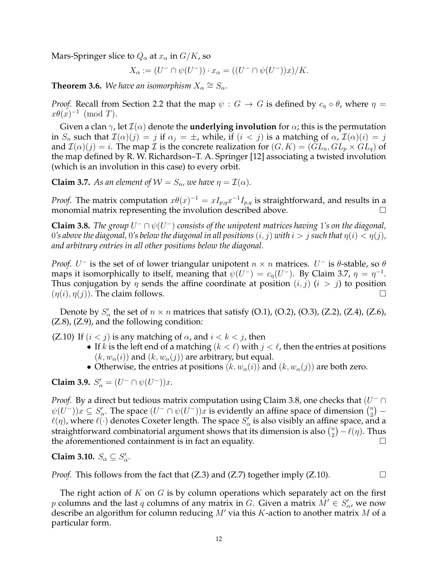Mars-Springer slice to  $Q_{\alpha}$  at  $x_{\alpha}$  in  $G/K$ , so

$$
X_{\alpha} := (U^{-} \cap \psi(U^{-})) \cdot x_{\alpha} = ((U^{-} \cap \psi(U^{-}))x)/K.
$$

**Theorem 3.6.** We have an isomorphism  $X_\alpha \cong S_\alpha$ .

*Proof.* Recall from Section 2.2 that the map  $\psi : G \to G$  is defined by  $c_n \circ \theta$ , where  $\eta =$  $x\theta(x)^{-1}$  (mod T).

Given a clan  $\gamma$ , let  $\mathcal{I}(\alpha)$  denote the **underlying involution** for  $\alpha$ ; this is the permutation in  $S_n$  such that  $\mathcal{I}(\alpha)(j) = j$  if  $\alpha_j = \pm$ , while, if  $(i < j)$  is a matching of  $\alpha$ ,  $\mathcal{I}(\alpha)(i) = j$ and  $\mathcal{I}(\alpha)(j) = i$ . The map  $\mathcal I$  is the concrete realization for  $(G, K) = (GL_n, GL_p \times GL_q)$  of the map defined by R. W. Richardson–T. A. Springer [12] associating a twisted involution (which is an involution in this case) to every orbit.

**Claim 3.7.** As an element of  $W = S_n$ , we have  $\eta = \mathcal{I}(\alpha)$ .

*Proof.* The matrix computation  $x\theta(x)^{-1} = xI_{p,q}x^{-1}I_{p,q}$  is straightforward, and results in a monomial matrix representing the involution described above.

**Claim 3.8.** *The group*  $U^- \cap \psi(U^-)$  consists of the unipotent matrices having 1's on the diagonal, 0's above the diagonal, 0's below the diagonal in all positions  $(i, j)$  with  $i > j$  such that  $\eta(i) < \eta(j)$ , *and arbitrary entries in all other positions below the diagonal.*

*Proof.*  $U^-$  is the set of of lower triangular unipotent  $n \times n$  matrices.  $U^-$  is  $\theta$ -stable, so  $\theta$ maps it isomorphically to itself, meaning that  $\psi(U^-) = c_{\eta}(U^-)$ . By Claim 3.7,  $\eta = \eta^{-1}$ . Thus conjugation by  $\eta$  sends the affine coordinate at position  $(i, j)$   $(i > j)$  to position  $(\eta(i), \eta(j))$ . The claim follows.

Denote by  $S'_\alpha$  the set of  $n \times n$  matrices that satisfy (O.1), (O.2), (O.3), (Z.2), (Z.4), (Z.6), (Z.8), (Z.9), and the following condition:

(Z.10) If  $(i < j)$  is any matching of  $\alpha$ , and  $i < k < j$ , then

- If k is the left end of a matching  $(k < \ell)$  with  $j < \ell$ , then the entries at positions  $(k, w_{\alpha}(i))$  and  $(k, w_{\alpha}(j))$  are arbitrary, but equal.
- Otherwise, the entries at positions  $(k, w_\alpha(i))$  and  $(k, w_\alpha(j))$  are both zero.

**Claim 3.9.**  $S'_{\alpha} = (U^{-} \cap \psi(U^{-}))x$ .

*Proof.* By a direct but tedious matrix computation using Claim 3.8, one checks that  $(U^- \cap$  $\psi(U^-))x\subseteq S_\alpha'.$  The space  $(U^-\cap \psi(U^-))x$  is evidently an affine space of dimension  $\binom{n}{2}$  $\binom{n}{2}$  –  $\ell(\eta)$ , where  $\ell(\cdot)$  denotes Coxeter length. The space  $S_\alpha'$  is also visibly an affine space, and a straightforward combinatorial argument shows that its dimension is also  $\binom{n}{2}$  $\binom{n}{2} - \ell(\eta)$ . Thus the aforementioned containment is in fact an equality.

# **Claim 3.10.**  $S_{\alpha} \subseteq S_{\alpha}'$ .

*Proof.* This follows from the fact that  $(Z.3)$  and  $(Z.7)$  together imply  $(Z.10)$ .

The right action of  $K$  on  $G$  is by column operations which separately act on the first p columns and the last q columns of any matrix in G. Given a matrix  $M' \in S'_{\alpha}$ , we now describe an algorithm for column reducing  $M'$  via this K-action to another matrix M of a particular form.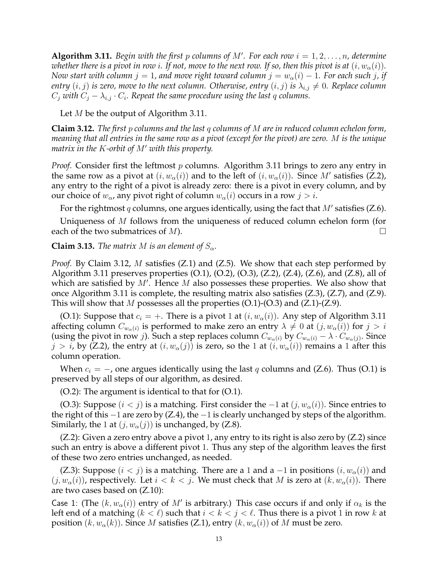**Algorithm 3.11.** *Begin with the first p columns of M'. For each row*  $i = 1, 2, \ldots, n$ , *determine whether there is a pivot in row i. If not, move to the next row. If so, then this pivot is at*  $(i, w_\alpha(i))$ *. Now start with column*  $j = 1$ , and move right toward column  $j = w_\alpha(i) - 1$ . For each such j, if *entry*  $(i, j)$  *is zero, move to the next column. Otherwise, entry*  $(i, j)$  *is*  $\lambda_{i,j} \neq 0$ *. Replace column*  $C_j$  with  $C_j - \lambda_{i,j} \cdot C_i$ . Repeat the same procedure using the last q columns.

Let  $M$  be the output of Algorithm 3.11.

**Claim 3.12.** *The first* p *columns and the last* q *columns of* M *are in reduced column echelon form, meaning that all entries in the same row as a pivot (except for the pivot) are zero.* M *is the unique matrix in the* K*-orbit of* M′ *with this property.*

*Proof.* Consider first the leftmost p columns. Algorithm 3.11 brings to zero any entry in the same row as a pivot at  $(i, w_{\alpha}(i))$  and to the left of  $(i, w_{\alpha}(i))$ . Since M' satisfies (Z.2), any entry to the right of a pivot is already zero: there is a pivot in every column, and by our choice of  $w_{\alpha}$ , any pivot right of column  $w_{\alpha}(i)$  occurs in a row  $j > i$ .

For the rightmost  $q$  columns, one argues identically, using the fact that  $M'$  satisfies (Z.6).

Uniqueness of M follows from the uniqueness of reduced column echelon form (for each of the two submatrices of  $M$ ).

**Claim 3.13.** *The matrix M is an element of*  $S_\alpha$ *.* 

*Proof.* By Claim 3.12, M satisfies (Z.1) and (Z.5). We show that each step performed by Algorithm 3.11 preserves properties  $(O.1)$ ,  $(O.2)$ ,  $(O.3)$ ,  $(Z.2)$ ,  $(Z.4)$ ,  $(Z.6)$ , and  $(Z.8)$ , all of which are satisfied by  $M'$ . Hence  $M$  also possesses these properties. We also show that once Algorithm 3.11 is complete, the resulting matrix also satisfies (Z.3), (Z.7), and (Z.9). This will show that M possesses all the properties  $(O.1)-(O.3)$  and  $(Z.1)-(Z.9)$ .

(O.1): Suppose that  $c_i = +$ . There is a pivot 1 at  $(i, w_\alpha(i))$ . Any step of Algorithm 3.11 affecting column  $C_{w_\alpha(i)}$  is performed to make zero an entry  $\lambda \neq 0$  at  $(j, w_\alpha(i))$  for  $j > i$ (using the pivot in row *j*). Such a step replaces column  $C_{w_\alpha(i)}$  by  $C_{w_\alpha(i)} - \lambda \cdot C_{w_\alpha(j)}$ . Since  $j > i$ , by (Z.2), the entry at  $(i, w_{\alpha}(j))$  is zero, so the 1 at  $(i, w_{\alpha}(i))$  remains a 1 after this column operation.

When  $c_i = -$ , one argues identically using the last q columns and (Z.6). Thus (O.1) is preserved by all steps of our algorithm, as desired.

(O.2): The argument is identical to that for (O.1).

(O.3): Suppose  $(i < j)$  is a matching. First consider the  $-1$  at  $(j, w_\alpha(i))$ . Since entries to the right of this  $-1$  are zero by (Z.4), the  $-1$  is clearly unchanged by steps of the algorithm. Similarly, the 1 at  $(j, w_\alpha(j))$  is unchanged, by (Z.8).

 $(Z.2)$ : Given a zero entry above a pivot 1, any entry to its right is also zero by  $(Z.2)$  since such an entry is above a different pivot 1. Thus any step of the algorithm leaves the first of these two zero entries unchanged, as needed.

(Z.3): Suppose  $(i < j)$  is a matching. There are a 1 and a  $-1$  in positions  $(i, w_{\alpha}(i))$  and  $(j, w_\alpha(i))$ , respectively. Let  $i < k < j$ . We must check that M is zero at  $(k, w_\alpha(i))$ . There are two cases based on (Z.10):

Case 1: (The  $(k, w_{\alpha}(i))$  entry of M' is arbitrary.) This case occurs if and only if  $\alpha_k$  is the left end of a matching  $(k < \ell)$  such that  $i < k < j < \ell$ . Thus there is a pivot 1 in row k at position  $(k, w_\alpha(k))$ . Since M satisfies (Z.1), entry  $(k, w_\alpha(i))$  of M must be zero.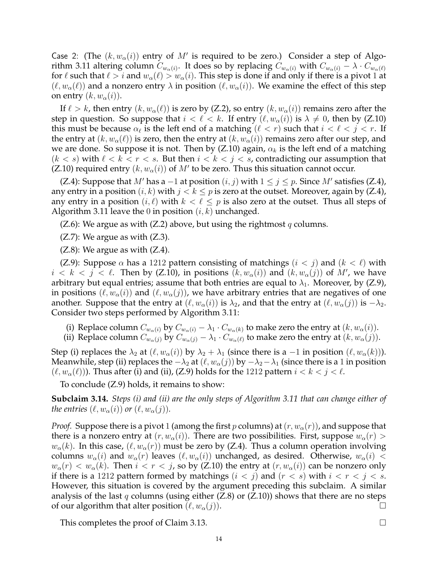Case 2: (The  $(k, w_{\alpha}(i))$  entry of M' is required to be zero.) Consider a step of Algorithm 3.11 altering column  $C_{w_\alpha(i)}.$  It does so by replacing  $C_{w_\alpha(i)}$  with  $C_{w_\alpha(i)}-\lambda\cdot C_{w_\alpha(\ell)}$ for  $\ell$  such that  $\ell > i$  and  $w_\alpha(\ell) > w_\alpha(i)$ . This step is done if and only if there is a pivot 1 at  $(\ell, w_{\alpha}(\ell))$  and a nonzero entry  $\lambda$  in position  $(\ell, w_{\alpha}(i))$ . We examine the effect of this step on entry  $(k, w_\alpha(i))$ .

If  $\ell > k$ , then entry  $(k, w_{\alpha}(\ell))$  is zero by (Z.2), so entry  $(k, w_{\alpha}(i))$  remains zero after the step in question. So suppose that  $i < \ell < k$ . If entry  $(\ell, w_{\alpha}(i))$  is  $\lambda \neq 0$ , then by (Z.10) this must be because  $\alpha_{\ell}$  is the left end of a matching  $(\ell < r)$  such that  $i < \ell < j < r$ . If the entry at  $(k, w_{\alpha}(\ell))$  is zero, then the entry at  $(k, w_{\alpha}(i))$  remains zero after our step, and we are done. So suppose it is not. Then by (Z.10) again,  $\alpha_k$  is the left end of a matching  $(k < s)$  with  $\ell < k < r < s$ . But then  $i < k < j < s$ , contradicting our assumption that (Z.10) required entry  $(k, w_{\alpha}(i))$  of  $M'$  to be zero. Thus this situation cannot occur.

(Z.4): Suppose that M' has a  $-1$  at position  $(i, j)$  with  $1 \le j \le p$ . Since M' satisfies (Z.4), any entry in a position  $(i, k)$  with  $j < k \leq p$  is zero at the outset. Moreover, again by (Z.4), any entry in a position  $(i, \ell)$  with  $k < \ell \leq p$  is also zero at the outset. Thus all steps of Algorithm 3.11 leave the 0 in position  $(i, k)$  unchanged.

(Z.6): We argue as with (Z.2) above, but using the rightmost q columns.

 $(Z.7)$ : We argue as with  $(Z.3)$ .

 $(Z.8)$ : We argue as with  $(Z.4)$ .

(Z.9): Suppose  $\alpha$  has a 1212 pattern consisting of matchings  $(i < j)$  and  $(k < \ell)$  with  $i < k < j < \ell$ . Then by (Z.10), in positions  $(k, w_{\alpha}(i))$  and  $(k, w_{\alpha}(j))$  of M', we have arbitrary but equal entries; assume that both entries are equal to  $\lambda_1$ . Moreover, by (Z.9), in positions  $(\ell, w_{\alpha}(i))$  and  $(\ell, w_{\alpha}(j))$ , we have arbitrary entries that are negatives of one another. Suppose that the entry at  $(\ell, w_\alpha(i))$  is  $\lambda_2$ , and that the entry at  $(\ell, w_\alpha(j))$  is  $-\lambda_2$ . Consider two steps performed by Algorithm 3.11:

- (i) Replace column  $C_{w_\alpha(i)}$  by  $C_{w_\alpha(i)} \lambda_1 \cdot C_{w_\alpha(k)}$  to make zero the entry at  $(k, w_\alpha(i))$ .
- (ii) Replace column  $C_{w_\alpha(j)}$  by  $C_{w_\alpha(j)} \lambda_1 \cdot C_{w_\alpha(\ell)}$  to make zero the entry at  $(k, w_\alpha(j))$ .

Step (i) replaces the  $\lambda_2$  at  $(\ell, w_\alpha(i))$  by  $\lambda_2 + \lambda_1$  (since there is a -1 in position  $(\ell, w_\alpha(k))$ ). Meanwhile, step (ii) replaces the  $-\lambda_2$  at  $(\ell, w_\alpha(j))$  by  $-\lambda_2 - \lambda_1$  (since there is a 1 in position  $(\ell, w_{\alpha}(\ell))$ ). Thus after (i) and (ii), (Z.9) holds for the 1212 pattern  $i < k < j < \ell$ .

To conclude (Z.9) holds, it remains to show:

**Subclaim 3.14.** *Steps (i) and (ii) are the only steps of Algorithm 3.11 that can change either of the entries*  $(\ell, w_\alpha(i))$  *or*  $(\ell, w_\alpha(j))$ *.* 

*Proof.* Suppose there is a pivot 1 (among the first p columns) at  $(r, w_\alpha(r))$ , and suppose that there is a nonzero entry at  $(r, w_{\alpha}(i))$ . There are two possibilities. First, suppose  $w_{\alpha}(r)$  >  $w_{\alpha}(k)$ . In this case,  $(\ell, w_{\alpha}(r))$  must be zero by (Z.4). Thus a column operation involving columns  $w_\alpha(i)$  and  $w_\alpha(r)$  leaves  $(\ell, w_\alpha(i))$  unchanged, as desired. Otherwise,  $w_\alpha(i)$  <  $w_\alpha(r) < w_\alpha(k)$ . Then  $i < r < j$ , so by (Z.10) the entry at  $(r, w_\alpha(i))$  can be nonzero only if there is a 1212 pattern formed by matchings  $(i < j)$  and  $(r < s)$  with  $i < r < j < s$ . However, this situation is covered by the argument preceding this subclaim. A similar analysis of the last  $q$  columns (using either (Z.8) or (Z.10)) shows that there are no steps of our algorithm that alter position  $(\ell, w_\alpha(j))$ .

This completes the proof of Claim 3.13.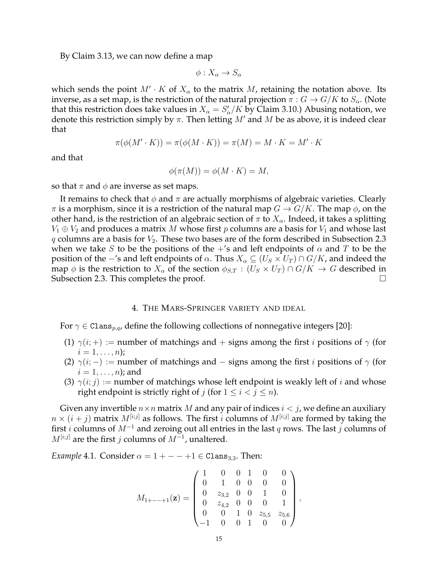By Claim 3.13, we can now define a map

$$
\phi: X_{\alpha} \to S_{\alpha}
$$

which sends the point  $M' \cdot K$  of  $X_\alpha$  to the matrix  $M$ , retaining the notation above. Its inverse, as a set map, is the restriction of the natural projection  $\pi: G \to G/K$  to  $S_{\alpha}$ . (Note that this restriction does take values in  $X_{\alpha} = S'_{\alpha}/K$  by Claim 3.10.) Abusing notation, we denote this restriction simply by  $\pi$ . Then letting M' and M be as above, it is indeed clear that

$$
\pi(\phi(M' \cdot K)) = \pi(\phi(M \cdot K)) = \pi(M) = M \cdot K = M' \cdot K
$$

and that

$$
\phi(\pi(M)) = \phi(M \cdot K) = M,
$$

so that  $\pi$  and  $\phi$  are inverse as set maps.

It remains to check that  $\phi$  and  $\pi$  are actually morphisms of algebraic varieties. Clearly  $\pi$  is a morphism, since it is a restriction of the natural map  $G \to G/K$ . The map  $\phi$ , on the other hand, is the restriction of an algebraic section of  $\pi$  to  $X_{\alpha}$ . Indeed, it takes a splitting  $V_1 \oplus V_2$  and produces a matrix M whose first p columns are a basis for  $V_1$  and whose last q columns are a basis for  $V_2$ . These two bases are of the form described in Subsection 2.3 when we take S to be the positions of the  $+$ 's and left endpoints of  $\alpha$  and T to be the position of the −'s and left endpoints of  $\alpha$ . Thus  $X_{\alpha} \subseteq (U_S \times U_T) \cap G/K$ , and indeed the map  $\phi$  is the restriction to  $X_\alpha$  of the section  $\phi_{S,T} : (U_S \times U_T) \cap G/K \to G$  described in Subsection 2.3. This completes the proof.

#### 4. THE MARS-SPRINGER VARIETY AND IDEAL

For  $\gamma \in \text{Clans}_{p,q}$ , define the following collections of nonnegative integers [20]:

- (1)  $\gamma(i;+)$  := number of matchings and + signs among the first *i* positions of  $\gamma$  (for  $i = 1, \ldots, n);$
- (2)  $\gamma(i; -) :=$  number of matchings and signs among the first i positions of  $\gamma$  (for  $i = 1, \ldots, n$ ; and
- (3)  $\gamma(i; j) :=$  number of matchings whose left endpoint is weakly left of i and whose right endpoint is strictly right of j (for  $1 \le i < j \le n$ ).

Given any invertible  $n \times n$  matrix M and any pair of indices  $i < j$ , we define an auxiliary  $n \times (i + j)$  matrix  $M^{[i;j]}$  as follows. The first i columns of  $M^{[i;j]}$  are formed by taking the first  $i$  columns of  $M^{-1}$  and zeroing out all entries in the last q rows. The last j columns of  $M^{[i;j]}$  are the first j columns of  $M^{-1}$ , unaltered.

*Example* 4.1*.* Consider  $\alpha = 1 + - - +1 \in \text{Clans}_{3,3}$ . Then:

$$
M_{1+---+1}(\mathbf{z}) = \begin{pmatrix} 1 & 0 & 0 & 1 & 0 & 0 \\ 0 & 1 & 0 & 0 & 0 & 0 \\ 0 & z_{3,2} & 0 & 0 & 1 & 0 \\ 0 & z_{4,2} & 0 & 0 & 0 & 1 \\ 0 & 0 & 1 & 0 & z_{5,5} & z_{5,6} \\ -1 & 0 & 0 & 1 & 0 & 0 \end{pmatrix},
$$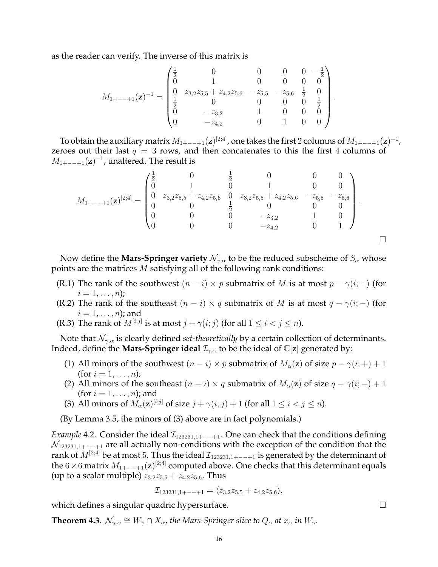as the reader can verify. The inverse of this matrix is

$$
M_{1+---+1}(\mathbf{z})^{-1} = \begin{pmatrix} \frac{1}{2} & 0 & 0 & 0 & 0 & -\frac{1}{2} \\ 0 & 1 & 0 & 0 & 0 & 0 \\ 0 & z_{3,2}z_{5,5} + z_{4,2}z_{5,6} & -z_{5,5} & -z_{5,6} & \frac{1}{2} & 0 \\ \frac{1}{2} & 0 & 0 & 0 & 0 & \frac{1}{2} \\ 0 & -z_{3,2} & 1 & 0 & 0 & 0 \\ 0 & -z_{4,2} & 0 & 1 & 0 & 0 \end{pmatrix}.
$$

To obtain the auxiliary matrix  $M_{1+---+1}({\bf z})^{[2;4]}$ , one takes the first 2 columns of  $M_{1+---+1}({\bf z})^{-1}$ , zeroes out their last  $q = 3$  rows, and then concatenates to this the first 4 columns of  $M_{1+---+1}(\mathbf{z})^{-1}$ , unaltered. The result is

$$
M_{1+---+1}(\mathbf{z})^{[2;4]} = \begin{pmatrix} \frac{1}{2} & 0 & \frac{1}{2} & 0 & 0 & 0 \\ 0 & 1 & 0 & 1 & 0 & 0 \\ 0 & z_{3,2}z_{5,5} + z_{4,2}z_{5,6} & 0 & z_{3,2}z_{5,5} + z_{4,2}z_{5,6} & -z_{5,5} & -z_{5,6} \\ 0 & 0 & \frac{1}{2} & 0 & 0 & 0 \\ 0 & 0 & 0 & -z_{3,2} & 1 & 0 \\ 0 & 0 & 0 & -z_{4,2} & 0 & 1 \end{pmatrix}.
$$

Now define the **Mars-Springer variety**  $\mathcal{N}_{\gamma,\alpha}$  to be the reduced subscheme of  $S_\alpha$  whose points are the matrices M satisfying all of the following rank conditions:

- (R.1) The rank of the southwest  $(n i) \times p$  submatrix of M is at most  $p \gamma(i; +)$  (for  $i = 1, \ldots, n);$
- (R.2) The rank of the southeast  $(n i) \times q$  submatrix of M is at most  $q \gamma(i; -)$  (for  $i = 1, \ldots, n$ ; and
- (R.3) The rank of  $M^{[i;j]}$  is at most  $j + \gamma(i;j)$  (for all  $1 \leq i < j \leq n$ ).

Note that  $\mathcal{N}_{\gamma,\alpha}$  is clearly defined *set-theoretically* by a certain collection of determinants. Indeed, define the **Mars-Springer ideal**  $\mathcal{I}_{\gamma,\alpha}$  to be the ideal of  $\mathbb{C}[z]$  generated by:

- (1) All minors of the southwest  $(n i) \times p$  submatrix of  $M_\alpha(z)$  of size  $p \gamma(i; +) + 1$ (for  $i = 1, ..., n$ );
- (2) All minors of the southeast  $(n i) \times q$  submatrix of  $M_{\alpha}(z)$  of size  $q \gamma(i; -) + 1$ (for  $i = 1, \ldots, n$ ); and
- (3) All minors of  $M_{\alpha}(\mathbf{z})^{[i;j]}$  of size  $j + \gamma(i;j) + 1$  (for all  $1 \le i < j \le n$ ).

(By Lemma 3.5, the minors of (3) above are in fact polynomials.)

*Example* 4.2. Consider the ideal  $\mathcal{I}_{123231,1+-+1}$ . One can check that the conditions defining  $\mathcal{N}_{123231,1+−+1}$  are all actually non-conditions with the exception of the condition that the rank of  $M^{[2;4]}$  be at most 5. Thus the ideal  $\mathcal{I}_{123231,1+--+1}$  is generated by the determinant of the 6 × 6 matrix  $M_{1+$ --+1(z)<sup>[2;4]</sup> computed above. One checks that this determinant equals (up to a scalar multiple)  $z_{3,2}z_{5,5} + z_{4,2}z_{5,6}$ . Thus

$$
\mathcal{I}_{123231,1+---+1} = \langle z_{3,2} z_{5,5} + z_{4,2} z_{5,6} \rangle,
$$

which defines a singular quadric hypersurface.  $\Box$ 

**Theorem 4.3.**  $\mathcal{N}_{\gamma,\alpha} \cong W_\gamma \cap X_\alpha$ , the Mars-Springer slice to  $Q_\alpha$  at  $x_\alpha$  in  $W_\gamma$ .

 $\Box$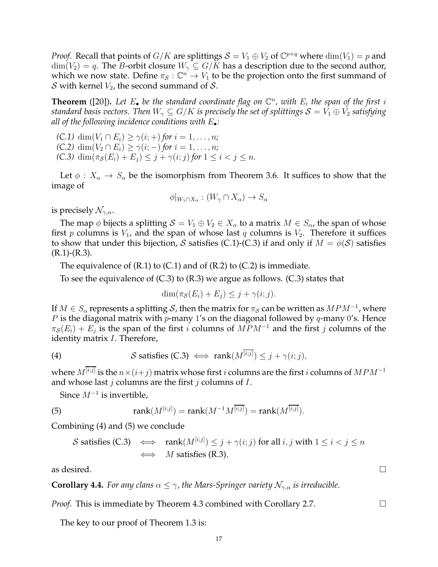*Proof.* Recall that points of  $G/K$  are splittings  $S = V_1 \oplus V_2$  of  $\mathbb{C}^{p+q}$  where  $\dim(V_1) = p$  and  $\dim(V_2) = q$ . The *B*-orbit closure  $W_\gamma \subseteq G/K$  has a description due to the second author, which we now state. Define  $\pi_{\mathcal{S}} : \mathbb{C}^n \to V_1$  to be the projection onto the first summand of S with kernel  $V_2$ , the second summand of S.

**Theorem** ([20]). Let  $E_{\bullet}$  be the standard coordinate flag on  $\mathbb{C}^n$ , with  $E_i$  the span of the first i *standard basis vectors. Then*  $W_\gamma \subseteq G/K$  *is precisely the set of splittings*  $S = V_1 \oplus V_2$  *satisfying all of the following incidence conditions with* E•*:*

*(C.1)* dim $(V_1 \cap E_i) \geq \gamma(i; +)$  *for*  $i = 1, ..., n$ *; (C.2)* dim $(V_2 \cap E_i) \geq \gamma(i; -)$  *for*  $i = 1, ..., n$ *; (C.3)* dim $(\pi_{\mathcal{S}}(E_i) + E_j) \leq j + \gamma(i; j)$  for  $1 \leq i < j \leq n$ .

Let  $\phi: X_{\alpha} \to S_{\alpha}$  be the isomorphism from Theorem 3.6. It suffices to show that the image of

$$
\phi|_{W_{\gamma}\cap X_{\alpha}} : (W_{\gamma} \cap X_{\alpha}) \to S_{\alpha}
$$

is precisely  $\mathcal{N}_{\gamma,\alpha}$ .

The map  $\phi$  bijects a splitting  $S = V_1 \oplus V_2 \in X_\alpha$  to a matrix  $M \in S_\alpha$ , the span of whose first p columns is  $V_1$ , and the span of whose last q columns is  $V_2$ . Therefore it suffices to show that under this bijection, S satisfies (C.1)-(C.3) if and only if  $M = \phi(\mathcal{S})$  satisfies  $(R.1)-(R.3)$ .

The equivalence of  $(R.1)$  to  $(C.1)$  and of  $(R.2)$  to  $(C.2)$  is immediate.

To see the equivalence of (C.3) to (R.3) we argue as follows. (C.3) states that

$$
\dim(\pi_{\mathcal{S}}(E_i) + E_j) \leq j + \gamma(i; j).
$$

If  $M\in S_\alpha$  represents a splitting  $\mathcal S$ , then the matrix for  $\pi_{\mathcal S}$  can be written as  $MPM^{-1}$ , where P is the diagonal matrix with p-many 1's on the diagonal followed by  $q$ -many 0's. Hence  $\pi_{\mathcal{S}}(E_i) + E_j$  is the span of the first i columns of  $MPM^{-1}$  and the first j columns of the identity matrix I. Therefore,

(4) 
$$
\mathcal{S} \text{ satisfies (C.3)} \iff \text{rank}(M^{\overline{[i;j]}}) \leq j + \gamma(i;j),
$$

where  $M^{[i;j]}$  is the  $n\!\times\!(i\!+\!j)$  matrix whose first  $i$  columns are the first  $i$  columns of  $MPM^{-1}$ and whose last  $j$  columns are the first  $j$  columns of  $I$ .

Since  $M^{-1}$  is invertible,

(5) 
$$
rank(M^{[i;j]}) = rank(M^{-1}M^{\overline{[i;j]}}) = rank(M^{\overline{[i;j]}}).
$$

Combining (4) and (5) we conclude

*S* satisfies (C.3) 
$$
\iff
$$
 rank( $M^{[i;j]}\rangle \leq j + \gamma(i;j)$  for all  $i, j$  with  $1 \leq i < j \leq n$   
 $\iff$  *M* satisfies (R.3),

as desired.  $\Box$ 

**Corollary 4.4.** *For any clans*  $\alpha \leq \gamma$ *, the Mars-Springer variety*  $\mathcal{N}_{\gamma,\alpha}$  *is irreducible.* 

*Proof.* This is immediate by Theorem 4.3 combined with Corollary 2.7.

The key to our proof of Theorem 1.3 is: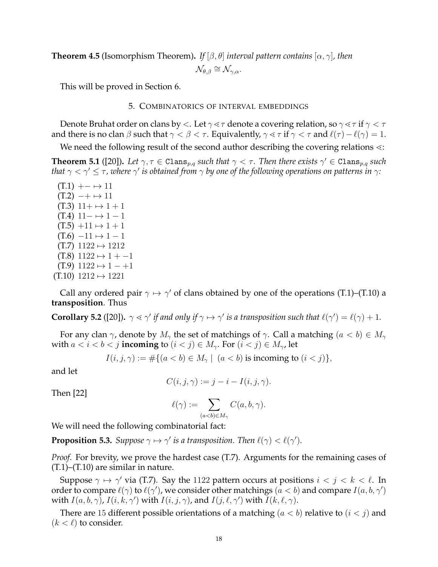**Theorem 4.5** (Isomorphism Theorem). *If*  $[\beta, \theta]$  *interval pattern contains*  $[\alpha, \gamma]$ *, then*  $\mathcal{N}_{\theta,\beta} \cong \mathcal{N}_{\gamma,\alpha}$ .

This will be proved in Section 6.

# 5. COMBINATORICS OF INTERVAL EMBEDDINGS

Denote Bruhat order on clans by  $\lt$ . Let  $\gamma \lt \tau$  denote a covering relation, so  $\gamma \lt \tau$  if  $\gamma \lt \tau$ and there is no clan  $\beta$  such that  $\gamma < \beta < \tau$ . Equivalently,  $\gamma \leq \tau$  if  $\gamma < \tau$  and  $\ell(\tau) - \ell(\gamma) = 1$ .

We need the following result of the second author describing the covering relations  $\ll$ :

**Theorem 5.1** ([20]). Let  $\gamma, \tau \in \texttt{Clans}_{p,q}$  such that  $\gamma < \tau$ . Then there exists  $\gamma' \in \texttt{Clans}_{p,q}$  such that  $\gamma < \gamma' \leq \tau$  *, where*  $\gamma'$  *is obtained from*  $\gamma$  *by one of the following operations on patterns in*  $\gamma$ *:* 

 $(T.1)$  +−  $\mapsto$  11  $(T.2)$   $-+$   $\mapsto$  11  $(T.3)$  11+  $\mapsto$  1 + 1  $(T.4)$  11−  $\mapsto$  1 − 1  $(T.5) +11 \mapsto 1 + 1$  $(T.6)$   $-11 \mapsto 1 - 1$  $(T.7)$  1122  $\mapsto$  1212  $(T.8)$  1122  $\mapsto$  1 + -1  $(T.9)$  1122  $\mapsto$  1 - +1  $(T.10)$  1212  $\mapsto$  1221

Call any ordered pair  $\gamma \mapsto \gamma'$  of clans obtained by one of the operations (T.1)–(T.10) a **transposition**. Thus

**Corollary 5.2** ([20]).  $\gamma \ll \gamma'$  if and only if  $\gamma \mapsto \gamma'$  is a transposition such that  $\ell(\gamma') = \ell(\gamma) + 1$ .

For any clan  $\gamma$ , denote by  $M_{\gamma}$  the set of matchings of  $\gamma$ . Call a matching  $(a < b) \in M_{\gamma}$ with  $a < i < b < j$  incoming to  $(i < j) \in M_{\gamma}$ . For  $(i < j) \in M_{\gamma}$ , let

$$
I(i, j, \gamma) := #\{(a < b) \in M_\gamma \mid (a < b) \text{ is incoming to } (i < j)\},
$$

and let

$$
C(i, j, \gamma) := j - i - I(i, j, \gamma).
$$

Then [22]

$$
\ell(\gamma) := \sum_{(a
$$

We will need the following combinatorial fact:

**Proposition 5.3.** *Suppose*  $\gamma \mapsto \gamma'$  *is a transposition. Then*  $\ell(\gamma) < \ell(\gamma')$ *.* 

*Proof.* For brevity, we prove the hardest case (T.7). Arguments for the remaining cases of  $(T.1)$ – $(T.10)$  are similar in nature.

Suppose  $\gamma \mapsto \gamma'$  via (T.7). Say the 1122 pattern occurs at positions  $i < j < k < \ell$ . In order to compare  $\ell(\gamma)$  to  $\ell(\gamma')$ , we consider other matchings  $(a < b)$  and compare  $I(a, b, \gamma')$ with  $I(a, b, \gamma)$ ,  $I(i, k, \gamma')$  with  $I(i, j, \gamma)$ , and  $I(j, \ell, \gamma')$  with  $I(k, \ell, \gamma)$ .

There are 15 different possible orientations of a matching  $(a < b)$  relative to  $(i < j)$  and  $(k < \ell)$  to consider.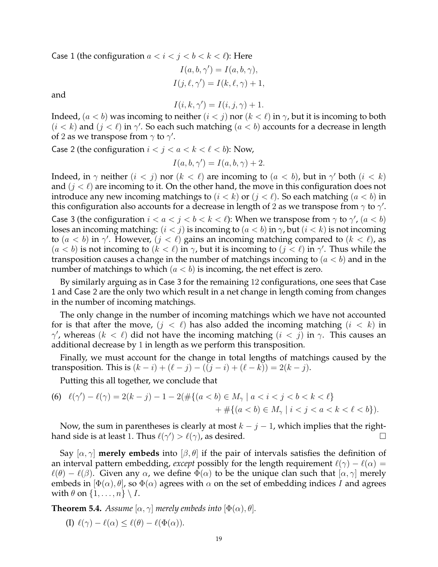Case 1 (the configuration  $a < i < j < b < k < \ell$ ): Here

$$
I(a, b, \gamma') = I(a, b, \gamma),
$$

$$
I(j, \ell, \gamma') = I(k, \ell, \gamma) + 1,
$$

and

$$
I(i, k, \gamma') = I(i, j, \gamma) + 1.
$$

Indeed,  $(a < b)$  was incoming to neither  $(i < j)$  nor  $(k < \ell)$  in  $\gamma$ , but it is incoming to both  $(i < k)$  and  $(j < \ell)$  in  $\gamma'$ . So each such matching  $(a < b)$  accounts for a decrease in length of 2 as we transpose from  $\gamma$  to  $\gamma'$ .

Case 2 (the configuration  $i < j < a < k < \ell < b$ ): Now,

$$
I(a, b, \gamma') = I(a, b, \gamma) + 2.
$$

Indeed, in  $\gamma$  neither  $(i < j)$  nor  $(k < \ell)$  are incoming to  $(a < b)$ , but in  $\gamma'$  both  $(i < k)$ and  $(j < \ell)$  are incoming to it. On the other hand, the move in this configuration does not introduce any new incoming matchings to  $(i < k)$  or  $(j < \ell)$ . So each matching  $(a < b)$  in this configuration also accounts for a decrease in length of 2 as we transpose from  $\gamma$  to  $\gamma'.$ 

Case 3 (the configuration  $i < a < j < b < k < \ell$ ): When we transpose from  $\gamma$  to  $\gamma'$ ,  $(a < b)$ loses an incoming matching:  $(i < j)$  is incoming to  $(a < b)$  in  $\gamma$ , but  $(i < k)$  is not incoming to  $(a < b)$  in  $\gamma'$ . However,  $(j < \ell)$  gains an incoming matching compared to  $(k < \ell)$ , as  $(a < b)$  is not incoming to  $(k < \ell)$  in  $\gamma$ , but it is incoming to  $(j < \ell)$  in  $\gamma'$ . Thus while the transposition causes a change in the number of matchings incoming to  $(a < b)$  and in the number of matchings to which  $(a < b)$  is incoming, the net effect is zero.

By similarly arguing as in Case 3 for the remaining 12 configurations, one sees that Case 1 and Case 2 are the only two which result in a net change in length coming from changes in the number of incoming matchings.

The only change in the number of incoming matchings which we have not accounted for is that after the move,  $(j < \ell)$  has also added the incoming matching  $(i < k)$  in  $\gamma'$ , whereas  $(k < \ell)$  did not have the incoming matching  $(i < j)$  in  $\gamma$ . This causes an additional decrease by 1 in length as we perform this transposition.

Finally, we must account for the change in total lengths of matchings caused by the transposition. This is  $(k - i) + (\ell - j) - ((j - i) + (\ell - k)) = 2(k - j)$ .

Putting this all together, we conclude that

(6) 
$$
\ell(\gamma') - \ell(\gamma) = 2(k - j) - 1 - 2(\#\{(a < b) \in M_{\gamma} \mid a < i < j < b < k < \ell\}) + \#\{(a < b) \in M_{\gamma} \mid i < j < a < k < \ell < b\}).
$$

Now, the sum in parentheses is clearly at most  $k - j - 1$ , which implies that the righthand side is at least 1. Thus  $\ell(\gamma') > \ell(\gamma)$ , as desired.

Say  $[\alpha, \gamma]$  **merely embeds** into  $[\beta, \theta]$  if the pair of intervals satisfies the definition of an interval pattern embedding, *except* possibly for the length requirement  $\ell(\gamma) - \ell(\alpha) =$  $\ell(\theta) - \ell(\beta)$ . Given any  $\alpha$ , we define  $\Phi(\alpha)$  to be the unique clan such that  $[\alpha, \gamma]$  merely embeds in  $[\Phi(\alpha), \theta]$ , so  $\Phi(\alpha)$  agrees with  $\alpha$  on the set of embedding indices I and agrees with  $\theta$  on  $\{1, \ldots, n\} \setminus I$ .

**Theorem 5.4.** *Assume*  $[\alpha, \gamma]$  *merely embeds into*  $[\Phi(\alpha), \theta]$ *.* 

(I)  $\ell(\gamma) - \ell(\alpha) \leq \ell(\theta) - \ell(\Phi(\alpha)).$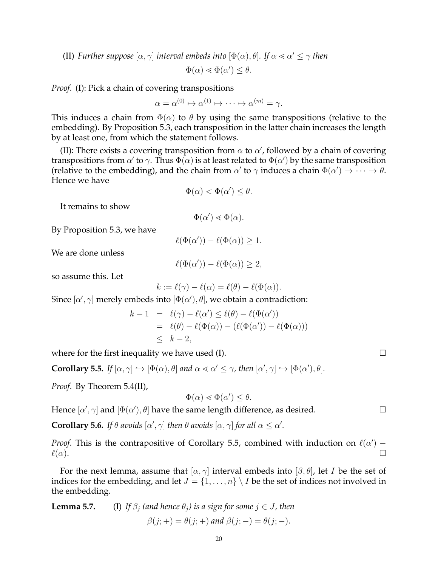(II) *Further suppose*  $[\alpha, \gamma]$  *interval embeds into*  $[\Phi(\alpha), \theta]$ *. If*  $\alpha \leq \alpha' \leq \gamma$  *then* 

$$
\Phi(\alpha) \lessdot \Phi(\alpha') \leq \theta.
$$

*Proof.* (I): Pick a chain of covering transpositions

$$
\alpha = \alpha^{(0)} \mapsto \alpha^{(1)} \mapsto \cdots \mapsto \alpha^{(m)} = \gamma.
$$

This induces a chain from  $\Phi(\alpha)$  to  $\theta$  by using the same transpositions (relative to the embedding). By Proposition 5.3, each transposition in the latter chain increases the length by at least one, from which the statement follows.

(II): There exists a covering transposition from  $\alpha$  to  $\alpha'$ , followed by a chain of covering transpositions from  $\alpha'$  to  $\gamma$ . Thus  $\Phi(\alpha)$  is at least related to  $\Phi(\alpha')$  by the same transposition (relative to the embedding), and the chain from  $\alpha'$  to  $\gamma$  induces a chain  $\Phi(\alpha') \to \cdots \to \theta$ . Hence we have

$$
\Phi(\alpha) < \Phi(\alpha') \le \theta.
$$

It remains to show

$$
\Phi(\alpha') \lessdot \Phi(\alpha).
$$

By Proposition 5.3, we have

$$
\ell(\Phi(\alpha')) - \ell(\Phi(\alpha)) \ge 1.
$$

We are done unless

$$
\ell(\Phi(\alpha')) - \ell(\Phi(\alpha)) \ge 2,
$$

so assume this. Let

$$
k := \ell(\gamma) - \ell(\alpha) = \ell(\theta) - \ell(\Phi(\alpha)).
$$

Since  $[\alpha',\gamma]$  merely embeds into  $[\Phi(\alpha'),\theta]$ , we obtain a contradiction:

$$
k - 1 = \ell(\gamma) - \ell(\alpha') \le \ell(\theta) - \ell(\Phi(\alpha'))
$$
  
=  $\ell(\theta) - \ell(\Phi(\alpha)) - (\ell(\Phi(\alpha')) - \ell(\Phi(\alpha)))$   
 $\le k - 2$ ,

where for the first inequality we have used (I).  $\Box$ 

**Corollary 5.5.** *If*  $[\alpha, \gamma] \hookrightarrow [\Phi(\alpha), \theta]$  *and*  $\alpha \lessdot \alpha' \leq \gamma$ , *then*  $[\alpha', \gamma] \hookrightarrow [\Phi(\alpha'), \theta]$ *.* 

*Proof.* By Theorem 5.4(II),

$$
\Phi(\alpha) \lessdot \Phi(\alpha') \leq \theta.
$$

Hence  $[\alpha', \gamma]$  and  $[\Phi(\alpha'), \theta]$  have the same length difference, as desired.  $\hfill \Box$ 

**Corollary 5.6.** *If*  $\theta$  *avoids*  $[\alpha', \gamma]$  *then*  $\theta$  *avoids*  $[\alpha, \gamma]$  *for all*  $\alpha \leq \alpha'$ *.* 

*Proof.* This is the contrapositive of Corollary 5.5, combined with induction on  $\ell(\alpha')$  –  $\ell(\alpha)$ .

For the next lemma, assume that  $[\alpha, \gamma]$  interval embeds into  $[\beta, \theta]$ , let I be the set of indices for the embedding, and let  $J = \{1, \ldots, n\} \setminus I$  be the set of indices not involved in the embedding.

**Lemma 5.7.** (I) *If*  $\beta_i$  *(and hence*  $\theta_i$ *) is a sign for some*  $j \in J$ *, then*  $\beta(i;+) = \theta(i;+)$  and  $\beta(i;-) = \theta(i;-)$ .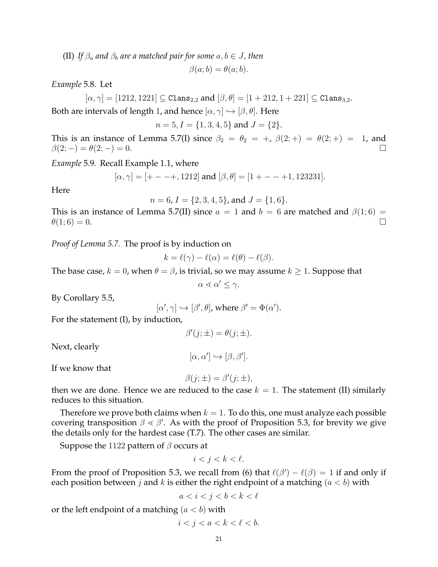(II) *If*  $\beta_a$  *and*  $\beta_b$  *are a matched pair for some*  $a, b \in J$ , *then* 

$$
\beta(a;b) = \theta(a;b).
$$

*Example* 5.8*.* Let

$$
[\alpha, \gamma] = [1212, 1221] \subseteq \text{Clans}_{2,2} \text{ and } [\beta, \theta] = [1 + 212, 1 + 221] \subseteq \text{Clans}_{3,2}.
$$

Both are intervals of length 1, and hence  $[\alpha, \gamma] \hookrightarrow [\beta, \theta]$ . Here

$$
n = 5, I = \{1, 3, 4, 5\}
$$
 and  $J = \{2\}.$ 

This is an instance of Lemma 5.7(I) since  $\beta_2 = \theta_2 = +$ ,  $\beta(2; +) = \theta(2; +) = 1$ , and  $\beta(2; -) = \theta(2; -) = 0.$ 

*Example* 5.9*.* Recall Example 1.1, where

$$
[\alpha,\gamma]=[+ - - +, 1212] \text{ and } [\beta,\theta]=[1+ - - +1, 123231].
$$

Here

$$
n = 6
$$
,  $I = \{2, 3, 4, 5\}$ , and  $J = \{1, 6\}$ .

This is an instance of Lemma 5.7(II) since  $a = 1$  and  $b = 6$  are matched and  $\beta(1,6) =$  $\theta(1;6) = 0.$ 

*Proof of Lemma 5.7.* The proof is by induction on

$$
k = \ell(\gamma) - \ell(\alpha) = \ell(\theta) - \ell(\beta).
$$

The base case,  $k = 0$ , when  $\theta = \beta$ , is trivial, so we may assume  $k \ge 1$ . Suppose that

$$
\alpha \lessdot \alpha' \leq \gamma.
$$

By Corollary 5.5,

$$
[\alpha', \gamma] \hookrightarrow [\beta', \theta], \text{ where } \beta' = \Phi(\alpha').
$$

For the statement (I), by induction,

$$
\beta'(j; \pm) = \theta(j; \pm).
$$

Next, clearly

$$
[\alpha, \alpha'] \hookrightarrow [\beta, \beta'].
$$

If we know that

$$
\beta(j; \pm) = \beta'(j; \pm),
$$

then we are done. Hence we are reduced to the case  $k = 1$ . The statement (II) similarly reduces to this situation.

Therefore we prove both claims when  $k = 1$ . To do this, one must analyze each possible covering transposition  $\beta \leq \beta'$ . As with the proof of Proposition 5.3, for brevity we give the details only for the hardest case (T.7). The other cases are similar.

Suppose the 1122 pattern of  $\beta$  occurs at

$$
i < j < k < \ell.
$$

From the proof of Proposition 5.3, we recall from (6) that  $\ell(\beta') - \ell(\beta) = 1$  if and only if each position between j and k is either the right endpoint of a matching  $(a < b)$  with

$$
a
$$

or the left endpoint of a matching  $(a < b)$  with

$$
i < j < a < k < \ell < b.
$$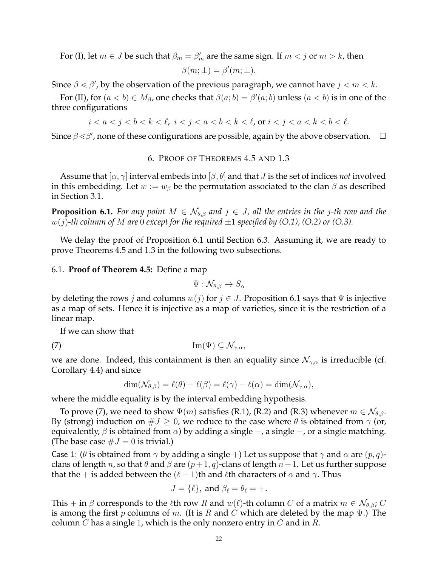For (I), let  $m \in J$  be such that  $\beta_m = \beta'_m$  are the same sign. If  $m < j$  or  $m > k$ , then

$$
\beta(m; \pm) = \beta'(m; \pm).
$$

Since  $\beta \leq \beta'$ , by the observation of the previous paragraph, we cannot have  $j < m < k$ .

For (II), for  $(a < b) \in M_\beta$ , one checks that  $\beta(a;b) = \beta'(a;b)$  unless  $(a < b)$  is in one of the three configurations

 $i < a < j < b < k < \ell$ ,  $i < j < a < b < k < \ell$ , or  $i < j < a < k < b < \ell$ .

Since  $\beta \lessdot \beta'$ , none of these configurations are possible, again by the above observation.  $\Box$ 

# 6. PROOF OF THEOREMS 4.5 AND 1.3

Assume that  $[\alpha, \gamma]$  interval embeds into  $[\beta, \theta]$  and that *J* is the set of indices *not* involved in this embedding. Let  $w := w_\beta$  be the permutation associated to the clan  $\beta$  as described in Section 3.1.

**Proposition 6.1.** *For any point*  $M \in \mathcal{N}_{\theta,\beta}$  *and*  $j \in J$ *, all the entries in the j-th row and the* w(j)*-th column of* M *are* 0 *except for the required* ±1 *specified by (O.1), (O.2) or (O.3).*

We delay the proof of Proposition 6.1 until Section 6.3. Assuming it, we are ready to prove Theorems 4.5 and 1.3 in the following two subsections.

### 6.1. **Proof of Theorem 4.5:** Define a map

$$
\Psi: \mathcal{N}_{\theta, \beta} \to S_{\alpha}
$$

by deleting the rows j and columns  $w(j)$  for  $j \in J$ . Proposition 6.1 says that  $\Psi$  is injective as a map of sets. Hence it is injective as a map of varieties, since it is the restriction of a linear map.

If we can show that

$$
(7) \tIm(\Psi) \subseteq \mathcal{N}_{\gamma,\alpha},
$$

we are done. Indeed, this containment is then an equality since  $\mathcal{N}_{\gamma,\alpha}$  is irreducible (cf. Corollary 4.4) and since

$$
\dim(\mathcal{N}_{\theta,\beta}) = \ell(\theta) - \ell(\beta) = \ell(\gamma) - \ell(\alpha) = \dim(\mathcal{N}_{\gamma,\alpha}),
$$

where the middle equality is by the interval embedding hypothesis.

To prove (7), we need to show  $\Psi(m)$  satisfies (R.1), (R.2) and (R.3) whenever  $m \in \mathcal{N}_{\theta,\beta}$ . By (strong) induction on  $\#J \geq 0$ , we reduce to the case where  $\theta$  is obtained from  $\gamma$  (or, equivalently,  $\beta$  is obtained from  $\alpha$ ) by adding a single +, a single -, or a single matching. (The base case  $\#J = 0$  is trivial.)

Case 1: ( $\theta$  is obtained from  $\gamma$  by adding a single +) Let us suppose that  $\gamma$  and  $\alpha$  are  $(p, q)$ clans of length *n*, so that  $\theta$  and  $\beta$  are  $(p+1, q)$ -clans of length  $n+1$ . Let us further suppose that the + is added between the  $(\ell-1)$ th and  $\ell$ th characters of  $\alpha$  and  $\gamma$ . Thus

$$
J = \{\ell\}, \text{ and } \beta_{\ell} = \theta_{\ell} = +.
$$

This + in  $\beta$  corresponds to the  $\ell$ th row R and  $w(\ell)$ -th column C of a matrix  $m \in \mathcal{N}_{\theta,\beta}$ ; C is among the first p columns of m. (It is R and C which are deleted by the map  $\Psi$ .) The column C has a single 1, which is the only nonzero entry in C and in  $R$ .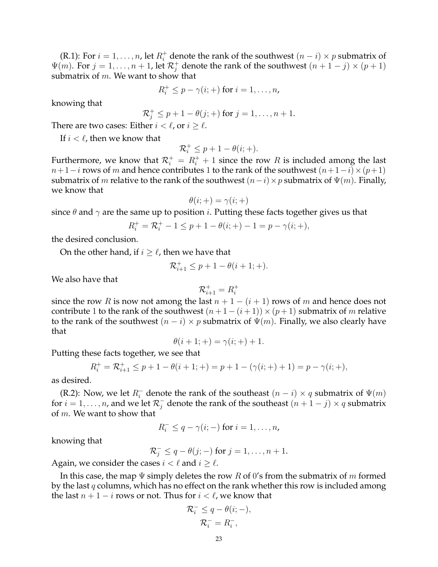(R.1): For  $i = 1, \ldots, n$ , let  $R_i^+$  denote the rank of the southwest  $(n - i) \times p$  submatrix of  $\Psi(m)$ . For  $j = 1, \ldots, n + 1$ , let  $\mathcal{R}_j^+$  denote the rank of the southwest  $(n + 1 - j) \times (p + 1)$ submatrix of  $m$ . We want to show that

$$
R_i^+ \leq p - \gamma(i; +)
$$
 for  $i = 1, \ldots, n$ ,

knowing that

$$
\mathcal{R}_j^+ \leq p+1-\theta(j;+) \text{ for } j=1,\ldots,n+1.
$$

There are two cases: Either  $i < \ell$ , or  $i \geq \ell$ .

If  $i < \ell$ , then we know that

$$
\mathcal{R}_i^+ \le p + 1 - \theta(i; +).
$$

Furthermore, we know that  $\mathcal{R}_i^+ = R_i^+ + 1$  since the row  $R$  is included among the last  $n+1-i$  rows of m and hence contributes 1 to the rank of the southwest  $(n+1-i)\times(p+1)$ submatrix of m relative to the rank of the southwest  $(n-i) \times p$  submatrix of  $\Psi(m)$ . Finally, we know that

$$
\theta(i;+) = \gamma(i;+)
$$

since  $\theta$  and  $\gamma$  are the same up to position *i*. Putting these facts together gives us that

$$
R_i^+ = \mathcal{R}_i^+ - 1 \le p + 1 - \theta(i; +) - 1 = p - \gamma(i; +),
$$

the desired conclusion.

On the other hand, if  $i \geq \ell$ , then we have that

$$
\mathcal{R}_{i+1}^+ \le p + 1 - \theta(i+1; +).
$$

We also have that

$$
\mathcal{R}^+_{i+1} = R^+_i
$$

since the row R is now not among the last  $n + 1 - (i + 1)$  rows of m and hence does not contribute 1 to the rank of the southwest  $(n+1-(i+1)) \times (p+1)$  submatrix of m relative to the rank of the southwest  $(n - i) \times p$  submatrix of  $\Psi(m)$ . Finally, we also clearly have that

$$
\theta(i + 1; +) = \gamma(i; +) + 1.
$$

Putting these facts together, we see that

$$
R_i^+ = \mathcal{R}_{i+1}^+ \le p + 1 - \theta(i+1; +) = p + 1 - (\gamma(i; +) + 1) = p - \gamma(i; +),
$$

as desired.

(R.2): Now, we let  $R_i^-$  denote the rank of the southeast  $(n - i) \times q$  submatrix of  $\Psi(m)$ for  $i = 1, \ldots, n$ , and we let  $\mathcal{R}^-_j$  denote the rank of the southeast  $(n + 1 - j) \times q$  submatrix of m. We want to show that

$$
R_i^- \leq q - \gamma(i; -) \text{ for } i = 1, \dots, n,
$$

knowing that

$$
\mathcal{R}_j^- \leq q - \theta(j; -)
$$
 for  $j = 1, \dots, n + 1$ .

Again, we consider the cases  $i < \ell$  and  $i \geq \ell$ .

In this case, the map  $\Psi$  simply deletes the row R of 0's from the submatrix of m formed by the last q columns, which has no effect on the rank whether this row is included among the last  $n + 1 - i$  rows or not. Thus for  $i < \ell$ , we know that

$$
\mathcal{R}_i^- \le q - \theta(i; -),
$$
  

$$
\mathcal{R}_i^- = R_i^-,
$$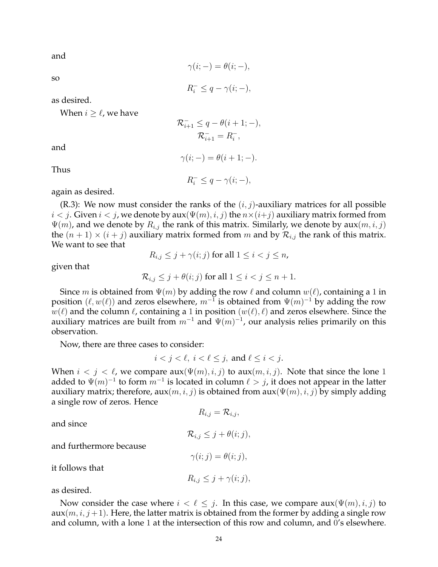and

$$
\gamma(i; -) = \theta(i; -),
$$

so

 $R_i^- \leq q - \gamma(i; -),$ 

as desired.

When  $i \geq \ell$ , we have

$$
\begin{aligned} \mathcal{R}_{i+1}^- &\leq q - \theta(i+1;-), \\ \mathcal{R}_{i+1}^- &= R_i^-, \end{aligned}
$$

and

Thus

 $R_i^- \leq q - \gamma(i; -),$ 

 $\gamma(i; -) = \theta(i+1; -).$ 

again as desired.

(R.3): We now must consider the ranks of the  $(i, j)$ -auxiliary matrices for all possible  $i < j$ . Given  $i < j$ , we denote by aux $(\Psi(m), i, j)$  the  $n \times (i+j)$  auxiliary matrix formed from  $\Psi(m)$ , and we denote by  $R_{i,j}$  the rank of this matrix. Similarly, we denote by aux $(m, i, j)$ the  $(n + 1) \times (i + j)$  auxiliary matrix formed from m and by  $\mathcal{R}_{i,j}$  the rank of this matrix. We want to see that

$$
R_{i,j} \leq j + \gamma(i;j) \text{ for all } 1 \leq i < j \leq n,
$$

given that

$$
\mathcal{R}_{i,j} \le j + \theta(i;j) \text{ for all } 1 \le i < j \le n+1.
$$

Since m is obtained from  $\Psi(m)$  by adding the row  $\ell$  and column  $w(\ell)$ , containing a 1 in position  $(\ell, w(\ell))$  and zeros elsewhere,  $m^{-1}$  is obtained from  $\Psi(m)^{-1}$  by adding the row  $w(\ell)$  and the column  $\ell$ , containing a 1 in position  $(w(\ell), \ell)$  and zeros elsewhere. Since the auxiliary matrices are built from  $m^{-1}$  and  $\Psi(m)^{-1}$ , our analysis relies primarily on this observation.

Now, there are three cases to consider:

$$
i < j < \ell, \ i < \ell \leq j, \text{ and } \ell \leq i < j.
$$

When  $i < j < \ell$ , we compare  $aux(\Psi(m), i, j)$  to  $aux(m, i, j)$ . Note that since the lone 1 added to  $\Psi(m)^{-1}$  to form  $m^{-1}$  is located in column  $\ell > j$ , it does not appear in the latter auxiliary matrix; therefore,  $aux(m, i, j)$  is obtained from  $aux(\Psi(m), i, j)$  by simply adding a single row of zeros. Hence

and since

$$
R_{i,j} = \mathcal{R}_{i,j},
$$

and furthermore because

$$
\gamma(i;j)=\theta(i;j),
$$

 $\mathcal{R}_{i,j} \leq j + \theta(i;j),$ 

it follows that

$$
R_{i,j} \leq j + \gamma(i;j),
$$

as desired.

Now consider the case where  $i < \ell \leq j$ . In this case, we compare  $aux(\Psi(m), i, j)$  to  $aux(m, i, j+1)$ . Here, the latter matrix is obtained from the former by adding a single row and column, with a lone 1 at the intersection of this row and column, and 0's elsewhere.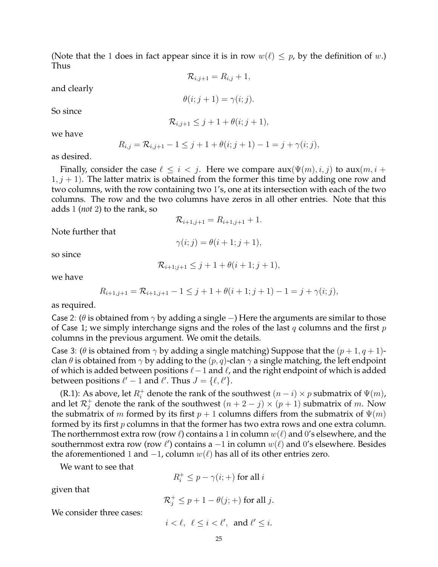(Note that the 1 does in fact appear since it is in row  $w(\ell) \leq p$ , by the definition of w.) Thus

 $\mathcal{R}_{i,j+1} = R_{i,j} + 1,$ 

and clearly

 $\theta(i; j+1) = \gamma(i; j).$ 

 $\mathcal{R}_{i,j+1} \leq j+1+\theta(i;j+1),$ 

we have

So since

$$
R_{i,j} = \mathcal{R}_{i,j+1} - 1 \leq j+1 + \theta(i; j+1) - 1 = j + \gamma(i; j),
$$

as desired.

Finally, consider the case  $\ell \leq i < j$ . Here we compare  $aux(\Psi(m), i, j)$  to  $aux(m, i + j)$  $1, j + 1$ ). The latter matrix is obtained from the former this time by adding one row and two columns, with the row containing two 1's, one at its intersection with each of the two columns. The row and the two columns have zeros in all other entries. Note that this adds 1 (*not* 2) to the rank, so

$$
\mathcal{R}_{i+1,j+1} = R_{i+1,j+1} + 1.
$$

Note further that

 $\gamma(i; j) = \theta(i+1; j+1),$ 

so since

$$
\mathcal{R}_{i+1;j+1} \leq j+1+\theta(i+1;j+1),
$$

we have

$$
R_{i+1,j+1} = \mathcal{R}_{i+1,j+1} - 1 \leq j+1 + \theta(i+1;j+1) - 1 = j + \gamma(i;j),
$$

as required.

Case 2: ( $\theta$  is obtained from  $\gamma$  by adding a single –) Here the arguments are similar to those of Case 1; we simply interchange signs and the roles of the last q columns and the first  $p$ columns in the previous argument. We omit the details.

Case 3: ( $\theta$  is obtained from  $\gamma$  by adding a single matching) Suppose that the  $(p+1, q+1)$ clan  $\theta$  is obtained from  $\gamma$  by adding to the  $(p, q)$ -clan  $\gamma$  a single matching, the left endpoint of which is added between positions  $\ell-1$  and  $\ell$ , and the right endpoint of which is added between positions  $\ell' - 1$  and  $\ell'$ . Thus  $J = \{\ell, \ell'\}.$ 

(R.1): As above, let  $R_i^+$  denote the rank of the southwest  $(n-i) \times p$  submatrix of  $\Psi(m)$ , and let  $\mathcal{R}_j^+$  denote the rank of the southwest  $(n+2-j)\times (p+1)$  submatrix of m. Now the submatrix of m formed by its first  $p + 1$  columns differs from the submatrix of  $\Psi(m)$ formed by its first p columns in that the former has two extra rows and one extra column. The northernmost extra row (row  $\ell$ ) contains a 1 in column  $w(\ell)$  and 0's elsewhere, and the southernmost extra row (row  $\ell'$ ) contains a  $-1$  in column  $w(\ell)$  and  $0'$ s elsewhere. Besides the aforementioned 1 and  $-1$ , column  $w(\ell)$  has all of its other entries zero.

We want to see that

 $R_i^+ \leq p - \gamma(i; +)$  for all *i* 

given that

$$
\mathcal{R}_j^+ \le p + 1 - \theta(j; +)
$$
 for all j.

We consider three cases:

 $i < \ell, \ell \leq i < \ell', \text{ and } \ell' \leq i.$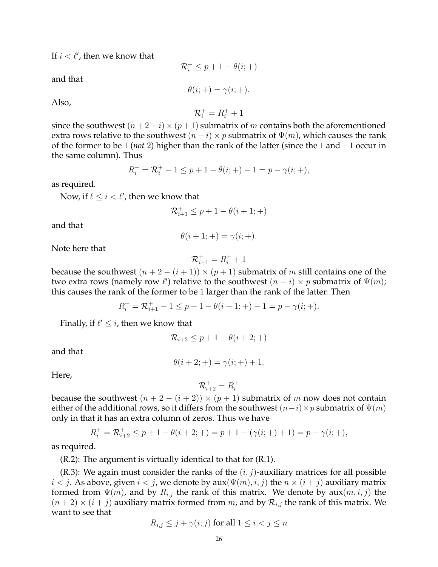If  $i < \ell'$ , then we know that

and that

 $\theta(i;+) = \gamma(i;+)$ .

 $\mathcal{R}_i^+ \leq p + 1 - \theta(i; +)$ 

Also,

 $R_i^+ = R_i^+ + 1$ 

since the southwest  $(n+2-i)\times (p+1)$  submatrix of m contains both the aforementioned extra rows relative to the southwest  $(n - i) \times p$  submatrix of  $\Psi(m)$ , which causes the rank of the former to be 1 (*not* 2) higher than the rank of the latter (since the 1 and −1 occur in the same column). Thus

$$
R_i^+ = \mathcal{R}_i^+ - 1 \le p + 1 - \theta(i; +) - 1 = p - \gamma(i; +),
$$

as required.

Now, if  $\ell \leq i < \ell'$ , then we know that

$$
\mathcal{R}^+_{i+1} \leq p+1-\theta(i+1;+)
$$

and that

$$
\theta(i+1;+) = \gamma(i;+).
$$

Note here that

$$
\mathcal{R}^+_{i+1} = R^+_i + 1
$$

because the southwest  $(n+2-(i+1)) \times (p+1)$  submatrix of m still contains one of the two extra rows (namely row  $\ell'$ ) relative to the southwest  $(n - i) \times p$  submatrix of  $\Psi(m)$ ; this causes the rank of the former to be 1 larger than the rank of the latter. Then

$$
R_i^+ = \mathcal{R}_{i+1}^+ - 1 \le p + 1 - \theta(i+1; +) - 1 = p - \gamma(i; +).
$$

Finally, if  $\ell' \leq i$ , then we know that

$$
\mathcal{R}_{i+2} \le p+1-\theta(i+2;+)
$$

and that

$$
\theta(i + 2; +) = \gamma(i; +) + 1.
$$

Here,

$$
\mathcal{R}^+_{i+2} = R^+_i
$$

because the southwest  $(n + 2 - (i + 2)) \times (p + 1)$  submatrix of m now does not contain either of the additional rows, so it differs from the southwest  $(n-i) \times p$  submatrix of  $\Psi(m)$ only in that it has an extra column of zeros. Thus we have

$$
R_i^+ = \mathcal{R}_{i+2}^+ \le p + 1 - \theta(i+2; +) = p + 1 - (\gamma(i; +) + 1) = p - \gamma(i; +),
$$

as required.

(R.2): The argument is virtually identical to that for (R.1).

(R.3): We again must consider the ranks of the  $(i, j)$ -auxiliary matrices for all possible  $i < j$ . As above, given  $i < j$ , we denote by aux $(\Psi(m), i, j)$  the  $n \times (i + j)$  auxiliary matrix formed from  $\Psi(m)$ , and by  $R_{i,j}$  the rank of this matrix. We denote by  $aux(m, i, j)$  the  $(n+2) \times (i+j)$  auxiliary matrix formed from m, and by  $\mathcal{R}_{i,j}$  the rank of this matrix. We want to see that

$$
R_{i,j} \le j + \gamma(i;j) \text{ for all } 1 \le i < j \le n
$$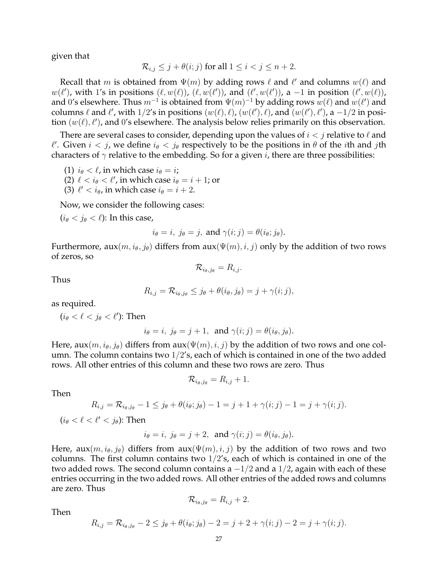given that

$$
\mathcal{R}_{i,j} \leq j + \theta(i;j) \text{ for all } 1 \leq i < j \leq n+2.
$$

Recall that  $m$  is obtained from  $\Psi(m)$  by adding rows  $\ell$  and  $\ell'$  and columns  $w(\ell)$  and  $w(\ell')$ , with 1's in positions  $(\ell, w(\ell))$ ,  $(\ell, w(\ell'))$ , and  $(\ell', w(\ell'))$ , a  $-1$  in position  $(\ell', w(\ell))$ , and 0's elsewhere. Thus  $m^{-1}$  is obtained from  $\Psi(m)^{-1}$  by adding rows  $w(\ell)$  and  $w(\ell')$  and columns  $\ell$  and  $\ell'$ , with  $1/2$ 's in positions  $(w(\ell), \ell)$ ,  $(w(\ell'), \ell)$ , and  $(w(\ell'), \ell')$ , a  $-1/2$  in position  $(w(\ell), \ell')$ , and 0's elsewhere. The analysis below relies primarily on this observation.

There are several cases to consider, depending upon the values of  $i < j$  relative to  $\ell$  and  $\ell'$ . Given  $i < j$ , we define  $i_{\theta} < j_{\theta}$  respectively to be the positions in  $\theta$  of the *i*th and *j*th characters of  $\gamma$  relative to the embedding. So for a given *i*, there are three possibilities:

```
(1) i_{\theta} < \ell, in which case i_{\theta} = i;
```
(2)  $\ell < i_\theta < \ell'$ , in which case  $i_\theta = i + 1$ ; or

(3)  $\ell' < i_\theta$ , in which case  $i_\theta = i + 2$ .

Now, we consider the following cases:

 $(i_{\theta} < j_{\theta} < \ell)$ : In this case,

$$
i_{\theta} = i
$$
,  $j_{\theta} = j$ , and  $\gamma(i; j) = \theta(i_{\theta}; j_{\theta})$ .

Furthermore,  $aux(m, i_{\theta}, j_{\theta})$  differs from  $aux(\Psi(m), i, j)$  only by the addition of two rows of zeros, so

 $\mathcal{R}_{i_{\theta},j_{\theta}} = R_{i,j}.$ 

Thus

$$
R_{i,j} = \mathcal{R}_{i_{\theta},j_{\theta}} \leq j_{\theta} + \theta(i_{\theta},j_{\theta}) = j + \gamma(i;j),
$$

as required.

 $(i_\theta < \ell < j_\theta < \ell')$ : Then

$$
i_{\theta} = i
$$
,  $j_{\theta} = j + 1$ , and  $\gamma(i; j) = \theta(i_{\theta}, j_{\theta})$ .

Here,  $aux(m, i_{\theta}, j_{\theta})$  differs from  $aux(\Psi(m), i, j)$  by the addition of two rows and one column. The column contains two 1/2's, each of which is contained in one of the two added rows. All other entries of this column and these two rows are zero. Thus

$$
\mathcal{R}_{i_{\theta},j_{\theta}} = R_{i,j} + 1.
$$

Then

$$
R_{i,j} = \mathcal{R}_{i_{\theta},j_{\theta}} - 1 \leq j_{\theta} + \theta(i_{\theta};j_{\theta}) - 1 = j + 1 + \gamma(i;j) - 1 = j + \gamma(i;j).
$$

 $(i_\theta < \ell < \ell' < j_\theta)$ : Then

$$
i_{\theta} = i
$$
,  $j_{\theta} = j + 2$ , and  $\gamma(i; j) = \theta(i_{\theta}, j_{\theta})$ .

Here, aux $(m, i_{\theta}, j_{\theta})$  differs from aux $(\Psi(m), i, j)$  by the addition of two rows and two columns. The first column contains two  $1/2$ 's, each of which is contained in one of the two added rows. The second column contains a  $-1/2$  and a  $1/2$ , again with each of these entries occurring in the two added rows. All other entries of the added rows and columns are zero. Thus

$$
\mathcal{R}_{i_{\theta},j_{\theta}} = R_{i,j} + 2.
$$

Then

$$
R_{i,j} = \mathcal{R}_{i_{\theta},j_{\theta}} - 2 \leq j_{\theta} + \theta(i_{\theta};j_{\theta}) - 2 = j + 2 + \gamma(i;j) - 2 = j + \gamma(i;j).
$$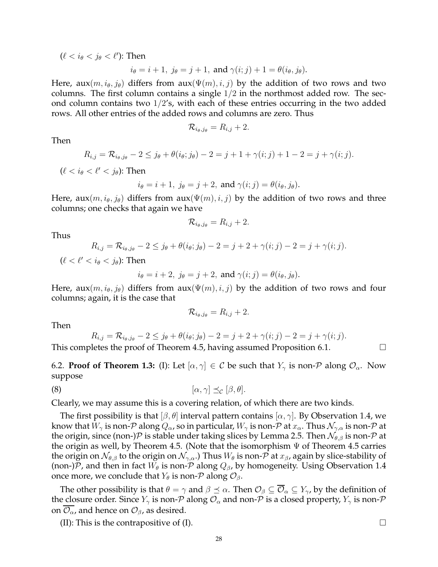$(\ell < i_\theta < j_\theta < \ell')$ : Then

$$
i_{\theta} = i + 1
$$
,  $j_{\theta} = j + 1$ , and  $\gamma(i; j) + 1 = \theta(i_{\theta}, j_{\theta})$ .

Here, aux $(m, i_{\theta}, j_{\theta})$  differs from aux $(\Psi(m), i, j)$  by the addition of two rows and two columns. The first column contains a single  $1/2$  in the northmost added row. The second column contains two  $1/2$ 's, with each of these entries occurring in the two added rows. All other entries of the added rows and columns are zero. Thus

$$
\mathcal{R}_{i_{\theta},j_{\theta}} = R_{i,j} + 2.
$$

Then

$$
R_{i,j} = \mathcal{R}_{i_{\theta},j_{\theta}} - 2 \leq j_{\theta} + \theta(i_{\theta};j_{\theta}) - 2 = j + 1 + \gamma(i;j) + 1 - 2 = j + \gamma(i;j).
$$

 $(\ell < i_{\theta} < \ell' < i_{\theta})$ : Then

$$
i_{\theta} = i + 1
$$
,  $j_{\theta} = j + 2$ , and  $\gamma(i; j) = \theta(i_{\theta}, j_{\theta})$ .

Here,  $aux(m, i_{\theta}, j_{\theta})$  differs from  $aux(\Psi(m), i, j)$  by the addition of two rows and three columns; one checks that again we have

$$
\mathcal{R}_{i_{\theta},j_{\theta}} = R_{i,j} + 2.
$$

Thus

$$
R_{i,j} = \mathcal{R}_{i_{\theta},j_{\theta}} - 2 \leq j_{\theta} + \theta(i_{\theta};j_{\theta}) - 2 = j + 2 + \gamma(i;j) - 2 = j + \gamma(i;j).
$$

 $(\ell < \ell' < i_{\theta} < i_{\theta})$ : Then

$$
i_{\theta} = i + 2
$$
,  $j_{\theta} = j + 2$ , and  $\gamma(i; j) = \theta(i_{\theta}, j_{\theta})$ .

Here, aux $(m, i_{\theta}, j_{\theta})$  differs from aux $(\Psi(m), i, j)$  by the addition of two rows and four columns; again, it is the case that

$$
\mathcal{R}_{i_{\theta},j_{\theta}}=R_{i,j}+2.
$$

Then

$$
R_{i,j} = \mathcal{R}_{i_{\theta},j_{\theta}} - 2 \leq j_{\theta} + \theta(i_{\theta};j_{\theta}) - 2 = j + 2 + \gamma(i;j) - 2 = j + \gamma(i;j).
$$

This completes the proof of Theorem 4.5, having assumed Proposition 6.1.  $\Box$ 

6.2. **Proof of Theorem 1.3:** (I): Let  $[\alpha, \gamma] \in C$  be such that  $Y_{\gamma}$  is non-P along  $\mathcal{O}_{\alpha}$ . Now suppose

$$
[\alpha, \gamma] \preceq_{\mathcal{C}} [\beta, \theta].
$$

Clearly, we may assume this is a covering relation, of which there are two kinds.

The first possibility is that  $[\beta, \theta]$  interval pattern contains  $[\alpha, \gamma]$ . By Observation 1.4, we know that  $W_{\gamma}$  is non-P along  $Q_{\alpha}$ , so in particular,  $W_{\gamma}$  is non-P at  $x_{\alpha}$ . Thus  $\mathcal{N}_{\gamma,\alpha}$  is non-P at the origin, since (non-) $P$  is stable under taking slices by Lemma 2.5. Then  $\mathcal{N}_{\theta,\beta}$  is non- $P$  at the origin as well, by Theorem 4.5. (Note that the isomorphism  $\Psi$  of Theorem 4.5 carries the origin on  $\mathcal{N}_{\theta,\beta}$  to the origin on  $\mathcal{N}_{\gamma,\alpha}$ .) Thus  $W_{\theta}$  is non-P at  $x_{\beta}$ , again by slice-stability of (non-)P, and then in fact  $W_{\theta}$  is non-P along  $Q_{\beta}$ , by homogeneity. Using Observation 1.4 once more, we conclude that  $Y_{\theta}$  is non- $P$  along  $\mathcal{O}_{\beta}$ .

The other possibility is that  $\theta = \gamma$  and  $\beta \preceq \alpha$ . Then  $\mathcal{O}_{\beta} \subseteq \overline{\mathcal{O}}_{\alpha} \subseteq Y_{\gamma}$ , by the definition of the closure order. Since  $Y_\gamma$  is non-P along  $\mathcal{O}_\alpha$  and non-P is a closed property,  $Y_\gamma$  is non-P on  $\mathcal{O}_{\alpha}$ , and hence on  $\mathcal{O}_{\beta}$ , as desired.

(II): This is the contrapositive of (I).  $\Box$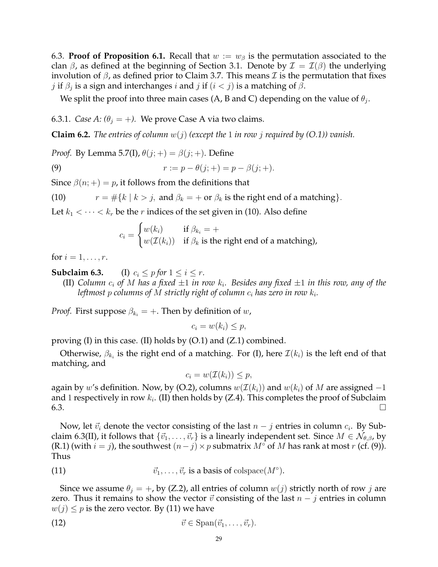6.3. **Proof of Proposition 6.1.** Recall that  $w := w_\beta$  is the permutation associated to the clan  $\beta$ , as defined at the beginning of Section 3.1. Denote by  $\mathcal{I} = \mathcal{I}(\beta)$  the underlying involution of  $β$ , as defined prior to Claim 3.7. This means  $I$  is the permutation that fixes  $j$  if  $\beta_j$  is a sign and interchanges  $i$  and  $j$  if  $(i < j)$  is a matching of  $\beta$ .

We split the proof into three main cases (A, B and C) depending on the value of  $\theta_j$ .

6.3.1. *Case A:*  $(\theta_j = +)$ . We prove Case A via two claims.

**Claim 6.2.** *The entries of column*  $w(j)$  *(except the* 1 *in row j required by (O.1)) vanish.* 

*Proof.* By Lemma 5.7(I),  $\theta(j;+) = \beta(j;+)$ . Define

(9) 
$$
r := p - \theta(j; +) = p - \beta(j; +).
$$

Since  $\beta(n;+) = p$ , it follows from the definitions that

(10) 
$$
r = #\{k \mid k > j, \text{ and } \beta_k = + \text{ or } \beta_k \text{ is the right end of a matching}\}.
$$

Let  $k_1 < \cdots < k_r$  be the r indices of the set given in (10). Also define

$$
c_i = \begin{cases} w(k_i) & \text{if } \beta_{k_i} = + \\ w(\mathcal{I}(k_i)) & \text{if } \beta_k \text{ is the right end of a matching} \end{cases}
$$

for  $i = 1, \ldots, r$ .

**Subclaim 6.3.** (I)  $c_i \leq p$  *for*  $1 \leq i \leq r$ .

(II) Column  $c_i$  of M has a fixed  $\pm 1$  in row  $k_i.$  Besides any fixed  $\pm 1$  in this row, any of the leftmost  $p$  columns of  $M$  strictly right of column  $c_i$  has zero in row  $k_i.$ 

*Proof.* First suppose  $\beta_{k_i} = +$ . Then by definition of w,

$$
c_i = w(k_i) \leq p,
$$

proving  $(I)$  in this case.  $(II)$  holds by  $(O.1)$  and  $(Z.1)$  combined.

Otherwise,  $\beta_{k_i}$  is the right end of a matching. For (I), here  $\mathcal{I}(k_i)$  is the left end of that matching, and

$$
c_i = w(\mathcal{I}(k_i)) \leq p,
$$

again by w's definition. Now, by (O.2), columns  $w(\mathcal{I}(k_i))$  and  $w(k_i)$  of M are assigned -1 and 1 respectively in row  $k_i$ . (II) then holds by (Z.4). This completes the proof of Subclaim  $6.3.$ 

Now, let  $\vec{v}_i$  denote the vector consisting of the last  $n - j$  entries in column  $c_i$ . By Subclaim 6.3(II), it follows that  $\{\vec{v}_1, \ldots, \vec{v}_r\}$  is a linearly independent set. Since  $M \in \mathcal{N}_{\theta,\beta}$ , by (R.1) (with  $i = j$ ), the southwest  $(n - j) \times p$  submatrix  $M^{\circ}$  of M has rank at most r (cf. (9)). Thus

(11) 
$$
\vec{v}_1, \ldots, \vec{v}_r
$$
 is a basis of colspace $(M^\circ)$ .

Since we assume  $\theta_j = +$ , by (Z.2), all entries of column  $w(j)$  strictly north of row j are zero. Thus it remains to show the vector  $\vec{v}$  consisting of the last  $n - j$  entries in column  $w(j) \leq p$  is the zero vector. By (11) we have

$$
\vec{v} \in \text{Span}(\vec{v}_1, \ldots, \vec{v}_r).
$$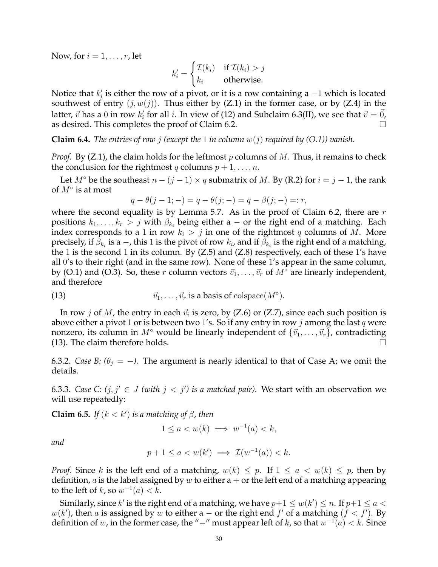Now, for  $i = 1, \ldots, r$ , let

$$
k'_{i} = \begin{cases} \mathcal{I}(k_{i}) & \text{if } \mathcal{I}(k_{i}) > j \\ k_{i} & \text{otherwise.} \end{cases}
$$

Notice that  $k'_i$  is either the row of a pivot, or it is a row containing a  $-1$  which is located southwest of entry  $(j, w(j))$ . Thus either by  $(Z.1)$  in the former case, or by  $(Z.4)$  in the latter,  $\vec{v}$  has a  $0$  in row  $k'_i$  for all  $i.$  In view of (12) and Subclaim 6.3(II), we see that  $\vec{v}=\vec{0}$ , as desired. This completes the proof of Claim 6.2.

**Claim 6.4.** *The entries of row j (except the* 1 *in column*  $w(j)$  *required by (O.1)) vanish.* 

*Proof.* By (Z.1), the claim holds for the leftmost  $p$  columns of  $M$ . Thus, it remains to check the conclusion for the rightmost q columns  $p + 1, \ldots, n$ .

Let  $M^{\circ}$  be the southeast  $n - (j - 1) \times q$  submatrix of M. By (R.2) for  $i = j - 1$ , the rank of  $M^{\circ}$  is at most

$$
q - \theta(j - 1; -) = q - \theta(j; -) = q - \beta(j; -) = r,
$$

where the second equality is by Lemma 5.7. As in the proof of Claim 6.2, there are  $r$ positions  $k_1, \ldots, k_r > j$  with  $\beta_{k_i}$  being either a – or the right end of a matching. Each index corresponds to a 1 in row  $k_i > j$  in one of the rightmost q columns of M. More precisely, if  $\beta_{k_i}$  is a  $-$ , this 1 is the pivot of row  $k_i$ , and if  $\beta_{k_i}$  is the right end of a matching, the 1 is the second 1 in its column. By  $(Z.5)$  and  $(Z.8)$  respectively, each of these 1's have all 0's to their right (and in the same row). None of these 1's appear in the same column, by (O.1) and (O.3). So, these r column vectors  $\vec{v}_1, \dots, \vec{v}_r$  of  $M^\circ$  are linearly independent, and therefore

(13) 
$$
\vec{v}_1, \ldots, \vec{v}_r \text{ is a basis of colspace}(M^{\circ}).
$$

In row  $j$  of  $M$ , the entry in each  $\vec{v}_i$  is zero, by (Z.6) or (Z.7), since each such position is above either a pivot 1 or is between two 1's. So if any entry in row j among the last q were nonzero, its column in  $M^{\circ}$  would be linearly independent of  $\{\vec{v}_1, \ldots, \vec{v}_r\}$ , contradicting (13). The claim therefore holds.

6.3.2. *Case B:*  $(\theta_i = -)$ . The argument is nearly identical to that of Case A; we omit the details.

6.3.3. *Case C:*  $(j, j' \in J$  *(with*  $j < j'$ ) is a matched pair). We start with an observation we will use repeatedly:

**Claim 6.5.** *If*  $(k < k')$  *is a matching of*  $\beta$ *, then* 

$$
1 \le a < w(k) \implies w^{-1}(a) < k,
$$

*and*

$$
p + 1 \le a < w(k') \implies \mathcal{I}(w^{-1}(a)) < k.
$$

*Proof.* Since k is the left end of a matching,  $w(k) \leq p$ . If  $1 \leq a < w(k) \leq p$ , then by definition, *a* is the label assigned by *w* to either  $a + or$  the left end of a matching appearing to the left of  $k$ , so  $w^{-1}(a) < k$ .

Similarly, since  $k'$  is the right end of a matching, we have  $p+1\leq w(k')\leq n.$  If  $p+1\leq a<\infty$  $w(k')$ , then a is assigned by w to either a – or the right end  $f'$  of a matching  $(f < f')$ . By definition of  $w$ , in the former case, the "−" must appear left of  $k$ , so that  $w^{-1}(a) < k$ . Since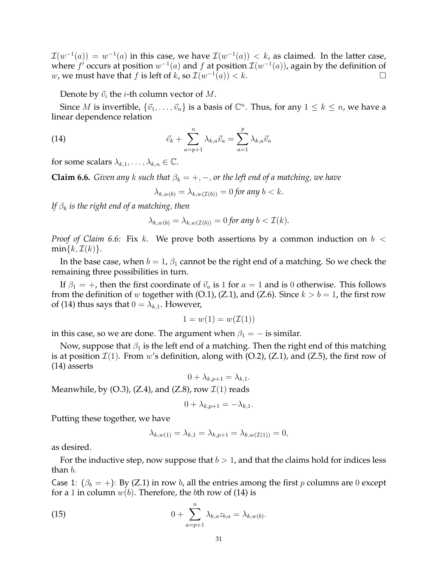$\mathcal{I}(w^{-1}(a))\,=\,w^{-1}(a)$  in this case, we have  $\mathcal{I}(w^{-1}(a))\,<\,k$ , as claimed. In the latter case, where  $f'$  occurs at position  $w^{-1}(a)$  and  $f$  at position  $\mathcal{I}(w^{-1}(a))$ , again by the definition of w, we must have that f is left of k, so  $\mathcal{I}(w^{-1}(a)) < k$ .

Denote by  $\vec{v}_i$  the *i*-th column vector of *M*.

Since M is invertible,  $\{\vec{v}_1, \ldots, \vec{v}_n\}$  is a basis of  $\mathbb{C}^n$ . Thus, for any  $1 \leq k \leq n$ , we have a linear dependence relation

(14) 
$$
\vec{e}_k + \sum_{a=p+1}^n \lambda_{k,a} \vec{v}_a = \sum_{a=1}^p \lambda_{k,a} \vec{v}_a
$$

for some scalars  $\lambda_{k,1}, \ldots, \lambda_{k,n} \in \mathbb{C}$ .

**Claim 6.6.** *Given any* k *such that*  $\beta_k = +, -$ , *or the left end of a matching, we have* 

 $\lambda_{k,w(b)} = \lambda_{k,w(\mathcal{I}(b))} = 0$  for any  $b < k$ .

*If*  $\beta_k$  *is the right end of a matching, then* 

$$
\lambda_{k,w(b)} = \lambda_{k,w(\mathcal{I}(b))} = 0 \text{ for any } b < \mathcal{I}(k).
$$

*Proof of Claim 6.6:* Fix k. We prove both assertions by a common induction on  $b <$  $min\{k, \mathcal{I}(k)\}.$ 

In the base case, when  $b = 1$ ,  $\beta_1$  cannot be the right end of a matching. So we check the remaining three possibilities in turn.

If  $\beta_1 = +$ , then the first coordinate of  $\vec{v}_a$  is 1 for  $a = 1$  and is 0 otherwise. This follows from the definition of w together with (O.1), (Z.1), and (Z.6). Since  $k > b = 1$ , the first row of (14) thus says that  $0 = \lambda_{k,1}$ . However,

$$
1 = w(1) = w(\mathcal{I}(1))
$$

in this case, so we are done. The argument when  $\beta_1 = -$  is similar.

Now, suppose that  $\beta_1$  is the left end of a matching. Then the right end of this matching is at position  $\mathcal{I}(1)$ . From w's definition, along with (O.2), (Z.1), and (Z.5), the first row of (14) asserts

$$
0 + \lambda_{k,p+1} = \lambda_{k,1}.
$$

Meanwhile, by  $(O.3)$ ,  $(Z.4)$ , and  $(Z.8)$ , row  $\mathcal{I}(1)$  reads

$$
0 + \lambda_{k,p+1} = -\lambda_{k,1}.
$$

Putting these together, we have

$$
\lambda_{k,w(1)} = \lambda_{k,1} = \lambda_{k,p+1} = \lambda_{k,w(\mathcal{I}(1))} = 0,
$$

as desired.

For the inductive step, now suppose that  $b > 1$ , and that the claims hold for indices less than b.

Case 1:  $(\beta_b = +)$ : By (Z.1) in row b, all the entries among the first p columns are 0 except for a 1 in column  $w(b)$ . Therefore, the bth row of (14) is

(15) 
$$
0 + \sum_{a=p+1}^{n} \lambda_{k,a} z_{b,a} = \lambda_{k,w(b)}.
$$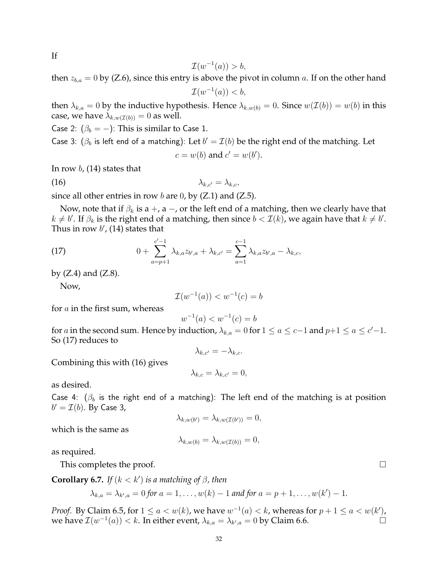If

$$
\mathcal{I}(w^{-1}(a)) > b,
$$

then  $z_{b,a} = 0$  by (Z.6), since this entry is above the pivot in column a. If on the other hand

 $\mathcal{I}(w^{-1}(a)) < b,$ 

then  $\lambda_{k,a} = 0$  by the inductive hypothesis. Hence  $\lambda_{k,w(b)} = 0$ . Since  $w(\mathcal{I}(b)) = w(b)$  in this case, we have  $\lambda_{k,w(\mathcal{I}(b))}=0$  as well.

Case 2:  $(\beta_b = -)$ : This is similar to Case 1.

Case 3:  $(\beta_b$  is left end of a matching): Let  $b' = \mathcal{I}(b)$  be the right end of the matching. Let

$$
c = w(b) \text{ and } c' = w(b').
$$

In row  $b$ , (14) states that

$$
\lambda_{k,c'} = \lambda_{k,c},
$$

since all other entries in row  $b$  are 0, by (Z.1) and (Z.5).

Now, note that if  $\beta_k$  is a +, a -, or the left end of a matching, then we clearly have that  $k \neq b'$ . If  $\beta_k$  is the right end of a matching, then since  $b < \mathcal{I}(k)$ , we again have that  $k \neq b'$ . Thus in row  $b'$ , (14) states that

(17) 
$$
0 + \sum_{a=p+1}^{c'-1} \lambda_{k,a} z_{b',a} + \lambda_{k,c'} = \sum_{a=1}^{c-1} \lambda_{k,a} z_{b',a} - \lambda_{k,c},
$$

by  $(Z.4)$  and  $(Z.8)$ .

Now,

$$
\mathcal{I}(w^{-1}(a)) < w^{-1}(c) = b
$$

for  $a$  in the first sum, whereas

$$
w^{-1}(a) < w^{-1}(c) = b
$$

for a in the second sum. Hence by induction,  $\lambda_{k,a} = 0$  for  $1 \le a \le c-1$  and  $p+1 \le a \le c'-1$ . So (17) reduces to

 $\lambda_{k,c'} = -\lambda_{k,c}.$ 

Combining this with (16) gives

$$
\lambda_{k,c} = \lambda_{k,c'} = 0,
$$

as desired.

Case 4:  $(\beta_b)$  is the right end of a matching): The left end of the matching is at position  $b' = \mathcal{I}(b)$ . By Case 3,

$$
\lambda_{k,w(b')} = \lambda_{k,w(\mathcal{I}(b'))} = 0,
$$

which is the same as

$$
\lambda_{k,w(b)} = \lambda_{k,w(\mathcal{I}(b))} = 0,
$$

as required.

This completes the proof.

**Corollary 6.7.** *If* 
$$
(k < k')
$$
 *is a matching of*  $\beta$ *, then*

$$
\lambda_{k,a} = \lambda_{k',a} = 0
$$
 for  $a = 1, ..., w(k) - 1$  and for  $a = p + 1, ..., w(k') - 1$ .

*Proof.* By Claim 6.5, for  $1 \le a < w(k)$ , we have  $w^{-1}(a) < k$ , whereas for  $p + 1 \le a < w(k')$ , we have  $\mathcal{I}(w^{-1}(a)) < k$ . In either event,  $\lambda_{k,a} = \lambda_{k',a} = 0$  by Claim 6.6.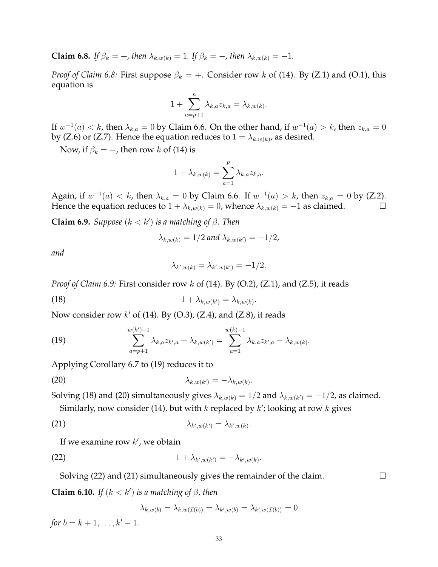**Claim 6.8.** *If*  $\beta_k = +$ *, then*  $\lambda_{k,w(k)} = 1$ *. If*  $\beta_k = -$ *, then*  $\lambda_{k,w(k)} = -1$ *.* 

*Proof of Claim 6.8:* First suppose  $\beta_k = +$ . Consider row k of (14). By (Z.1) and (O.1), this equation is

$$
1 + \sum_{a=p+1}^{n} \lambda_{k,a} z_{k,a} = \lambda_{k,w(k)}.
$$

If  $w^{-1}(a) < k$ , then  $\lambda_{k,a} = 0$  by Claim 6.6. On the other hand, if  $w^{-1}(a) > k$ , then  $z_{k,a} = 0$ by (Z.6) or (Z.7). Hence the equation reduces to  $1 = \lambda_{k,w(k)}$ , as desired.

Now, if  $\beta_k = -$ , then row k of (14) is

$$
1 + \lambda_{k,w(k)} = \sum_{a=1}^p \lambda_{k,a} z_{k,a}.
$$

Again, if  $w^{-1}(a) < k$ , then  $\lambda_{k,a} = 0$  by Claim 6.6. If  $w^{-1}(a) > k$ , then  $z_{k,a} = 0$  by (Z.2). Hence the equation reduces to  $1 + \lambda_{k,w(k)} = 0$ , whence  $\lambda_{k,w(k)} = -1$  as claimed.

**Claim 6.9.** *Suppose*  $(k < k')$  *is a matching of*  $\beta$ *. Then* 

$$
\lambda_{k,w(k)} = 1/2 \text{ and } \lambda_{k,w(k')} = -1/2,
$$

*and*

$$
\lambda_{k',w(k)} = \lambda_{k',w(k')} = -1/2.
$$

*Proof of Claim 6.9:* First consider row k of (14). By (O.2), (Z.1), and (Z.5), it reads

$$
(18) \t\t\t 1 + \lambda_{k,w(k')} = \lambda_{k,w(k)}.
$$

Now consider row  $k'$  of (14). By (O.3), (Z.4), and (Z.8), it reads

(19) 
$$
\sum_{a=p+1}^{w(k')-1} \lambda_{k,a} z_{k',a} + \lambda_{k,w(k')} = \sum_{a=1}^{w(k)-1} \lambda_{k,a} z_{k',a} - \lambda_{k,w(k)}.
$$

Applying Corollary 6.7 to (19) reduces it to

$$
\lambda_{k,w(k')} = -\lambda_{k,w(k)}.
$$

Solving (18) and (20) simultaneously gives  $\lambda_{k,w(k)}=1/2$  and  $\lambda_{k,w(k')}=-1/2$ , as claimed.

Similarly, now consider (14), but with  $k$  replaced by  $k'$ ; looking at row  $k$  gives

(21) 
$$
\lambda_{k',w(k')} = \lambda_{k',w(k)}.
$$

If we examine row  $k'$ , we obtain

$$
(22) \t\t\t 1 + \lambda_{k',w(k')} = -\lambda_{k',w(k)}.
$$

Solving (22) and (21) simultaneously gives the remainder of the claim.  $\Box$ 

**Claim 6.10.** *If*  $(k < k')$  *is a matching of*  $\beta$ *, then* 

$$
\lambda_{k,w(b)} = \lambda_{k,w(\mathcal{I}(b))} = \lambda_{k',w(b)} = \lambda_{k',w(\mathcal{I}(b))} = 0
$$

*for*  $b = k + 1, \ldots, k' - 1$ .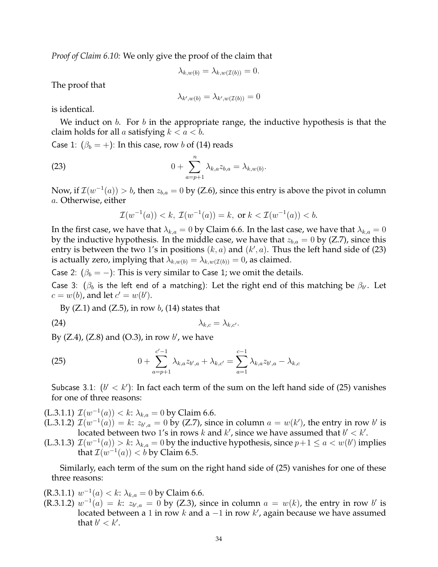*Proof of Claim 6.10:* We only give the proof of the claim that

$$
\lambda_{k,w(b)} = \lambda_{k,w(\mathcal{I}(b))} = 0.
$$

The proof that

$$
\lambda_{k',w(b)}=\lambda_{k',w(\mathcal I(b))}=0
$$

is identical.

We induct on b. For b in the appropriate range, the inductive hypothesis is that the claim holds for all a satisfying  $k < a < b$ .

Case 1:  $(\beta_b = +)$ : In this case, row b of (14) reads

(23) 
$$
0 + \sum_{a=p+1}^{n} \lambda_{k,a} z_{b,a} = \lambda_{k,w(b)}.
$$

Now, if  $\mathcal{I}(w^{-1}(a)) > b$ , then  $z_{b,a} = 0$  by (Z.6), since this entry is above the pivot in column a. Otherwise, either

$$
\mathcal{I}(w^{-1}(a)) < k, \ \mathcal{I}(w^{-1}(a)) = k, \text{ or } k < \mathcal{I}(w^{-1}(a)) < b.
$$

In the first case, we have that  $\lambda_{k,a} = 0$  by Claim 6.6. In the last case, we have that  $\lambda_{k,a} = 0$ by the inductive hypothesis. In the middle case, we have that  $z_{b,a} = 0$  by (Z.7), since this entry is between the two 1's in positions  $(k, a)$  and  $(k', a)$ . Thus the left hand side of (23) is actually zero, implying that  $\lambda_{k,w(b)} = \lambda_{k,w(\mathcal{I}(b))} = 0$ , as claimed.

Case 2:  $(\beta_b = -)$ : This is very similar to Case 1; we omit the details.

Case 3:  $(\beta_b$  is the left end of a matching): Let the right end of this matching be  $\beta_{b'}$ . Let  $c = w(b)$ , and let  $c' = w(b')$ .

By  $(Z.1)$  and  $(Z.5)$ , in row b,  $(14)$  states that

$$
\lambda_{k,c} = \lambda_{k,c'}.
$$

By  $(Z.4)$ ,  $(Z.8)$  and  $(O.3)$ , in row  $b'$ , we have

(25) 
$$
0 + \sum_{a=p+1}^{c'-1} \lambda_{k,a} z_{b',a} + \lambda_{k,c'} = \sum_{a=1}^{c-1} \lambda_{k,a} z_{b',a} - \lambda_{k,c}
$$

Subcase 3.1:  $(b' < k')$ : In fact each term of the sum on the left hand side of (25) vanishes for one of three reasons:

(L.3.1.1)  $\mathcal{I}(w^{-1}(a)) < k$ :  $\lambda_{k,a} = 0$  by Claim 6.6.

(L.3.1.2)  $\mathcal{I}(w^{-1}(a)) = k: z_{b',a} = 0$  by (Z.7), since in column  $a = w(k')$ , the entry in row b' is located between two 1's in rows  $k$  and  $k'$ , since we have assumed that  $b' < k'$ .

(L.3.1.3)  $\mathcal{I}(w^{-1}(a)) > k$ :  $\lambda_{k,a} = 0$  by the inductive hypothesis, since  $p+1 \le a < w(b')$  implies that  $\mathcal{I}(w^{-1}(a)) < b$  by Claim 6.5.

Similarly, each term of the sum on the right hand side of (25) vanishes for one of these three reasons:

(R.3.1.1)  $w^{-1}(a) < k$ :  $\lambda_{k,a} = 0$  by Claim 6.6.

 $(R.3.1.2)$   $w^{-1}(a) = k$ :  $z_{b',a} = 0$  by (Z.3), since in column  $a = w(k)$ , the entry in row b' is located between a 1 in row  $k$  and a  $-1$  in row  $k'$ , again because we have assumed that  $b' < k'$ .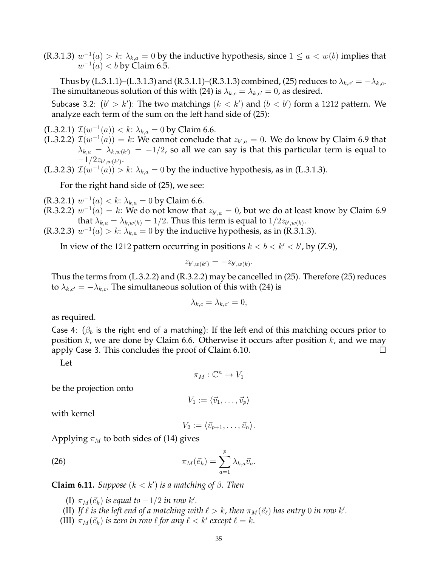(R.3.1.3)  $w^{-1}(a) > k$ :  $\lambda_{k,a} = 0$  by the inductive hypothesis, since  $1 \le a < w(b)$  implies that  $w^{-1}(a) < b$  by Claim 6.5.

Thus by (L.3.1.1)–(L.3.1.3) and (R.3.1.1)–(R.3.1.3) combined, (25) reduces to  $\lambda_{k,c'} = -\lambda_{k,c}$ . The simultaneous solution of this with (24) is  $\lambda_{k,c} = \lambda_{k,c'} = 0$ , as desired.

Subcase 3.2:  $(b' > k')$ : The two matchings  $(k < k')$  and  $(b < b')$  form a 1212 pattern. We analyze each term of the sum on the left hand side of (25):

(L.3.2.1)  $\mathcal{I}(w^{-1}(a)) < k$ :  $\lambda_{k,a} = 0$  by Claim 6.6.

(L.3.2.2)  $\mathcal{I}(w^{-1}(a)) = k$ : We cannot conclude that  $z_{b',a} = 0$ . We do know by Claim 6.9 that  $\lambda_{k,a} \, = \, \lambda_{k,w(k')} \, = \, -1/2$ , so all we can say is that this particular term is equal to  $-1/2z_{b',w(k')}$ .

(L.3.2.3)  $\mathcal{I}(w^{-1}(a)) > k$ :  $\lambda_{k,a} = 0$  by the inductive hypothesis, as in (L.3.1.3).

For the right hand side of (25), we see:

(R.3.2.1)  $w^{-1}(a) < k$ :  $\lambda_{k,a} = 0$  by Claim 6.6.

(R.3.2.2)  $w^{-1}(a) = k$ : We do not know that  $z_{b',a} = 0$ , but we do at least know by Claim 6.9 that  $\lambda_{k,a} = \lambda_{k,w(k)} = 1/2$ . Thus this term is equal to  $1/2z_{b',w(k)}$ .

(R.3.2.3)  $w^{-1}(a) > k$ :  $\lambda_{k,a} = 0$  by the inductive hypothesis, as in (R.3.1.3).

In view of the 1212 pattern occurring in positions  $k < b < k' < b'$ , by (Z.9),

$$
z_{b',w(k')} = -z_{b',w(k)}.
$$

Thus the terms from (L.3.2.2) and (R.3.2.2) may be cancelled in (25). Therefore (25) reduces to  $\lambda_{k,c'} = -\lambda_{k,c}$ . The simultaneous solution of this with (24) is

$$
\lambda_{k,c} = \lambda_{k,c'} = 0,
$$

as required.

Case 4:  $(\beta_b)$  is the right end of a matching): If the left end of this matching occurs prior to position  $k$ , we are done by Claim 6.6. Otherwise it occurs after position  $k$ , and we may apply Case 3. This concludes the proof of Claim 6.10.

Let

$$
\pi_M : \mathbb{C}^n \to V_1
$$

be the projection onto

 $V_1 := \langle \vec{v}_1, \ldots, \vec{v}_n \rangle$ 

with kernel

$$
V_2 := \langle \vec{v}_{p+1}, \ldots, \vec{v}_n \rangle.
$$

Applying  $\pi_M$  to both sides of (14) gives

(26) 
$$
\pi_M(\vec{e}_k) = \sum_{a=1}^p \lambda_{k,a} \vec{v}_a.
$$

**Claim 6.11.** *Suppose*  $(k < k')$  *is a matching of*  $\beta$ *. Then* 

(I)  $\pi_M(\vec{e}_k)$  *is equal to*  $-1/2$  *in row k'.* 

- (II) If  $\ell$  *is the left end of a matching with*  $\ell > k$ , *then*  $\pi_M(\vec{e}_{\ell})$  *has entry* 0 *in row k'*.
- (III)  $\pi_M(\vec{e}_k)$  *is zero in row*  $\ell$  *for any*  $\ell < k'$  *except*  $\ell = k$ *.*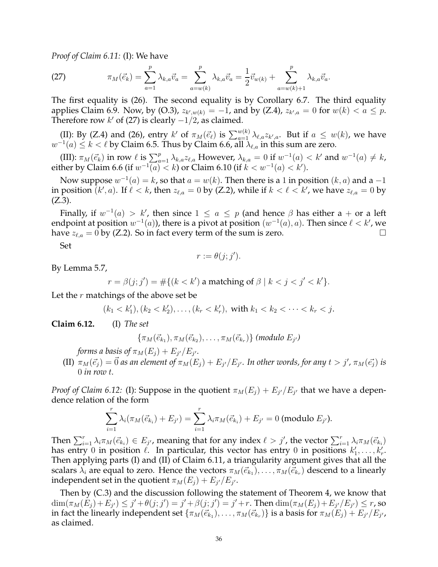*Proof of Claim 6.11:* (I): We have

(27) 
$$
\pi_M(\vec{e}_k) = \sum_{a=1}^p \lambda_{k,a} \vec{v}_a = \sum_{a=w(k)}^p \lambda_{k,a} \vec{v}_a = \frac{1}{2} \vec{v}_{w(k)} + \sum_{a=w(k)+1}^p \lambda_{k,a} \vec{v}_a.
$$

The first equality is (26). The second equality is by Corollary 6.7. The third equality applies Claim 6.9. Now, by (O.3),  $z_{k',w(k)} = -1$ , and by (Z.4),  $z_{k',a} = 0$  for  $w(k) < a \leq p$ . Therefore row  $k'$  of (27) is clearly  $-1/2$ , as claimed.

(II): By (Z.4) and (26), entry  $k'$  of  $\pi_M(\vec{e_{\ell}})$  is  $\sum_{a=1}^{w(k)} \lambda_{\ell,a} z_{k',a}$ . But if  $a \leq w(k)$ , we have  $w^{-1}(a) \leq k < \ell$  by Claim 6.5. Thus by Claim 6.6, all  $\lambda_{\ell,a}$  in this sum are zero.

(III):  $\pi_M(\vec{e}_k)$  in row  $\ell$  is  $\sum_{a=1}^p \lambda_{k,a} z_{\ell,a}$  However,  $\lambda_{k,a} = 0$  if  $w^{-1}(a) < k'$  and  $w^{-1}(a) \neq k$ , either by Claim 6.6 (if  $w^{-1}(a) < k$ ) or Claim 6.10 (if  $k < w^{-1}(a) < k'$ ).

Now suppose  $w^{-1}(a) = k$ , so that  $a = w(k)$ . Then there is a 1 in position  $(k, a)$  and a -1 in position  $(k', a)$ . If  $\ell < k$ , then  $z_{\ell, a} = 0$  by (Z.2), while if  $k < \ell < k'$ , we have  $z_{\ell, a} = 0$  by  $(Z.3)$ .

Finally, if  $w^{-1}(a) > k'$ , then since  $1 \le a \le p$  (and hence  $\beta$  has either a + or a left endpoint at position  $w^{-1}(a)$ ), there is a pivot at position  $(w^{-1}(a),a)$ . Then since  $\ell < k'$ , we have  $z_{\ell,a} = 0$  by (Z.2). So in fact every term of the sum is zero.

Set

$$
r := \theta(j; j').
$$

By Lemma 5.7,

 $r = \beta(j; j') = # \{ (k < k') \text{ a matching of } \beta \mid k < j < j' < k' \}.$ 

Let the  $r$  matchings of the above set be

$$
(k_1 < k'_1), (k_2 < k'_2), \ldots, (k_r < k'_r), \text{ with } k_1 < k_2 < \cdots < k_r < j.
$$

**Claim 6.12.** (I) *The set*

$$
\{\pi_M(\vec{e}_{k_1}), \pi_M(\vec{e}_{k_2}), \ldots, \pi_M(\vec{e}_{k_r})\} \; (\text{modulo } E_{j'})
$$

forms a basis of  $\pi_M(E_j) + E_{j'}/E_{j'}.$ 

 $\Pi(W) \; \pi_M(\vec{e_j}) = \vec{0}$  as an element of  $\pi_M(E_j) + E_{j'}/E_{j'}$ . In other words, for any  $t > j'$ ,  $\pi_M(\vec{e_j})$  is 0 *in row* t*.*

*Proof of Claim 6.12:* (I): Suppose in the quotient  $\pi_M(E_j) + E_{j'}/E_{j'}$  that we have a dependence relation of the form

$$
\sum_{i=1}^r \lambda_i(\pi_M(\vec{e}_{k_i}) + E_{j'}) = \sum_{i=1}^r \lambda_i \pi_M(\vec{e}_{k_i}) + E_{j'} = 0 \text{ (modulo } E_{j'}\text{)}.
$$

Then  $\sum_{i=1}^r \lambda_i \pi_M(\vec{e}_{k_i}) \in E_{j'}$ , meaning that for any index  $\ell > j'$ , the vector  $\sum_{i=1}^r \lambda_i \pi_M(\vec{e}_{k_i})$ has entry 0 in position  $\ell$ . In particular, this vector has entry 0 in positions  $k'_1,\ldots,k'_r$ . Then applying parts (I) and (II) of Claim 6.11, a triangularity argument gives that all the scalars  $\lambda_i$  are equal to zero. Hence the vectors  $\pi_M(\vec{e}_{k_1}),\ldots,\pi_M(\vec{e}_{k_r})$  descend to a linearly independent set in the quotient  $\pi_M(E_j) + E_{j'}/E_{j'}.$ 

Then by (C.3) and the discussion following the statement of Theorem 4, we know that  $\dim(\pi_M(E_j)+E_{j'})\leq j'+\theta(j;j')=j'+\beta(j;j')=j'+r.$  Then  $\dim(\pi_M(E_j)+E_{j'}/E_{j'})\leq r$ , so in fact the linearly independent set  $\{\pi_M(\vec{e}_{k_1}),\ldots,\pi_M(\vec{e}_{k_r})\}$  is a basis for  $\pi_M(E_j)+E_{j'}/E_{j'}$ , as claimed.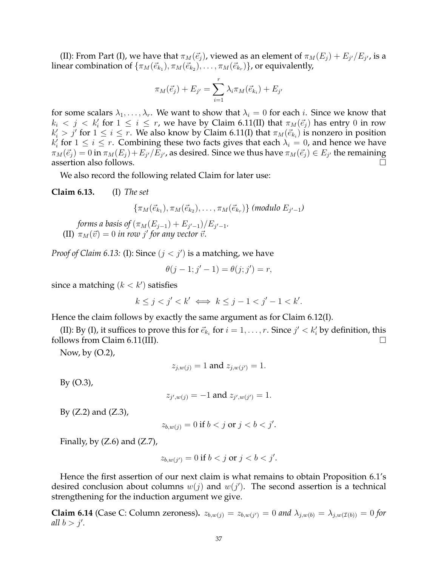(II): From Part (I), we have that  $\pi_M(\vec{e}_j)$ , viewed as an element of  $\pi_M(E_j)+E_{j'}/E_{j'}$ , is a linear combination of  $\{\pi_M(\vec{e}_{k_1}), \pi_M(\vec{e}_{k_2}), \ldots, \pi_M(\vec{e}_{k_r})\}$ , or equivalently,

$$
\pi_M(\vec{e}_j) + E_{j'} = \sum_{i=1}^r \lambda_i \pi_M(\vec{e}_{k_i}) + E_{j'}
$$

for some scalars  $\lambda_1, \ldots, \lambda_r$ . We want to show that  $\lambda_i = 0$  for each *i*. Since we know that  $k_i \, < \, j \, < \, k'_i$  for  $1 \, \leq \, i \, \leq \, r$ , we have by Claim 6.11(II) that  $\pi_M(\vec{e_j})$  has entry 0 in row  $k'_i > j'$  for  $1 \leq i \leq r$ . We also know by Claim 6.11(I) that  $\pi_M(\vec{e}_{k_i})$  is nonzero in position  $k'_i$  for  $1 \leq i \leq r$ . Combining these two facts gives that each  $\lambda_i = 0$ , and hence we have  $\pi_M(\vec{e_j})=0$  in  $\pi_M(E_j)+E_{j'}/E_{j'}$ , as desired. Since we thus have  $\pi_M(\vec{e_j})\in E_{j'}$  the remaining assertion also follows.

We also record the following related Claim for later use:

**Claim 6.13.** (I) *The set*

 $\{\pi_M(\vec{e}_{k_1}), \pi_M(\vec{e}_{k_2}), \ldots, \pi_M(\vec{e}_{k_r})\}$  (modulo  $E_{j'-1}$ )

*forms a basis of*  $(\pi_M(E_{j-1}) + E_{j'-1})/E_{j'-1}$ . (II)  $\pi_M(\vec{v}) = 0$  *in row j' for any vector*  $\vec{v}$ *.* 

*Proof of Claim 6.13:* (I): Since  $(j < j')$  is a matching, we have

$$
\theta(j-1;j'-1) = \theta(j;j') = r,
$$

since a matching  $(k < k')$  satisfies

$$
k \le j < j' < k' \iff k \le j - 1 < j' - 1 < k'.
$$

Hence the claim follows by exactly the same argument as for Claim 6.12(I).

(II): By (I), it suffices to prove this for  $\vec{e}_{k_i}$  for  $i = 1, \ldots, r$ . Since  $j' < k'_i$  by definition, this follows from Claim 6.11(III).  $\Box$ 

Now, by (O.2),

$$
z_{j,w(j)} = 1
$$
 and  $z_{j,w(j')} = 1$ .

By (O.3),

$$
z_{j',w(j)} = -1
$$
 and  $z_{j',w(j')} = 1$ .

By  $(Z.2)$  and  $(Z.3)$ ,

$$
z_{b,w(j)} = 0 \text{ if } b < j \text{ or } j < b < j'.
$$

Finally, by  $(Z.6)$  and  $(Z.7)$ ,

$$
z_{b,w(j')} = 0 \text{ if } b < j \text{ or } j < b < j'.
$$

Hence the first assertion of our next claim is what remains to obtain Proposition 6.1's desired conclusion about columns  $w(j)$  and  $w(j')$ . The second assertion is a technical strengthening for the induction argument we give.

**Claim 6.14** (Case C: Column zeroness).  $z_{b,w(j)} = z_{b,w(j')} = 0$  and  $\lambda_{j,w(b)} = \lambda_{j,w(\mathcal{I}(b))} = 0$  for *all*  $b > j'$ .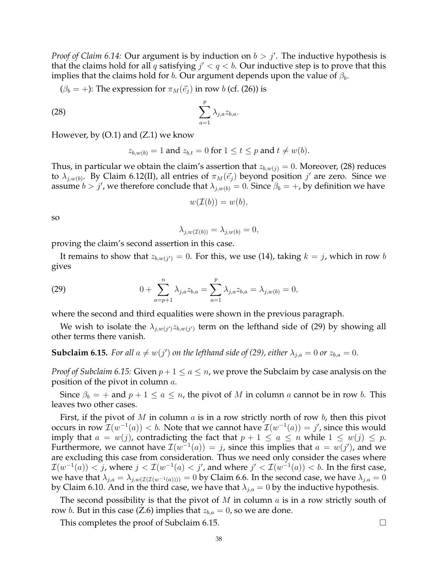*Proof of Claim 6.14:* Our argument is by induction on  $b > j'$ . The inductive hypothesis is that the claims hold for all q satisfying  $j' < q < b$ . Our inductive step is to prove that this implies that the claims hold for b. Our argument depends upon the value of  $\beta_b$ .

$$
(\beta_b = +)
$$
: The expression for  $\pi_M(\vec{e}_j)$  in row *b* (cf. (26)) is

$$
\sum_{a=1}^p \lambda_{j,a} z_{b,a}.
$$

However, by  $(O.1)$  and  $(Z.1)$  we know

$$
z_{b,w(b)} = 1 \text{ and } z_{b,t} = 0 \text{ for } 1 \le t \le p \text{ and } t \neq w(b).
$$

Thus, in particular we obtain the claim's assertion that  $z_{b,w(j)} = 0$ . Moreover, (28) reduces to  $\lambda_{j,w(b)}$ . By Claim 6.12(II), all entries of  $\pi_M(\vec{e}_j)$  beyond position  $j'$  are zero. Since we assume  $b > j'$ , we therefore conclude that  $\lambda_{j,w(b)} = 0$ . Since  $\beta_b = +$ , by definition we have

$$
w(\mathcal{I}(b))=w(b),
$$

so

$$
\lambda_{j,w(\mathcal{I}(b))} = \lambda_{j,w(b)} = 0,
$$

proving the claim's second assertion in this case.

It remains to show that  $z_{b,w(j')} = 0$ . For this, we use (14), taking  $k = j$ , which in row  $b$ gives

(29) 
$$
0 + \sum_{a=p+1}^{n} \lambda_{j,a} z_{b,a} = \sum_{a=1}^{p} \lambda_{j,a} z_{b,a} = \lambda_{j,w(b)} = 0,
$$

where the second and third equalities were shown in the previous paragraph.

We wish to isolate the  $\lambda_{j,w(j')}z_{b,w(j')}$  term on the lefthand side of (29) by showing all other terms there vanish.

**Subclaim 6.15.** For all  $a \neq w(j')$  on the lefthand side of (29), either  $\lambda_{j,a} = 0$  or  $z_{b,a} = 0$ .

*Proof of Subclaim 6.15:* Given  $p + 1 \le a \le n$ , we prove the Subclaim by case analysis on the position of the pivot in column a.

Since  $\beta_b = +$  and  $p + 1 \le a \le n$ , the pivot of M in column a cannot be in row b. This leaves two other cases.

First, if the pivot of M in column  $a$  is in a row strictly north of row  $b$ , then this pivot occurs in row  $\mathcal{I}(w^{-1}(a)) < b$ . Note that we cannot have  $\mathcal{I}(w^{-1}(a)) = j'$ , since this would imply that  $a = w(j)$ , contradicting the fact that  $p + 1 \le a \le n$  while  $1 \le w(j) \le p$ . Furthermore, we cannot have  $\mathcal{I}(w^{-1}(a)) = j$ , since this implies that  $a = w(j')$ , and we are excluding this case from consideration. Thus we need only consider the cases where  $\mathcal{I}(w^{-1}(a)) < j$ , where  $j < \mathcal{I}(w^{-1}(a) < j'$ , and where  $j' < \mathcal{I}(w^{-1}(a)) < b$ . In the first case, we have that  $\lambda_{j,a} = \lambda_{j,w(\mathcal{I}(\mathcal{I}(w^{-1}(a))))} = 0$  by Claim 6.6. In the second case, we have  $\lambda_{j,a} = 0$ by Claim 6.10. And in the third case, we have that  $\lambda_{j,a} = 0$  by the inductive hypothesis.

The second possibility is that the pivot of  $M$  in column  $a$  is in a row strictly south of row *b*. But in this case (Z.6) implies that  $z_{b,a} = 0$ , so we are done.

This completes the proof of Subclaim 6.15.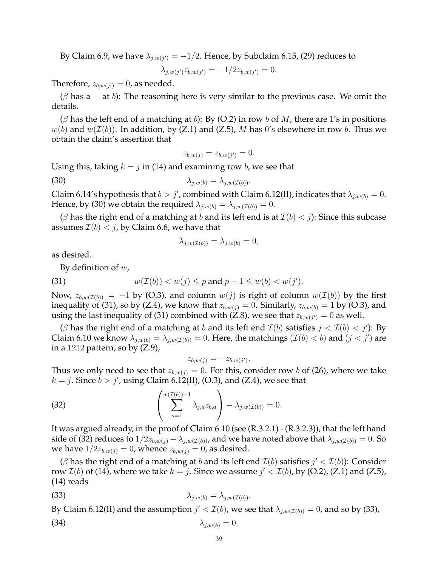By Claim 6.9, we have  $\lambda_{j,w(j')} = -1/2$ . Hence, by Subclaim 6.15, (29) reduces to

$$
\lambda_{j,w(j')} z_{b,w(j')} = -1/2 z_{b,w(j')} = 0.
$$

Therefore,  $z_{b,w(j')}=0$ , as needed.

 $(\beta$  has a – at b): The reasoning here is very similar to the previous case. We omit the details.

 $(\beta$  has the left end of a matching at b): By (O.2) in row b of M, there are 1's in positions  $w(b)$  and  $w(\mathcal{I}(b))$ . In addition, by (Z.1) and (Z.5), M has 0's elsewhere in row b. Thus we obtain the claim's assertion that

$$
z_{b,w(j)} = z_{b,w(j')} = 0.
$$

Using this, taking  $k = j$  in (14) and examining row b, we see that

(30)  $\lambda_{i,w(b)} = \lambda_{i,w(\mathcal{I}(b))}.$ 

Claim 6.14's hypothesis that  $b > j'$ , combined with Claim 6.12(II), indicates that  $\lambda_{j,w(b)} = 0$ . Hence, by (30) we obtain the required  $\lambda_{j,w(b)} = \lambda_{j,w(\mathcal{I}(b))} = 0$ .

( $\beta$  has the right end of a matching at b and its left end is at  $\mathcal{I}(b) < j$ ): Since this subcase assumes  $\mathcal{I}(b) < j$ , by Claim 6.6, we have that

$$
\lambda_{j,w(\mathcal{I}(b))} = \lambda_{j,w(b)} = 0,
$$

as desired.

By definition of  $w$ ,

(31) 
$$
w(\mathcal{I}(b)) < w(j) \leq p \text{ and } p+1 \leq w(b) < w(j').
$$

Now,  $z_{b,w(\mathcal{I}(b))} = -1$  by (O.3), and column  $w(j)$  is right of column  $w(\mathcal{I}(b))$  by the first inequality of (31), so by (Z.4), we know that  $z_{b,w(j)} = 0$ . Similarly,  $z_{b,w(b)} = 1$  by (O.3), and using the last inequality of (31) combined with (Z.8), we see that  $z_{b,w(j')} = 0$  as well.

( $\beta$  has the right end of a matching at b and its left end  $\mathcal{I}(b)$  satisfies  $j < \mathcal{I}(b) < j'$ ): By Claim 6.10 we know  $\lambda_{j,w(b)} = \lambda_{j,w(\mathcal{I}(b))} = 0$ . Here, the matchings  $(\mathcal{I}(b) < b)$  and  $(j < j')$  are in a 1212 pattern, so by  $(Z.9)$ ,

$$
z_{b,w(j)} = -z_{b,w(j')}.
$$

Thus we only need to see that  $z_{b,w(j)} = 0$ . For this, consider row b of (26), where we take  $k = j$ . Since  $b > j'$ , using Claim 6.12(II), (O.3), and (Z.4), we see that

(32) 
$$
\left(\sum_{a=1}^{w(\mathcal{I}(b))-1} \lambda_{j,a} z_{b,a}\right) - \lambda_{j,w(\mathcal{I}(b))} = 0.
$$

It was argued already, in the proof of Claim 6.10 (see (R.3.2.1) - (R.3.2.3)), that the left hand side of (32) reduces to  $1/2z_{b,w(j)} - \lambda_{j,w(\mathcal{I}(b))}$ , and we have noted above that  $\lambda_{j,w(\mathcal{I}(b))} = 0$ . So we have  $1/2z_{b,w(j)} = 0$ , whence  $z_{b,w(j)} = 0$ , as desired.

( $\beta$  has the right end of a matching at  $b$  and its left end  $\mathcal{I}(b)$  satisfies  $j' < \mathcal{I}(b)$ ): Consider row  $\mathcal{I}(b)$  of (14), where we take  $k=j.$  Since we assume  $j'<\mathcal{I}(b)$ , by (O.2), (Z.1) and (Z.5), (14) reads

(33) 
$$
\lambda_{j,w(b)} = \lambda_{j,w(\mathcal{I}(b))}.
$$

By Claim 6.12(II) and the assumption  $j' < \mathcal{I}(b)$ , we see that  $\lambda_{j,w(\mathcal{I}(b))} = 0$ , and so by (33),

$$
\lambda_{j,w(b)} = 0.
$$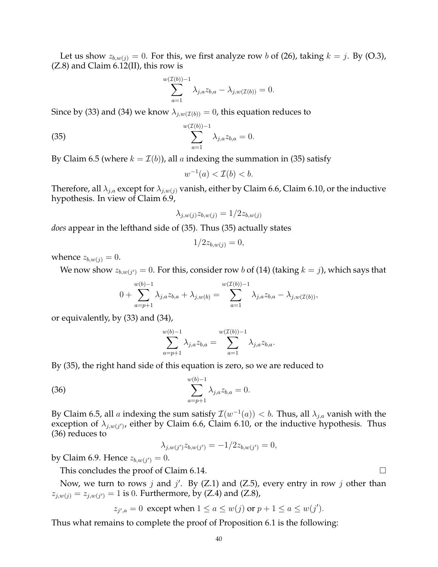Let us show  $z_{b,w(j)} = 0$ . For this, we first analyze row b of (26), taking  $k = j$ . By (O.3),  $(Z.8)$  and Claim 6.12(II), this row is

$$
\sum_{a=1}^{w(\mathcal{I}(b))-1} \lambda_{j,a} z_{b,a} - \lambda_{j,w(\mathcal{I}(b))} = 0.
$$

Since by (33) and (34) we know  $\lambda_{j,w(\mathcal{I}(b))} = 0$ , this equation reduces to

(35) 
$$
\sum_{a=1}^{w(\mathcal{I}(b))-1} \lambda_{j,a} z_{b,a} = 0.
$$

By Claim 6.5 (where  $k = \mathcal{I}(b)$ ), all a indexing the summation in (35) satisfy

$$
w^{-1}(a) < \mathcal{I}(b) < b.
$$

Therefore, all  $\lambda_{j,a}$  except for  $\lambda_{j,w(j)}$  vanish, either by Claim 6.6, Claim 6.10, or the inductive hypothesis. In view of Claim 6.9,

$$
\lambda_{j,w(j)} z_{b,w(j)} = 1/2 z_{b,w(j)}
$$

*does* appear in the lefthand side of (35). Thus (35) actually states

$$
1/2z_{b,w(j)}=0,
$$

whence  $z_{b,w(j)} = 0$ .

We now show  $z_{b,w(j')}=0.$  For this, consider row  $b$  of (14) (taking  $k=j$ ), which says that

$$
0 + \sum_{a=p+1}^{w(b)-1} \lambda_{j,a} z_{b,a} + \lambda_{j,w(b)} = \sum_{a=1}^{w(\mathcal{I}(b))-1} \lambda_{j,a} z_{b,a} - \lambda_{j,w(\mathcal{I}(b))},
$$

or equivalently, by (33) and (34),

$$
\sum_{a=p+1}^{w(b)-1} \lambda_{j,a} z_{b,a} = \sum_{a=1}^{w(\mathcal{I}(b))-1} \lambda_{j,a} z_{b,a}.
$$

By (35), the right hand side of this equation is zero, so we are reduced to

(36) 
$$
\sum_{a=p+1}^{w(b)-1} \lambda_{j,a} z_{b,a} = 0.
$$

By Claim 6.5, all  $a$  indexing the sum satisfy  $\mathcal{I}(w^{-1}(a)) < b$ . Thus, all  $\lambda_{j,a}$  vanish with the exception of  $\lambda_{j,w(j')}$ , either by Claim 6.6, Claim 6.10, or the inductive hypothesis. Thus (36) reduces to

$$
\lambda_{j,w(j')} z_{b,w(j')} = -1/2 z_{b,w(j')} = 0,
$$

by Claim 6.9. Hence  $z_{b,w(j')}=0$ .

This concludes the proof of Claim 6.14.

Now, we turn to rows j and j'. By  $(Z.1)$  and  $(Z.5)$ , every entry in row j other than  $z_{j,w(j)} = z_{j,w(j')} = 1$  is 0. Furthermore, by (Z.4) and (Z.8),

$$
z_{j',a} = 0
$$
 except when  $1 \le a \le w(j)$  or  $p + 1 \le a \le w(j').$ 

Thus what remains to complete the proof of Proposition 6.1 is the following: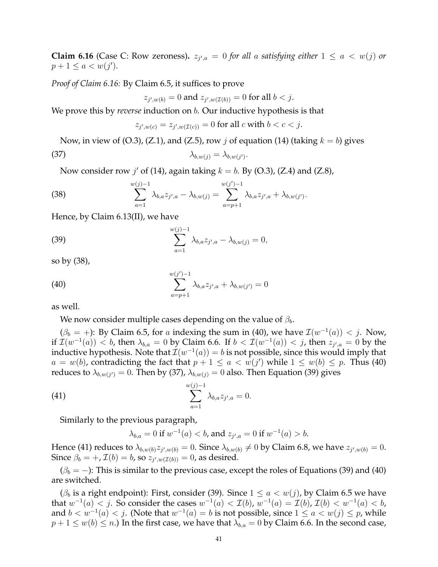**Claim 6.16** (Case C: Row zeroness).  $z_{j',a} = 0$  for all a satisfying either  $1 \le a < w(j)$  or  $p + 1 \le a < w(j').$ 

*Proof of Claim 6.16:* By Claim 6.5, it suffices to prove

$$
z_{j',w(b)} = 0
$$
 and  $z_{j',w(\mathcal{I}(b))} = 0$  for all  $b < j$ .

We prove this by *reverse* induction on  $b$ . Our inductive hypothesis is that

$$
z_{j',w(c)} = z_{j',w(\mathcal{I}(c))} = 0
$$
 for all  $c$  with  $b < c < j$ .

Now, in view of (O.3), (Z.1), and (Z.5), row j of equation (14) (taking  $k = b$ ) gives (37)  $\lambda_{b,w(j)} = \lambda_{b,w(j')}$ .

Now consider row  $j'$  of (14), again taking  $k = b$ . By (O.3), (Z.4) and (Z.8),

(38) 
$$
\sum_{a=1}^{w(j)-1} \lambda_{b,a} z_{j',a} - \lambda_{b,w(j)} = \sum_{a=p+1}^{w(j')-1} \lambda_{b,a} z_{j',a} + \lambda_{b,w(j')}.
$$

Hence, by Claim 6.13(II), we have

(39) 
$$
\sum_{a=1}^{w(j)-1} \lambda_{b,a} z_{j',a} - \lambda_{b,w(j)} = 0,
$$

so by (38),

(40) 
$$
\sum_{a=p+1}^{w(j')-1} \lambda_{b,a} z_{j',a} + \lambda_{b,w(j')} = 0
$$

as well.

We now consider multiple cases depending on the value of  $\beta_b$ .

 $(\beta_b = +)$ : By Claim 6.5, for a indexing the sum in (40), we have  $\mathcal{I}(w^{-1}(a)) < j$ . Now, if  $\mathcal{I}(w^{-1}(a)) < b$ , then  $\lambda_{b,a} = 0$  by Claim 6.6. If  $b < \mathcal{I}(w^{-1}(a)) < j$ , then  $z_{j',a} = 0$  by the inductive hypothesis. Note that  $\mathcal{I}(w^{-1}(a)) = b$  is not possible, since this would imply that  $a = w(b)$ , contradicting the fact that  $p + 1 \le a < w(j')$  while  $1 \le w(b) \le p$ . Thus (40) reduces to  $\lambda_{b,w(j')}=0.$  Then by (37),  $\lambda_{b,w(j)}=0$  also. Then Equation (39) gives

(41) 
$$
\sum_{a=1}^{w(j)-1} \lambda_{b,a} z_{j',a} = 0.
$$

Similarly to the previous paragraph,

$$
\lambda_{b,a} = 0
$$
 if  $w^{-1}(a) < b$ , and  $z_{j',a} = 0$  if  $w^{-1}(a) > b$ .

Hence (41) reduces to  $\lambda_{b,w(b)}z_{j',w(b)}=0$ . Since  $\lambda_{b,w(b)}\neq 0$  by Claim 6.8, we have  $z_{j',w(b)}=0$ . Since  $\beta_b = +$ ,  $\mathcal{I}(b) = b$ , so  $z_{j',w(\mathcal{I}(b))} = 0$ , as desired.

 $(\beta_b = -)$ : This is similar to the previous case, except the roles of Equations (39) and (40) are switched.

( $\beta_b$  is a right endpoint): First, consider (39). Since  $1 \le a \lt w(j)$ , by Claim 6.5 we have that  $w^{-1}(a) < j.$  So consider the cases  $w^{-1}(a) < \mathcal{I}(b)$ ,  $w^{-1}(a) = \mathcal{I}(b)$ ,  $\mathcal{I}(b) < w^{-1}(a) < b$ , and  $b < w^{-1}(a) < j$ . (Note that  $w^{-1}(a) = b$  is not possible, since  $1 \le a < w(j) \le p$ , while  $p + 1 \leq w(b) \leq n$ .) In the first case, we have that  $\lambda_{b,a} = 0$  by Claim 6.6. In the second case,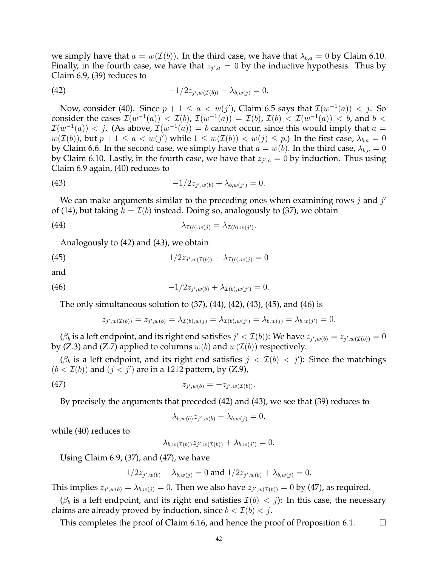we simply have that  $a = w(\mathcal{I}(b))$ . In the third case, we have that  $\lambda_{b,a} = 0$  by Claim 6.10. Finally, in the fourth case, we have that  $z_{j',a} = 0$  by the inductive hypothesis. Thus by Claim 6.9, (39) reduces to

(42) 
$$
-1/2z_{j',w(\mathcal{I}(b))}-\lambda_{b,w(j)}=0.
$$

Now, consider (40). Since  $p + 1 \le a < w(j')$ , Claim 6.5 says that  $\mathcal{I}(w^{-1}(a)) < j$ . So consider the cases  $\mathcal{I}(w^{-1}(a)) < \mathcal{I}(b)$ ,  $\mathcal{I}(w^{-1}(a)) = \mathcal{I}(b)$ ,  $\mathcal{I}(b) < \mathcal{I}(w^{-1}(a)) < b$ , and  $b <$  $\mathcal{I}(w^{-1}(a)) < j$ . (As above,  $\mathcal{I}(w^{-1}(a)) = b$  cannot occur, since this would imply that  $a =$  $w(\mathcal{I}(b))$ , but  $p+1 \leq a < w(j')$  while  $1 \leq w(\mathcal{I}(b)) < w(j) \leq p$ .) In the first case,  $\lambda_{b,a} = 0$ by Claim 6.6. In the second case, we simply have that  $a = w(b)$ . In the third case,  $\lambda_{b,a} = 0$ by Claim 6.10. Lastly, in the fourth case, we have that  $z_{j',a} = 0$  by induction. Thus using Claim 6.9 again, (40) reduces to

(43) 
$$
-1/2z_{j',w(b)} + \lambda_{b,w(j')} = 0.
$$

We can make arguments similar to the preceding ones when examining rows  $j$  and  $j'$ of (14), but taking  $k = \mathcal{I}(b)$  instead. Doing so, analogously to (37), we obtain

(44) 
$$
\lambda_{\mathcal{I}(b),w(j)} = \lambda_{\mathcal{I}(b),w(j')}.
$$

Analogously to (42) and (43), we obtain

(45) 
$$
1/2z_{j',w(\mathcal{I}(b))} - \lambda_{\mathcal{I}(b),w(j)} = 0
$$

and

(46) 
$$
-1/2z_{j',w(b)} + \lambda_{\mathcal{I}(b),w(j')} = 0.
$$

The only simultaneous solution to (37), (44), (42), (43), (45), and (46) is

$$
z_{j',w(\mathcal{I}(b))} = z_{j',w(b)} = \lambda_{\mathcal{I}(b),w(j)} = \lambda_{\mathcal{I}(b),w(j')} = \lambda_{b,w(j)} = \lambda_{b,w(j')} = 0.
$$

 $(\beta_b$  is a left endpoint, and its right end satisfies  $j' < \mathcal{I}(b)$ ): We have  $z_{j',w(b)} = z_{j',w(\mathcal{I}(b))} = 0$ by (Z.3) and (Z.7) applied to columns  $w(b)$  and  $w(\mathcal{I}(b))$  respectively.

( $\beta_b$  is a left endpoint, and its right end satisfies  $j < I(b) < j'$ ): Since the matchings  $(b < I(b))$  and  $(j < j')$  are in a 1212 pattern, by  $(Z.9)$ ,

(47) 
$$
z_{j',w(b)} = -z_{j',w(\mathcal{I}(b))}.
$$

By precisely the arguments that preceded (42) and (43), we see that (39) reduces to

$$
\lambda_{b,w(b)} z_{j',w(b)} - \lambda_{b,w(j)} = 0,
$$

while (40) reduces to

$$
\lambda_{b,w(\mathcal{I}(b))} z_{j',w(\mathcal{I}(b))} + \lambda_{b,w(j')} = 0.
$$

Using Claim 6.9, (37), and (47), we have

$$
1/2z_{j',w(b)} - \lambda_{b,w(j)} = 0
$$
 and  $1/2z_{j',w(b)} + \lambda_{b,w(j)} = 0$ .

This implies  $z_{j',w(b)} = \lambda_{b,w(j)} = 0$ . Then we also have  $z_{j',w(\mathcal{I}(b))} = 0$  by (47), as required.

( $\beta_b$  is a left endpoint, and its right end satisfies  $\mathcal{I}(b) < j$ ): In this case, the necessary claims are already proved by induction, since  $b < \mathcal{I}(b) < j$ .

This completes the proof of Claim 6.16, and hence the proof of Proposition 6.1.  $\Box$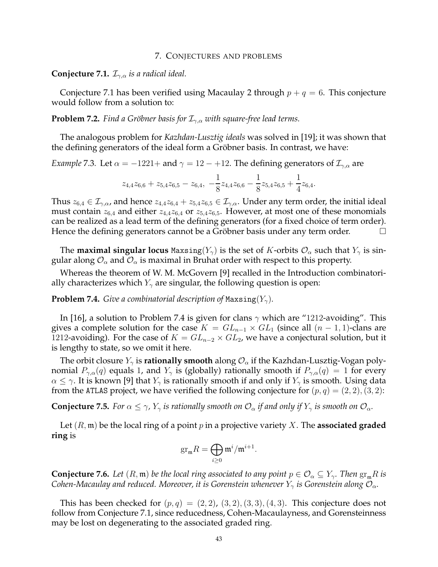#### 7. CONJECTURES AND PROBLEMS

**Conjecture 7.1.**  $\mathcal{I}_{\gamma,\alpha}$  *is a radical ideal.* 

Conjecture 7.1 has been verified using Macaulay 2 through  $p + q = 6$ . This conjecture would follow from a solution to:

**Problem 7.2.** *Find a Gröbner basis for*  $\mathcal{I}_{\gamma,\alpha}$  *with square-free lead terms.* 

The analogous problem for *Kazhdan-Lusztig ideals* was solved in [19]; it was shown that the defining generators of the ideal form a Gröbner basis. In contrast, we have:

*Example* 7.3. Let  $\alpha = -1221 +$  and  $\gamma = 12 - +12$ . The defining generators of  $\mathcal{I}_{\gamma,\alpha}$  are

$$
z_{4,4}z_{6,6}+z_{5,4}z_{6,5}-z_{6,4},\ -\frac{1}{8}z_{4,4}z_{6,6}-\frac{1}{8}z_{5,4}z_{6,5}+\frac{1}{4}z_{6,4}.
$$

Thus  $z_{6,4} \in \mathcal{I}_{\gamma,\alpha}$ , and hence  $z_{4,4}z_{6,4} + z_{5,4}z_{6,5} \in \mathcal{I}_{\gamma,\alpha}$ . Under any term order, the initial ideal must contain  $z_{6,4}$  and either  $z_{4,4}z_{6,4}$  or  $z_{5,4}z_{6,5}$ . However, at most one of these monomials can be realized as a lead term of the defining generators (for a fixed choice of term order). Hence the defining generators cannot be a Gröbner basis under any term order.  $\Box$ 

The **maximal singular locus** Maxsing( $Y_{\gamma}$ ) is the set of K-orbits  $\mathcal{O}_{\alpha}$  such that  $Y_{\gamma}$  is singular along  $\mathcal{O}_\alpha$  and  $\mathcal{O}_\alpha$  is maximal in Bruhat order with respect to this property.

Whereas the theorem of W. M. McGovern [9] recalled in the Introduction combinatorially characterizes which  $Y_{\gamma}$  are singular, the following question is open:

**Problem 7.4.** *Give a combinatorial description of* Maxsing $(Y_\gamma)$ *.* 

In [16], a solution to Problem 7.4 is given for clans  $\gamma$  which are "1212-avoiding". This gives a complete solution for the case  $K = GL_{n-1} \times GL_1$  (since all  $(n-1,1)$ -clans are 1212-avoiding). For the case of  $K = GL_{n-2} \times GL_2$ , we have a conjectural solution, but it is lengthy to state, so we omit it here.

The orbit closure  $Y_{\gamma}$  is **rationally smooth** along  $\mathcal{O}_{\alpha}$  if the Kazhdan-Lusztig-Vogan polynomial  $P_{\gamma,\alpha}(q)$  equals 1, and  $Y_{\gamma}$  is (globally) rationally smooth if  $P_{\gamma,\alpha}(q) = 1$  for every  $\alpha \leq \gamma$ . It is known [9] that  $Y_{\gamma}$  is rationally smooth if and only if  $Y_{\gamma}$  is smooth. Using data from the ATLAS project, we have verified the following conjecture for  $(p, q) = (2, 2), (3, 2)$ :

**Conjecture 7.5.** *For*  $\alpha \leq \gamma$ ,  $Y_{\gamma}$  *is rationally smooth on*  $\mathcal{O}_{\alpha}$  *if and only if*  $Y_{\gamma}$  *is smooth on*  $\mathcal{O}_{\alpha}$ *.* 

Let  $(R, \mathfrak{m})$  be the local ring of a point p in a projective variety X. The **associated graded ring** is

$$
\mathrm{gr}_{\mathfrak m}R=\bigoplus_{i\geq 0}\mathfrak m^i/\mathfrak m^{i+1}.
$$

**Conjecture 7.6.** *Let*  $(R, \mathfrak{m})$  *be the local ring associated to any point*  $p \in \mathcal{O}_\alpha \subseteq Y_\gamma$ *. Then*  $\text{gr}_{\mathfrak{m}}R$  *is Cohen-Macaulay and reduced. Moreover, it is Gorenstein whenever*  $Y_{\gamma}$  *is Gorenstein along*  $\mathcal{O}_{\alpha}$ *.* 

This has been checked for  $(p, q) = (2, 2), (3, 2), (3, 3), (4, 3)$ . This conjecture does not follow from Conjecture 7.1, since reducedness, Cohen-Macaulayness, and Gorensteinness may be lost on degenerating to the associated graded ring.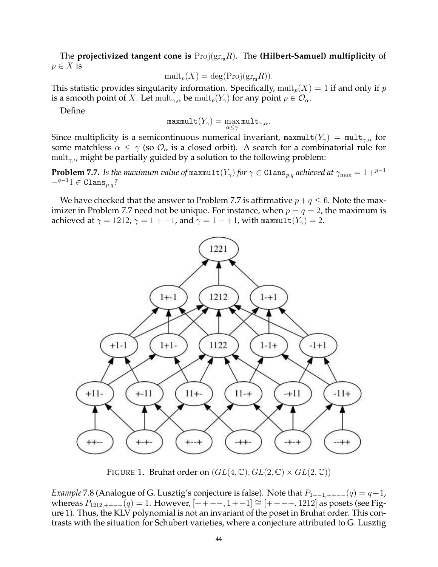The **projectivized tangent cone is**  $\text{Proj}(\text{gr}_{m}R)$ . The **(Hilbert-Samuel) multiplicity** of  $p \in X$  is

$$
\mathrm{mult}_p(X) = \mathrm{deg}(\mathrm{Proj}(\mathrm{gr}_\mathfrak{m} R)).
$$

This statistic provides singularity information. Specifically,  $\text{mult}_p(X) = 1$  if and only if p is a smooth point of X. Let  $\operatorname{mult}_{\gamma,\alpha}$  be  $\operatorname{mult}_p(Y_\gamma)$  for any point  $p \in \mathcal{O}_\alpha$ .

Define

$$
\texttt{maxmult}(Y_\gamma) = \max_{\alpha \leq \gamma} \texttt{mult}_{\gamma,\alpha}.
$$

Since multiplicity is a semicontinuous numerical invariant, maxmult $(Y_\gamma)$  = mult<sub> $\gamma,\alpha$ </sub> for some matchless  $\alpha \leq \gamma$  (so  $\mathcal{O}_{\alpha}$  is a closed orbit). A search for a combinatorial rule for mult<sub>γ, $\alpha$ </sub> might be partially guided by a solution to the following problem:

**Problem 7.7.** *Is the maximum value of* maxmult( $Y_{\gamma}$ ) *for*  $\gamma \in \text{Clans}_{p,q}$  *achieved at*  $\gamma_{\text{max}} = 1 + p^{-1}$  $-q^{-1}1 \in \text{Clans}_{n,q}$ ?

We have checked that the answer to Problem 7.7 is affirmative  $p + q \leq 6$ . Note the maximizer in Problem 7.7 need not be unique. For instance, when  $p = q = 2$ , the maximum is achieved at  $\gamma = 1212$ ,  $\gamma = 1 + -1$ , and  $\gamma = 1 - +1$ , with maxmult $(Y_{\gamma}) = 2$ .



FIGURE 1. Bruhat order on  $(GL(4,\mathbb{C}), GL(2,\mathbb{C}) \times GL(2,\mathbb{C}))$ 

*Example* 7.8 (Analogue of G. Lusztig's conjecture is false). Note that  $P_{1+-1,++--}(q) = q+1$ , whereas  $P_{1212,++-}(q) = 1$ . However,  $[++--,1+-1] \cong [++--,1212]$  as posets (see Figure 1). Thus, the KLV polynomial is not an invariant of the poset in Bruhat order. This contrasts with the situation for Schubert varieties, where a conjecture attributed to G. Lusztig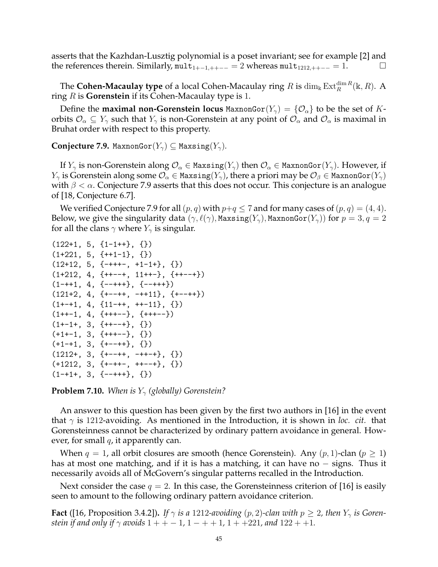asserts that the Kazhdan-Lusztig polynomial is a poset invariant; see for example [2] and the references therein. Similarly, mult<sub>1+−1,++−−</sub> = 2 whereas mult<sub>1212,++−−</sub> = 1.  $\Box$ 

The  ${\bf Cohen\text{-}Macaulay\ type}$  of a local Cohen-Macaulay ring  $R$  is  $\dim_{\Bbbk} {\rm Ext}_R^{\dim R}({\Bbbk},R)$ . A ring R is **Gorenstein** if its Cohen-Macaulay type is 1.

Define the **maximal non-Gorenstein locus** MaxnonGor $(Y_\gamma) = \{O_\alpha\}$  to be the set of Korbits  $\mathcal{O}_\alpha \subseteq Y_\gamma$  such that  $Y_\gamma$  is non-Gorenstein at any point of  $\mathcal{O}_\alpha$  and  $\mathcal{O}_\alpha$  is maximal in Bruhat order with respect to this property.

**Conjecture 7.9.** MaxnonGor $(Y_\gamma) \subseteq$  Maxsing $(Y_\gamma)$ .

If  $Y_\gamma$  is non-Gorenstein along  $\mathcal{O}_\alpha \in \text{Maxsing}(Y_\gamma)$  then  $\mathcal{O}_\alpha \in \text{MaxnonGor}(Y_\gamma)$ . However, if  $Y_{\gamma}$  is Gorenstein along some  $\mathcal{O}_{\alpha} \in$  Maxsing $(Y_{\gamma})$ , there a priori may be  $\mathcal{O}_{\beta} \in$  MaxnonGor $(Y_{\gamma})$ with  $\beta < \alpha$ . Conjecture 7.9 asserts that this does not occur. This conjecture is an analogue of [18, Conjecture 6.7].

We verified Conjecture 7.9 for all  $(p, q)$  with  $p+q \leq 7$  and for many cases of  $(p, q) = (4, 4)$ . Below, we give the singularity data  $(\gamma, \ell(\gamma),$  Maxsing $(Y_\gamma)$ , MaxnonGor $(Y_\gamma)$ ) for  $p=3, q=2$ for all the clans  $\gamma$  where  $Y_{\gamma}$  is singular.

```
(122+1, 5, {1-1++}, {})(1+221, 5, {\{+\n+1-1\}}, {\{}\})(12+12, 5, {\{-+++-, +1-1+\}}, {\{\})}(1+212, 4, {\{++--+}, 11++-}, {\{++--+}\})(1-++1, 4, {--+++}, {--+++})
(121+2, 4, {\{+--++}, -++11}, {\{+--++}\})(1+-+1, 4, {11-++, ++-11}, {})(1++-1, 4, {\{++---}}, {\{++---}})(1+-1+, 3, {++--+}, {})(+1+-1, 3, {++---}, {}(+1-+1, 3, {\{+--++\}}, {\{\}})(1212+, 3, {\{+--++}, -++-+\}, \{\})(+1212, 3, {\{+\text{-}++\text{-}}, \text{++--+}} , {\{ \} }(1 - +1 + 3, \{- - + + + \}, \{\})
```
**Problem 7.10.** *When is*  $Y_\gamma$  (globally) Gorenstein?

An answer to this question has been given by the first two authors in [16] in the event that  $\gamma$  is 1212-avoiding. As mentioned in the Introduction, it is shown in *loc. cit.* that Gorensteinness cannot be characterized by ordinary pattern avoidance in general. However, for small  $q$ , it apparently can.

When  $q = 1$ , all orbit closures are smooth (hence Gorenstein). Any  $(p, 1)$ -clan  $(p \ge 1)$ has at most one matching, and if it is has a matching, it can have no – signs. Thus it necessarily avoids all of McGovern's singular patterns recalled in the Introduction.

Next consider the case  $q = 2$ . In this case, the Gorensteinness criterion of [16] is easily seen to amount to the following ordinary pattern avoidance criterion.

**Fact** ([16, Proposition 3.4.2]). *If*  $\gamma$  *is a* 1212-*avoiding* (*p*, 2)-*clan with*  $p \ge 2$ *, then*  $Y_{\gamma}$  *is Gorenstein if and only if*  $\gamma$  *avoids*  $1 + + -1$ ,  $1 - + +1$ ,  $1 + +221$ , and  $122 + +1$ .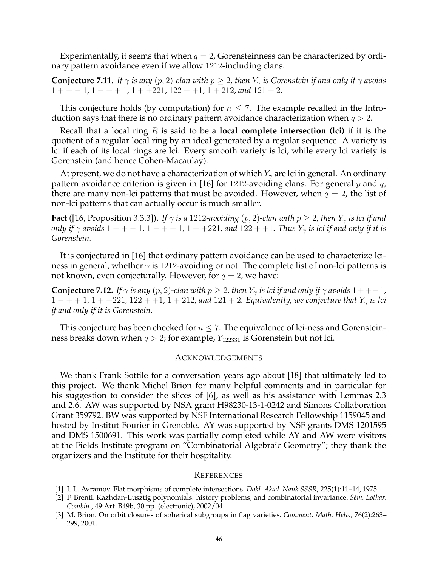Experimentally, it seems that when  $q = 2$ , Gorensteinness can be characterized by ordinary pattern avoidance even if we allow 1212-including clans.

**Conjecture 7.11.** *If*  $\gamma$  *is any*  $(p, 2)$ -clan with  $p \geq 2$ , then  $Y_{\gamma}$  *is Gorenstein if and only if*  $\gamma$  *avoids*  $1 + + -1$ ,  $1 - + +1$ ,  $1 + +221$ ,  $122 + +1$ ,  $1 + 212$ , and  $121 + 2$ .

This conjecture holds (by computation) for  $n \leq 7$ . The example recalled in the Introduction says that there is no ordinary pattern avoidance characterization when  $q > 2$ .

Recall that a local ring R is said to be a **local complete intersection (lci)** if it is the quotient of a regular local ring by an ideal generated by a regular sequence. A variety is lci if each of its local rings are lci. Every smooth variety is lci, while every lci variety is Gorenstein (and hence Cohen-Macaulay).

At present, we do not have a characterization of which  $Y_{\gamma}$  are lci in general. An ordinary pattern avoidance criterion is given in [16] for 1212-avoiding clans. For general  $p$  and  $q$ , there are many non-lci patterns that must be avoided. However, when  $q = 2$ , the list of non-lci patterns that can actually occur is much smaller.

**Fact** ([16, Proposition 3.3.3]). *If*  $\gamma$  *is a* 1212-avoiding (p, 2)-clan with  $p \ge 2$ , then  $Y_{\gamma}$  *is lci if and only if*  $\gamma$  *avoids*  $1 + + -1$ ,  $1 - + +1$ ,  $1 + +221$ , and  $122 + +1$ . Thus  $Y_{\gamma}$  is lci if and only if it is *Gorenstein.*

It is conjectured in [16] that ordinary pattern avoidance can be used to characterize lciness in general, whether  $\gamma$  is 1212-avoiding or not. The complete list of non-lci patterns is not known, even conjecturally. However, for  $q = 2$ , we have:

**Conjecture 7.12.** *If*  $\gamma$  *is any* (p, 2)-clan with  $p \geq 2$ , then  $Y_{\gamma}$  *is lci if and only if*  $\gamma$  *avoids*  $1++-1$ *,*  $1 - + + 1$ ,  $1 + +221$ ,  $122 + +1$ ,  $1 + 212$ , and  $121 + 2$ . Equivalently, we conjecture that  $Y_{\gamma}$  is lci *if and only if it is Gorenstein.*

This conjecture has been checked for  $n \leq 7$ . The equivalence of lci-ness and Gorensteinness breaks down when  $q > 2$ ; for example,  $Y_{122331}$  is Gorenstein but not lci.

### ACKNOWLEDGEMENTS

We thank Frank Sottile for a conversation years ago about [18] that ultimately led to this project. We thank Michel Brion for many helpful comments and in particular for his suggestion to consider the slices of [6], as well as his assistance with Lemmas 2.3 and 2.6. AW was supported by NSA grant H98230-13-1-0242 and Simons Collaboration Grant 359792. BW was supported by NSF International Research Fellowship 1159045 and hosted by Institut Fourier in Grenoble. AY was supported by NSF grants DMS 1201595 and DMS 1500691. This work was partially completed while AY and AW were visitors at the Fields Institute program on "Combinatorial Algebraic Geometry"; they thank the organizers and the Institute for their hospitality.

#### **REFERENCES**

- [1] L.L. Avramov. Flat morphisms of complete intersections. *Dokl. Akad. Nauk SSSR*, 225(1):11–14, 1975.
- [2] F. Brenti. Kazhdan-Lusztig polynomials: history problems, and combinatorial invariance. *S´em. Lothar. Combin.*, 49:Art. B49b, 30 pp. (electronic), 2002/04.
- [3] M. Brion. On orbit closures of spherical subgroups in flag varieties. *Comment. Math. Helv.*, 76(2):263– 299, 2001.